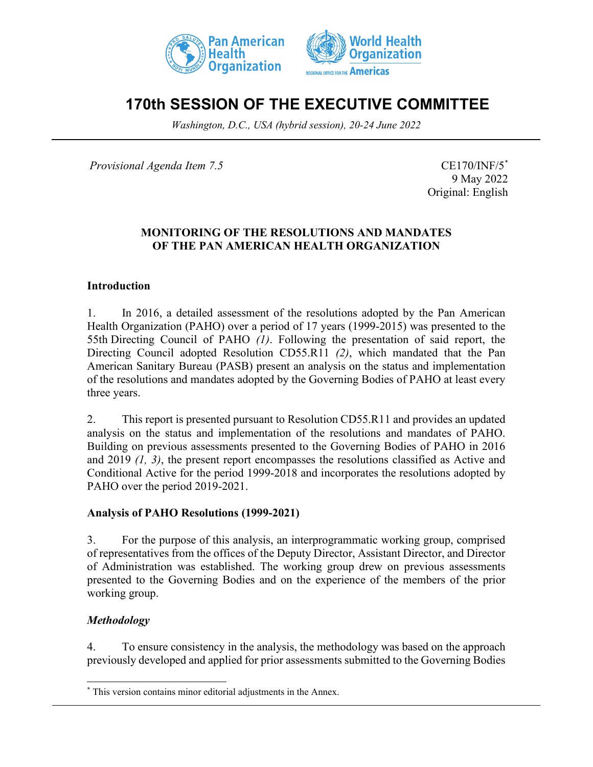



# **170th SESSION OF THE EXECUTIVE COMMITTEE**

*Washington, D.C., USA (hybrid session), 20-24 June 2022*

*Provisional Agenda Item 7.5* CE170/INF/5<sup>[\\*](#page-0-0)</sup>

9 May 2022 Original: English

## **MONITORING OF THE RESOLUTIONS AND MANDATES OF THE PAN AMERICAN HEALTH ORGANIZATION**

## **Introduction**

1. In 2016, a detailed assessment of the resolutions adopted by the Pan American Health Organization (PAHO) over a period of 17 years (1999-2015) was presented to the 55th Directing Council of PAHO *(1)*. Following the presentation of said report, the Directing Council adopted Resolution CD55.R11 *(2)*, which mandated that the Pan American Sanitary Bureau (PASB) present an analysis on the status and implementation of the resolutions and mandates adopted by the Governing Bodies of PAHO at least every three years.

2. This report is presented pursuant to Resolution CD55.R11 and provides an updated analysis on the status and implementation of the resolutions and mandates of PAHO. Building on previous assessments presented to the Governing Bodies of PAHO in 2016 and 2019 *(1, 3)*, the present report encompasses the resolutions classified as Active and Conditional Active for the period 1999-2018 and incorporates the resolutions adopted by PAHO over the period 2019-2021.

#### **Analysis of PAHO Resolutions (1999-2021)**

3. For the purpose of this analysis, an interprogrammatic working group, comprised of representatives from the offices of the Deputy Director, Assistant Director, and Director of Administration was established. The working group drew on previous assessments presented to the Governing Bodies and on the experience of the members of the prior working group.

## *Methodology*

4. To ensure consistency in the analysis, the methodology was based on the approach previously developed and applied for prior assessments submitted to the Governing Bodies

<span id="page-0-0"></span><sup>\*</sup> This version contains minor editorial adjustments in the Annex.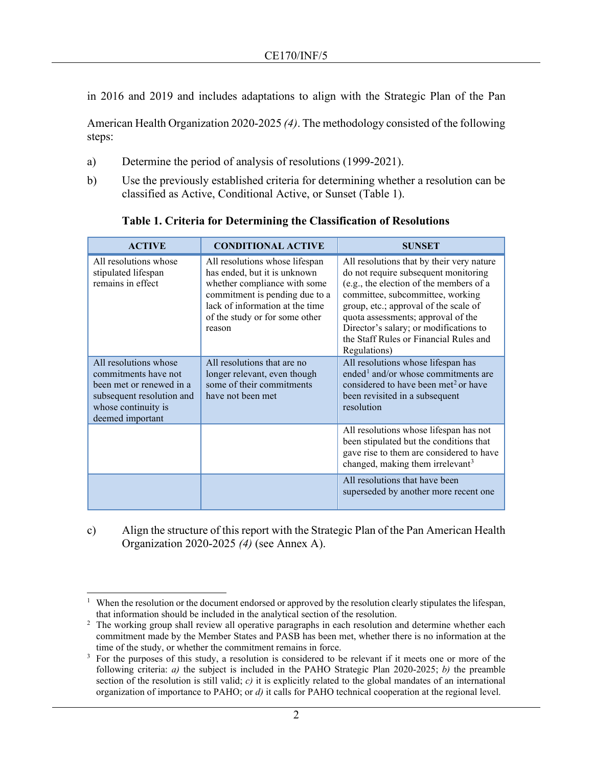in 2016 and 2019 and includes adaptations to align with the Strategic Plan of the Pan

American Health Organization 2020-2025 *(4)*. The methodology consisted of the following steps:

- a) Determine the period of analysis of resolutions (1999-2021).
- b) Use the previously established criteria for determining whether a resolution can be classified as Active, Conditional Active, or Sunset (Table 1).

| <b>ACTIVE</b>                                                                                                                                     | <b>CONDITIONAL ACTIVE</b>                                                                                                                                                                                       | <b>SUNSET</b>                                                                                                                                                                                                                                                                                                                                       |
|---------------------------------------------------------------------------------------------------------------------------------------------------|-----------------------------------------------------------------------------------------------------------------------------------------------------------------------------------------------------------------|-----------------------------------------------------------------------------------------------------------------------------------------------------------------------------------------------------------------------------------------------------------------------------------------------------------------------------------------------------|
| All resolutions whose<br>stipulated lifespan<br>remains in effect                                                                                 | All resolutions whose lifespan<br>has ended, but it is unknown<br>whether compliance with some<br>commitment is pending due to a<br>lack of information at the time<br>of the study or for some other<br>reason | All resolutions that by their very nature<br>do not require subsequent monitoring<br>(e.g., the election of the members of a<br>committee, subcommittee, working<br>group, etc.; approval of the scale of<br>quota assessments; approval of the<br>Director's salary; or modifications to<br>the Staff Rules or Financial Rules and<br>Regulations) |
| All resolutions whose<br>commitments have not<br>been met or renewed in a<br>subsequent resolution and<br>whose continuity is<br>deemed important | All resolutions that are no<br>longer relevant, even though<br>some of their commitments<br>have not been met                                                                                                   | All resolutions whose lifespan has<br>ended <sup>1</sup> and/or whose commitments are<br>considered to have been met <sup>2</sup> or have<br>been revisited in a subsequent<br>resolution                                                                                                                                                           |
|                                                                                                                                                   |                                                                                                                                                                                                                 | All resolutions whose lifespan has not<br>been stipulated but the conditions that<br>gave rise to them are considered to have<br>changed, making them irrelevant <sup>3</sup>                                                                                                                                                                       |
|                                                                                                                                                   |                                                                                                                                                                                                                 | All resolutions that have been<br>superseded by another more recent one                                                                                                                                                                                                                                                                             |

**Table 1. Criteria for Determining the Classification of Resolutions** 

c) Align the structure of this report with the Strategic Plan of the Pan American Health Organization 2020-2025 *(4)* (see Annex A).

<span id="page-1-0"></span>When the resolution or the document endorsed or approved by the resolution clearly stipulates the lifespan, that information should be included in the analytical section of the resolution.

<span id="page-1-1"></span><sup>&</sup>lt;sup>2</sup> The working group shall review all operative paragraphs in each resolution and determine whether each commitment made by the Member States and PASB has been met, whether there is no information at the time of the study, or whether the commitment remains in force.

<span id="page-1-2"></span><sup>&</sup>lt;sup>3</sup> For the purposes of this study, a resolution is considered to be relevant if it meets one or more of the following criteria: *a)* the subject is included in the PAHO Strategic Plan 2020-2025; *b)* the preamble section of the resolution is still valid; *c*) it is explicitly related to the global mandates of an international organization of importance to PAHO; or *d)* it calls for PAHO technical cooperation at the regional level.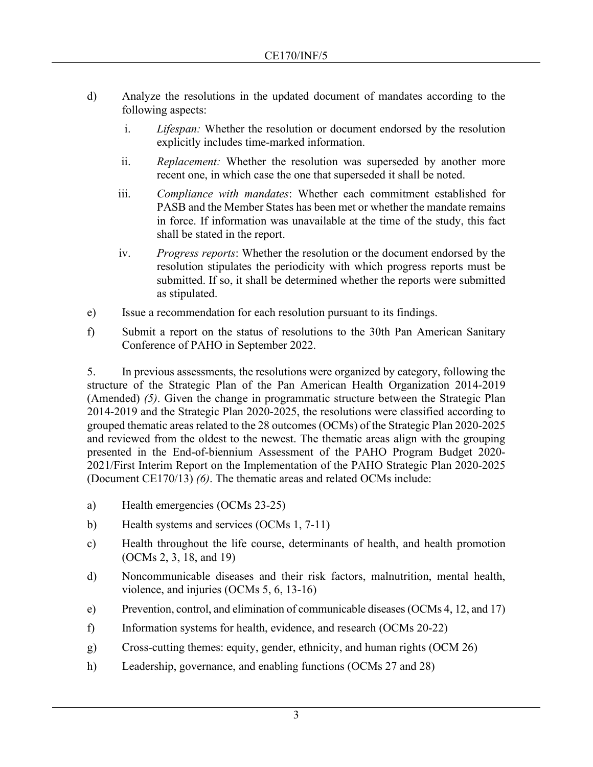- d) Analyze the resolutions in the updated document of mandates according to the following aspects:
	- i. *Lifespan:* Whether the resolution or document endorsed by the resolution explicitly includes time-marked information.
	- ii. *Replacement:* Whether the resolution was superseded by another more recent one, in which case the one that superseded it shall be noted.
	- iii. *Compliance with mandates*: Whether each commitment established for PASB and the Member States has been met or whether the mandate remains in force. If information was unavailable at the time of the study, this fact shall be stated in the report.
	- iv. *Progress reports*: Whether the resolution or the document endorsed by the resolution stipulates the periodicity with which progress reports must be submitted. If so, it shall be determined whether the reports were submitted as stipulated.
- e) Issue a recommendation for each resolution pursuant to its findings.
- f) Submit a report on the status of resolutions to the 30th Pan American Sanitary Conference of PAHO in September 2022.

5. In previous assessments, the resolutions were organized by category, following the structure of the Strategic Plan of the Pan American Health Organization 2014-2019 (Amended) *(5)*. Given the change in programmatic structure between the Strategic Plan 2014-2019 and the Strategic Plan 2020-2025, the resolutions were classified according to grouped thematic areas related to the 28 outcomes (OCMs) of the Strategic Plan 2020-2025 and reviewed from the oldest to the newest. The thematic areas align with the grouping presented in the End-of-biennium Assessment of the PAHO Program Budget 2020- 2021/First Interim Report on the Implementation of the PAHO Strategic Plan 2020-2025 (Document CE170/13) *(6)*. The thematic areas and related OCMs include:

- a) Health emergencies (OCMs 23-25)
- b) Health systems and services (OCMs 1, 7-11)
- c) Health throughout the life course, determinants of health, and health promotion (OCMs 2, 3, 18, and 19)
- d) Noncommunicable diseases and their risk factors, malnutrition, mental health, violence, and injuries (OCMs 5, 6, 13-16)
- e) Prevention, control, and elimination of communicable diseases (OCMs 4, 12, and 17)
- f) Information systems for health, evidence, and research (OCMs 20-22)
- g) Cross-cutting themes: equity, gender, ethnicity, and human rights (OCM 26)
- h) Leadership, governance, and enabling functions (OCMs 27 and 28)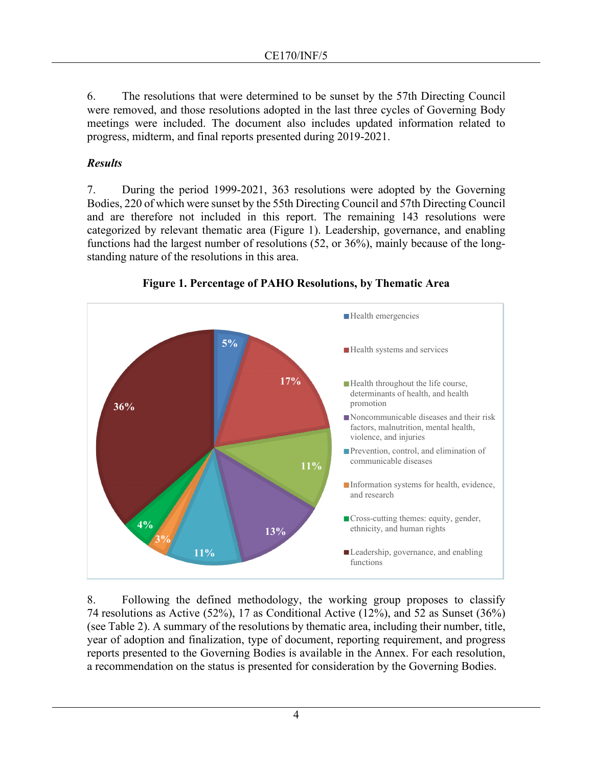6. The resolutions that were determined to be sunset by the 57th Directing Council were removed, and those resolutions adopted in the last three cycles of Governing Body meetings were included. The document also includes updated information related to progress, midterm, and final reports presented during 2019-2021.

## *Results*

7. During the period 1999-2021, 363 resolutions were adopted by the Governing Bodies, 220 of which were sunset by the 55th Directing Council and 57th Directing Council and are therefore not included in this report. The remaining 143 resolutions were categorized by relevant thematic area (Figure 1). Leadership, governance, and enabling functions had the largest number of resolutions (52, or 36%), mainly because of the longstanding nature of the resolutions in this area.



**Figure 1. Percentage of PAHO Resolutions, by Thematic Area**

8. Following the defined methodology, the working group proposes to classify 74 resolutions as Active (52%), 17 as Conditional Active (12%), and 52 as Sunset (36%) (see Table 2). A summary of the resolutions by thematic area, including their number, title, year of adoption and finalization, type of document, reporting requirement, and progress reports presented to the Governing Bodies is available in the Annex. For each resolution, a recommendation on the status is presented for consideration by the Governing Bodies.

4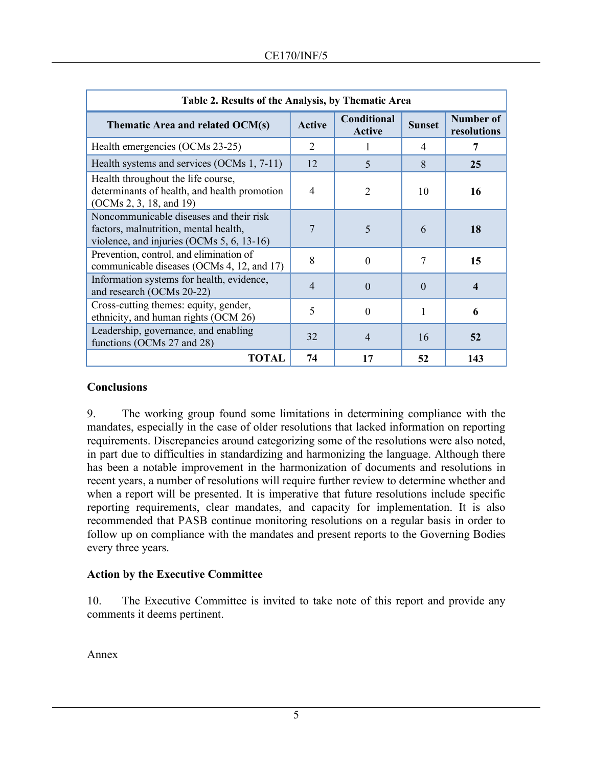| Table 2. Results of the Analysis, by Thematic Area                                                                               |               |                              |               |                          |
|----------------------------------------------------------------------------------------------------------------------------------|---------------|------------------------------|---------------|--------------------------|
| Thematic Area and related OCM(s)                                                                                                 | <b>Active</b> | Conditional<br><b>Active</b> | <b>Sunset</b> | Number of<br>resolutions |
| Health emergencies (OCMs 23-25)                                                                                                  | 2             | L                            | 4             | 7                        |
| Health systems and services (OCMs 1, 7-11)                                                                                       | 12            | 5                            | 8             | 25                       |
| Health throughout the life course,<br>determinants of health, and health promotion<br>(OCMs 2, 3, 18, and 19)                    | 4             | $\overline{2}$               | 10            | 16                       |
| Noncommunicable diseases and their risk<br>factors, malnutrition, mental health,<br>violence, and injuries (OCMs $5, 6, 13-16$ ) |               | 5                            | 6             | 18                       |
| Prevention, control, and elimination of<br>communicable diseases (OCMs 4, 12, and 17)                                            | 8             | $\theta$                     | 7             | 15                       |
| Information systems for health, evidence,<br>and research (OCMs 20-22)                                                           | 4             | $\Omega$                     | $\Omega$      | 4                        |
| Cross-cutting themes: equity, gender,<br>ethnicity, and human rights (OCM 26)                                                    | 5             | $\theta$                     |               | 6                        |
| Leadership, governance, and enabling<br>functions (OCMs 27 and 28)                                                               | 32            | $\overline{4}$               | 16            | 52                       |
| TOTAL                                                                                                                            | 74            | 17                           | 52            | 143                      |

## **Conclusions**

9. The working group found some limitations in determining compliance with the mandates, especially in the case of older resolutions that lacked information on reporting requirements. Discrepancies around categorizing some of the resolutions were also noted, in part due to difficulties in standardizing and harmonizing the language. Although there has been a notable improvement in the harmonization of documents and resolutions in recent years, a number of resolutions will require further review to determine whether and when a report will be presented. It is imperative that future resolutions include specific reporting requirements, clear mandates, and capacity for implementation. It is also recommended that PASB continue monitoring resolutions on a regular basis in order to follow up on compliance with the mandates and present reports to the Governing Bodies every three years.

## **Action by the Executive Committee**

10. The Executive Committee is invited to take note of this report and provide any comments it deems pertinent.

Annex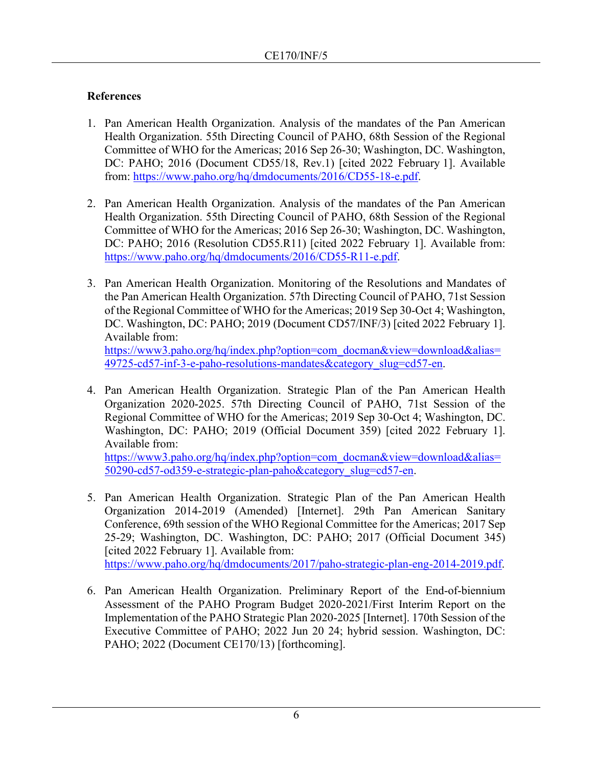## **References**

- 1. Pan American Health Organization. Analysis of the mandates of the Pan American Health Organization. 55th Directing Council of PAHO, 68th Session of the Regional Committee of WHO for the Americas; 2016 Sep 26-30; Washington, DC. Washington, DC: PAHO; 2016 (Document CD55/18, Rev.1) [cited 2022 February 1]. Available from: [https://www.paho.org/hq/dmdocuments/2016/CD55-18-e.pdf.](https://www.paho.org/hq/dmdocuments/2016/CD55-18-e.pdf)
- 2. Pan American Health Organization. Analysis of the mandates of the Pan American Health Organization. 55th Directing Council of PAHO, 68th Session of the Regional Committee of WHO for the Americas; 2016 Sep 26-30; Washington, DC. Washington, DC: PAHO; 2016 (Resolution CD55.R11) [cited 2022 February 1]. Available from: [https://www.paho.org/hq/dmdocuments/2016/CD55-R11-e.pdf.](https://www.paho.org/hq/dmdocuments/2016/CD55-R11-e.pdf)
- 3. Pan American Health Organization. Monitoring of the Resolutions and Mandates of the Pan American Health Organization. 57th Directing Council of PAHO, 71st Session of the Regional Committee of WHO for the Americas; 2019 Sep 30-Oct 4; Washington, DC. Washington, DC: PAHO; 2019 (Document CD57/INF/3) [cited 2022 February 1]. Available from: [https://www3.paho.org/hq/index.php?option=com\\_docman&view=download&alias=](https://www3.paho.org/hq/index.php?option=com_docman&view=download&alias=49725-cd57-inf-3-e-paho-resolutions-mandates&category_slug=cd57-en)

[49725-cd57-inf-3-e-paho-resolutions-mandates&category\\_slug=cd57-en.](https://www3.paho.org/hq/index.php?option=com_docman&view=download&alias=49725-cd57-inf-3-e-paho-resolutions-mandates&category_slug=cd57-en)

4. Pan American Health Organization. Strategic Plan of the Pan American Health Organization 2020-2025. 57th Directing Council of PAHO, 71st Session of the Regional Committee of WHO for the Americas; 2019 Sep 30-Oct 4; Washington, DC. Washington, DC: PAHO; 2019 (Official Document 359) [cited 2022 February 1]. Available from:

[https://www3.paho.org/hq/index.php?option=com\\_docman&view=download&alias=](https://www3.paho.org/hq/index.php?option=com_docman&view=download&alias=50290-cd57-od359-e-strategic-plan-paho&category_slug=cd57-en) [50290-cd57-od359-e-strategic-plan-paho&category\\_slug=cd57-en.](https://www3.paho.org/hq/index.php?option=com_docman&view=download&alias=50290-cd57-od359-e-strategic-plan-paho&category_slug=cd57-en)

- 5. Pan American Health Organization. Strategic Plan of the Pan American Health Organization 2014-2019 (Amended) [Internet]. 29th Pan American Sanitary Conference, 69th session of the WHO Regional Committee for the Americas; 2017 Sep 25-29; Washington, DC. Washington, DC: PAHO; 2017 (Official Document 345) [cited 2022 February 1]. Available from: [https://www.paho.org/hq/dmdocuments/2017/paho-strategic-plan-eng-2014-2019.pdf.](https://www.paho.org/hq/dmdocuments/2017/paho-strategic-plan-eng-2014-2019.pdf)
- 6. Pan American Health Organization. Preliminary Report of the End-of-biennium Assessment of the PAHO Program Budget 2020-2021/First Interim Report on the Implementation of the PAHO Strategic Plan 2020-2025 [Internet]. 170th Session of the Executive Committee of PAHO; 2022 Jun 20 24; hybrid session. Washington, DC: PAHO; 2022 (Document CE170/13) [forthcoming].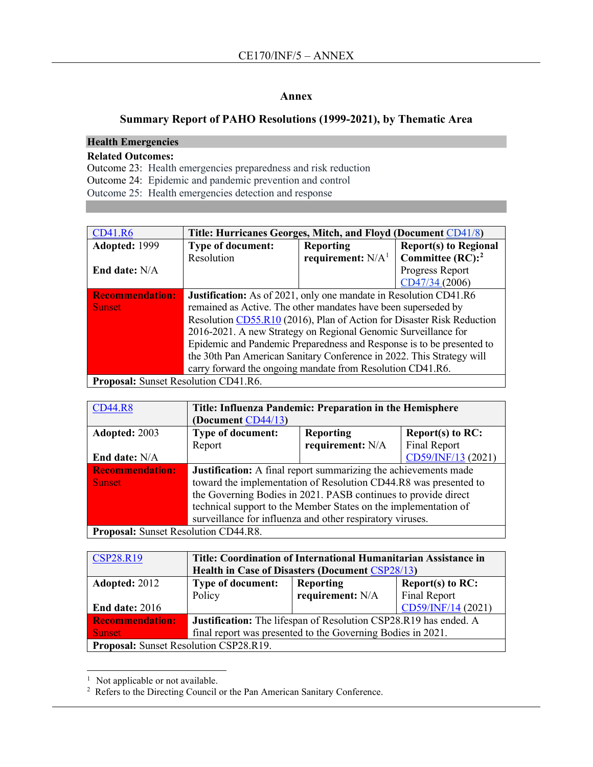#### **Annex**

## **Summary Report of PAHO Resolutions (1999-2021), by Thematic Area**

## **Health Emergencies**

#### **Related Outcomes:**

Outcome 23: Health emergencies preparedness and risk reduction Outcome 24: Epidemic and pandemic prevention and control Outcome 25: Health emergencies detection and response

| <b>CD41.R6</b>                       | Title: Hurricanes Georges, Mitch, and Floyd (Document CD41/8)          |                     |                              |  |
|--------------------------------------|------------------------------------------------------------------------|---------------------|------------------------------|--|
| Adopted: 1999                        | <b>Type of document:</b>                                               | <b>Reporting</b>    | <b>Report(s) to Regional</b> |  |
|                                      | Resolution                                                             | requirement: $N/A1$ | Committee $(RC):^2$          |  |
| End date: $N/A$                      |                                                                        |                     | Progress Report              |  |
|                                      |                                                                        |                     | CD47/34 (2006)               |  |
| <b>Recommendation:</b>               | Justification: As of 2021, only one mandate in Resolution CD41.R6      |                     |                              |  |
| <b>Sunset</b>                        | remained as Active. The other mandates have been superseded by         |                     |                              |  |
|                                      | Resolution CD55.R10 (2016), Plan of Action for Disaster Risk Reduction |                     |                              |  |
|                                      | 2016-2021. A new Strategy on Regional Genomic Surveillance for         |                     |                              |  |
|                                      | Epidemic and Pandemic Preparedness and Response is to be presented to  |                     |                              |  |
|                                      | the 30th Pan American Sanitary Conference in 2022. This Strategy will  |                     |                              |  |
|                                      | carry forward the ongoing mandate from Resolution CD41.R6.             |                     |                              |  |
| Proposal: Sunset Resolution CD41.R6. |                                                                        |                     |                              |  |

| <b>CD44.R8</b>                              | Title: Influenza Pandemic: Preparation in the Hemisphere         |                  |                     |
|---------------------------------------------|------------------------------------------------------------------|------------------|---------------------|
|                                             | (Document CD44/13)                                               |                  |                     |
| Adopted: 2003                               | Type of document:                                                | <b>Reporting</b> | Report(s) to $RC$ : |
|                                             | Report                                                           | requirement: N/A | Final Report        |
| End date: N/A                               |                                                                  |                  | CD59/INF/13 (2021)  |
| <b>Recommendation:</b>                      | Justification: A final report summarizing the achievements made  |                  |                     |
| <b>Sunset</b>                               | toward the implementation of Resolution CD44.R8 was presented to |                  |                     |
|                                             | the Governing Bodies in 2021. PASB continues to provide direct   |                  |                     |
|                                             | technical support to the Member States on the implementation of  |                  |                     |
|                                             | surveillance for influenza and other respiratory viruses.        |                  |                     |
| <b>Proposal:</b> Sunset Resolution CD44.R8. |                                                                  |                  |                     |

| <b>CSP28.R19</b>                       | Title: Coordination of International Humanitarian Assistance in  |                                         |                    |  |
|----------------------------------------|------------------------------------------------------------------|-----------------------------------------|--------------------|--|
|                                        | <b>Health in Case of Disasters (Document CSP28/13)</b>           |                                         |                    |  |
| Adopted: 2012                          | <b>Type of document:</b>                                         | <b>Reporting</b><br>Report(s) to $RC$ : |                    |  |
|                                        | Policy                                                           | requirement: N/A                        | Final Report       |  |
| End date: $2016$                       |                                                                  |                                         | CD59/INF/14 (2021) |  |
| <b>Recommendation:</b>                 | Justification: The lifespan of Resolution CSP28.R19 has ended. A |                                         |                    |  |
| <b>Sunset</b>                          | final report was presented to the Governing Bodies in 2021.      |                                         |                    |  |
| Proposal: Sunset Resolution CSP28.R19. |                                                                  |                                         |                    |  |

<span id="page-6-0"></span><sup>&</sup>lt;sup>1</sup> Not applicable or not available.

<span id="page-6-1"></span><sup>&</sup>lt;sup>2</sup> Refers to the Directing Council or the Pan American Sanitary Conference.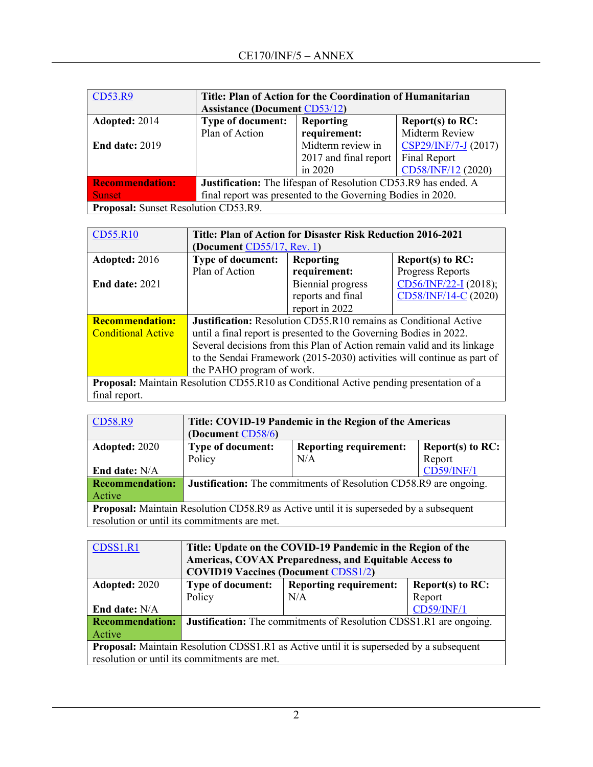| CD53.R9                | Title: Plan of Action for the Coordination of Humanitarian          |                       |                      |  |
|------------------------|---------------------------------------------------------------------|-----------------------|----------------------|--|
|                        | <b>Assistance (Document CD53/12)</b>                                |                       |                      |  |
| Adopted: 2014          | <b>Type of document:</b><br><b>Reporting</b><br>Report(s) to $RC$ : |                       |                      |  |
|                        | Plan of Action                                                      | requirement:          | Midterm Review       |  |
| End date: $2019$       |                                                                     | Midterm review in     | CSP29/INF/7-J (2017) |  |
|                        |                                                                     | 2017 and final report | Final Report         |  |
|                        |                                                                     | in 2020               | CD58/INF/12 (2020)   |  |
| <b>Recommendation:</b> | Justification: The lifespan of Resolution CD53.R9 has ended. A      |                       |                      |  |
| <b>Sunset</b>          | final report was presented to the Governing Bodies in 2020.         |                       |                      |  |
|                        | Proposal: Sunset Resolution CD53.R9.                                |                       |                      |  |

| <b>CD55.R10</b>           | Title: Plan of Action for Disaster Risk Reduction 2016-2021             |                                                                                               |                                                                         |  |
|---------------------------|-------------------------------------------------------------------------|-----------------------------------------------------------------------------------------------|-------------------------------------------------------------------------|--|
|                           | (Document $CD55/17$ , Rev. 1)                                           |                                                                                               |                                                                         |  |
| Adopted: 2016             | <b>Type of document:</b>                                                | <b>Reporting</b>                                                                              | Report(s) to $RC$ :                                                     |  |
|                           | Plan of Action                                                          | requirement:                                                                                  | Progress Reports                                                        |  |
| <b>End date: 2021</b>     |                                                                         | <b>Biennial</b> progress                                                                      | CD56/INF/22-I (2018);                                                   |  |
|                           |                                                                         | reports and final                                                                             | CD58/INF/14-C (2020)                                                    |  |
|                           |                                                                         | report in 2022                                                                                |                                                                         |  |
| <b>Recommendation:</b>    | <b>Justification:</b> Resolution CD55.R10 remains as Conditional Active |                                                                                               |                                                                         |  |
| <b>Conditional Active</b> | until a final report is presented to the Governing Bodies in 2022.      |                                                                                               |                                                                         |  |
|                           | Several decisions from this Plan of Action remain valid and its linkage |                                                                                               |                                                                         |  |
|                           |                                                                         |                                                                                               | to the Sendai Framework (2015-2030) activities will continue as part of |  |
|                           | the PAHO program of work.                                               |                                                                                               |                                                                         |  |
|                           |                                                                         | <b>Proposal:</b> Maintain Resolution CD55.R10 as Conditional Active pending presentation of a |                                                                         |  |
| final report.             |                                                                         |                                                                                               |                                                                         |  |

| <b>CD58.R9</b>                                                                                | Title: COVID-19 Pandemic in the Region of the Americas            |                               |                     |
|-----------------------------------------------------------------------------------------------|-------------------------------------------------------------------|-------------------------------|---------------------|
|                                                                                               | (Document CD58/6)                                                 |                               |                     |
| Adopted: 2020                                                                                 | Type of document:                                                 | <b>Reporting requirement:</b> | Report(s) to $RC$ : |
|                                                                                               | Policy                                                            | N/A                           | Report              |
| End date: N/A                                                                                 |                                                                   |                               | <b>CD59/INF/1</b>   |
| <b>Recommendation:</b>                                                                        | Justification: The commitments of Resolution CD58.R9 are ongoing. |                               |                     |
| Active                                                                                        |                                                                   |                               |                     |
| <b>Proposal:</b> Maintain Resolution CD58.R9 as Active until it is superseded by a subsequent |                                                                   |                               |                     |
| resolution or until its commitments are met.                                                  |                                                                   |                               |                     |

| CDSS1.R1                                                                                       | Title: Update on the COVID-19 Pandemic in the Region of the               |                                                       |                   |  |
|------------------------------------------------------------------------------------------------|---------------------------------------------------------------------------|-------------------------------------------------------|-------------------|--|
|                                                                                                |                                                                           | Americas, COVAX Preparedness, and Equitable Access to |                   |  |
|                                                                                                | <b>COVID19 Vaccines (Document CDSS1/2)</b>                                |                                                       |                   |  |
| Adopted: 2020                                                                                  | <b>Type of document:</b>                                                  | <b>Reporting requirement:</b>                         | Report(s) to RC:  |  |
|                                                                                                | Policy                                                                    | N/A                                                   | Report            |  |
| End date: N/A                                                                                  |                                                                           |                                                       | <b>CD59/INF/1</b> |  |
| <b>Recommendation:</b>                                                                         | <b>Justification:</b> The commitments of Resolution CDSS1.R1 are ongoing. |                                                       |                   |  |
| Active                                                                                         |                                                                           |                                                       |                   |  |
| <b>Proposal:</b> Maintain Resolution CDSS1.R1 as Active until it is superseded by a subsequent |                                                                           |                                                       |                   |  |
|                                                                                                | resolution or until its commitments are met.                              |                                                       |                   |  |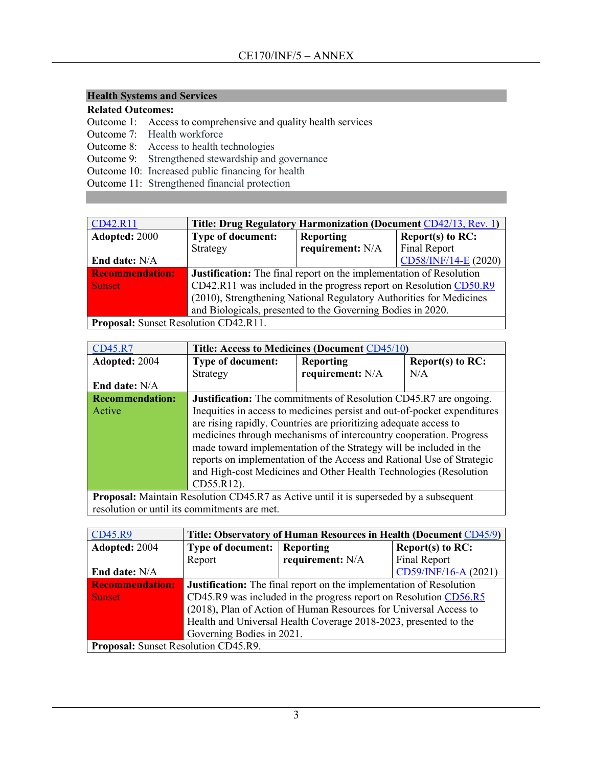#### **Health Systems and Services**

#### **Related Outcomes:**

Outcome 1: Access to comprehensive and quality health services

- Outcome 7: Health workforce
- Outcome 8: Access to health technologies
- Outcome 9: Strengthened stewardship and governance
- Outcome 10: Increased public financing for health
- Outcome 11: Strengthened financial protection

| CD42.R11                                                                                                                                                                                                                                                                                                                                                                   | Title: Drug Regulatory Harmonization (Document CD42/13, Rev. 1)            |                  |                      |
|----------------------------------------------------------------------------------------------------------------------------------------------------------------------------------------------------------------------------------------------------------------------------------------------------------------------------------------------------------------------------|----------------------------------------------------------------------------|------------------|----------------------|
| Adopted: 2000                                                                                                                                                                                                                                                                                                                                                              | <b>Type of document:</b>                                                   | <b>Reporting</b> | Report(s) to $RC$ :  |
|                                                                                                                                                                                                                                                                                                                                                                            | Strategy                                                                   | requirement: N/A | <b>Final Report</b>  |
| End date: N/A                                                                                                                                                                                                                                                                                                                                                              |                                                                            |                  | CD58/INF/14-E (2020) |
| <b>Recommendation:</b>                                                                                                                                                                                                                                                                                                                                                     | <b>Justification:</b> The final report on the implementation of Resolution |                  |                      |
| <b>Sunset</b>                                                                                                                                                                                                                                                                                                                                                              | CD42.R11 was included in the progress report on Resolution CD50.R9         |                  |                      |
|                                                                                                                                                                                                                                                                                                                                                                            | (2010), Strengthening National Regulatory Authorities for Medicines        |                  |                      |
|                                                                                                                                                                                                                                                                                                                                                                            | and Biologicals, presented to the Governing Bodies in 2020.                |                  |                      |
| $\mathbf{n}$ $\mathbf{n}$ $\mathbf{n}$ $\mathbf{n}$ $\mathbf{n}$ $\mathbf{n}$ $\mathbf{n}$ $\mathbf{n}$ $\mathbf{n}$ $\mathbf{n}$ $\mathbf{n}$ $\mathbf{n}$ $\mathbf{n}$ $\mathbf{n}$ $\mathbf{n}$ $\mathbf{n}$ $\mathbf{n}$ $\mathbf{n}$ $\mathbf{n}$ $\mathbf{n}$ $\mathbf{n}$ $\mathbf{n}$ $\mathbf{n}$ $\mathbf{n}$ $\mathbf{n}$ $\mathbf{n}$ $\mathbf{n}$ $\mathbf{n$ |                                                                            |                  |                      |

**Proposal:** Sunset Resolution CD42.R11.

| CD45.R7                | Title: Access to Medicines (Document CD45/10)                                                 |                                                                          |                     |
|------------------------|-----------------------------------------------------------------------------------------------|--------------------------------------------------------------------------|---------------------|
| Adopted: 2004          | <b>Type of document:</b>                                                                      | <b>Reporting</b>                                                         | Report(s) to $RC$ : |
|                        | Strategy                                                                                      | requirement: N/A                                                         | N/A                 |
| <b>End date:</b> N/A   |                                                                                               |                                                                          |                     |
| <b>Recommendation:</b> |                                                                                               | <b>Justification:</b> The commitments of Resolution CD45.R7 are ongoing. |                     |
| Active                 | Inequities in access to medicines persist and out-of-pocket expenditures                      |                                                                          |                     |
|                        | are rising rapidly. Countries are prioritizing adequate access to                             |                                                                          |                     |
|                        | medicines through mechanisms of intercountry cooperation. Progress                            |                                                                          |                     |
|                        | made toward implementation of the Strategy will be included in the                            |                                                                          |                     |
|                        | reports on implementation of the Access and Rational Use of Strategic                         |                                                                          |                     |
|                        | and High-cost Medicines and Other Health Technologies (Resolution                             |                                                                          |                     |
|                        | CD55.R12).                                                                                    |                                                                          |                     |
|                        | <b>Proposal:</b> Maintain Resolution CD45.R7 as Active until it is superseded by a subsequent |                                                                          |                     |

resolution or until its commitments are met.

| CD45.R9                              | Title: Observatory of Human Resources in Health (Document CD45/9)          |                  |                      |  |
|--------------------------------------|----------------------------------------------------------------------------|------------------|----------------------|--|
| Adopted: 2004                        | <b>Type of document:</b>                                                   | <b>Reporting</b> | Report(s) to RC:     |  |
|                                      | Report                                                                     | requirement: N/A | Final Report         |  |
| <b>End date:</b> N/A                 |                                                                            |                  | CD59/INF/16-A (2021) |  |
| <b>Recommendation:</b>               | <b>Justification:</b> The final report on the implementation of Resolution |                  |                      |  |
| <b>Sunset</b>                        | CD45.R9 was included in the progress report on Resolution CD56.R5          |                  |                      |  |
|                                      | (2018), Plan of Action of Human Resources for Universal Access to          |                  |                      |  |
|                                      | Health and Universal Health Coverage 2018-2023, presented to the           |                  |                      |  |
|                                      | Governing Bodies in 2021.                                                  |                  |                      |  |
| Proposal: Sunset Resolution CD45.R9. |                                                                            |                  |                      |  |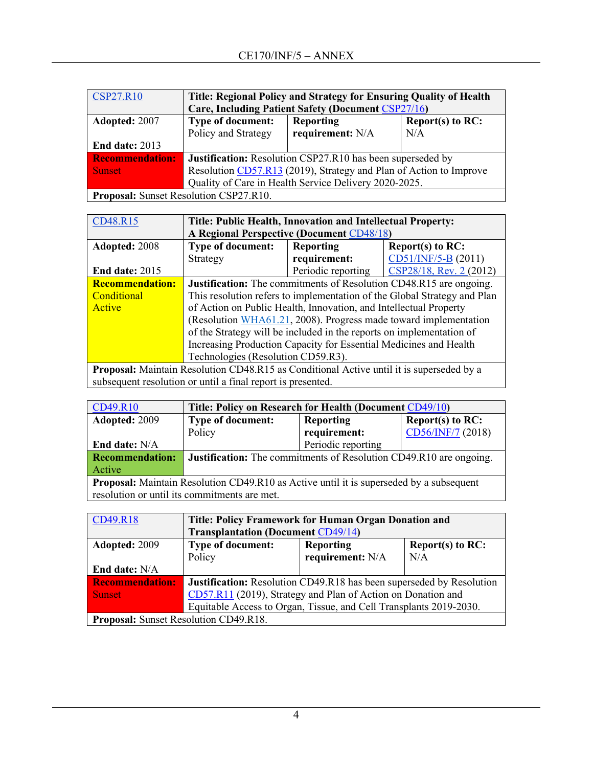| <b>CSP27.R10</b>                       | Title: Regional Policy and Strategy for Ensuring Quality of Health<br><b>Care, Including Patient Safety (Document CSP27/16)</b> |                  |                     |  |  |
|----------------------------------------|---------------------------------------------------------------------------------------------------------------------------------|------------------|---------------------|--|--|
|                                        |                                                                                                                                 |                  |                     |  |  |
| Adopted: 2007                          | <b>Type of document:</b>                                                                                                        | <b>Reporting</b> | Report(s) to $RC$ : |  |  |
|                                        | Policy and Strategy                                                                                                             | requirement: N/A | N/A                 |  |  |
| <b>End date: 2013</b>                  |                                                                                                                                 |                  |                     |  |  |
| <b>Recommendation:</b>                 | Justification: Resolution CSP27.R10 has been superseded by                                                                      |                  |                     |  |  |
| <b>Sunset</b>                          | Resolution CD57.R13 (2019), Strategy and Plan of Action to Improve                                                              |                  |                     |  |  |
|                                        | Quality of Care in Health Service Delivery 2020-2025.                                                                           |                  |                     |  |  |
| Proposal: Sunset Resolution CSP27.R10. |                                                                                                                                 |                  |                     |  |  |

| CD48.R15                                                                                        | Title: Public Health, Innovation and Intellectual Property:          |                    |                                                                           |
|-------------------------------------------------------------------------------------------------|----------------------------------------------------------------------|--------------------|---------------------------------------------------------------------------|
|                                                                                                 | A Regional Perspective (Document CD48/18)                            |                    |                                                                           |
| Adopted: 2008                                                                                   | <b>Type of document:</b>                                             | <b>Reporting</b>   | Report(s) to RC:                                                          |
|                                                                                                 | Strategy                                                             | requirement:       | $CD51/INF/5-B (2011)$                                                     |
| <b>End date: 2015</b>                                                                           |                                                                      | Periodic reporting | CSP28/18, Rev. 2 (2012)                                                   |
| <b>Recommendation:</b>                                                                          |                                                                      |                    | <b>Justification:</b> The commitments of Resolution CD48.R15 are ongoing. |
| Conditional                                                                                     |                                                                      |                    | This resolution refers to implementation of the Global Strategy and Plan  |
| Active                                                                                          | of Action on Public Health, Innovation, and Intellectual Property    |                    |                                                                           |
|                                                                                                 | (Resolution WHA61.21, 2008). Progress made toward implementation     |                    |                                                                           |
|                                                                                                 | of the Strategy will be included in the reports on implementation of |                    |                                                                           |
|                                                                                                 | Increasing Production Capacity for Essential Medicines and Health    |                    |                                                                           |
|                                                                                                 | Technologies (Resolution CD59.R3).                                   |                    |                                                                           |
| <b>Proposal:</b> Maintain Resolution CD48.R15 as Conditional Active until it is superseded by a |                                                                      |                    |                                                                           |
| subsequent resolution or until a final report is presented.                                     |                                                                      |                    |                                                                           |

| CD49.R10                                                                                       | Title: Policy on Research for Health (Document CD49/10)            |                    |                     |  |
|------------------------------------------------------------------------------------------------|--------------------------------------------------------------------|--------------------|---------------------|--|
| Adopted: 2009                                                                                  | <b>Type of document:</b>                                           | <b>Reporting</b>   | Report(s) to $RC$ : |  |
|                                                                                                | Policy                                                             | requirement:       | CD56/INF/7 (2018)   |  |
| <b>End date: N/A</b>                                                                           |                                                                    | Periodic reporting |                     |  |
| <b>Recommendation:</b>                                                                         | Justification: The commitments of Resolution CD49.R10 are ongoing. |                    |                     |  |
| Active                                                                                         |                                                                    |                    |                     |  |
| <b>Proposal:</b> Maintain Resolution CD49.R10 as Active until it is superseded by a subsequent |                                                                    |                    |                     |  |
| resolution or until its commitments are met.                                                   |                                                                    |                    |                     |  |

| CD49.R18                                     | Title: Policy Framework for Human Organ Donation and                        |                                           |     |  |
|----------------------------------------------|-----------------------------------------------------------------------------|-------------------------------------------|-----|--|
|                                              |                                                                             | <b>Transplantation (Document CD49/14)</b> |     |  |
| Adopted: 2009                                | Type of document:<br><b>Reporting</b><br>Report(s) to $RC$ :                |                                           |     |  |
|                                              | Policy                                                                      | requirement: N/A                          | N/A |  |
| End date: N/A                                |                                                                             |                                           |     |  |
| <b>Recommendation:</b>                       | <b>Justification:</b> Resolution CD49.R18 has been superseded by Resolution |                                           |     |  |
| <b>Sunset</b>                                | CD57.R11 (2019), Strategy and Plan of Action on Donation and                |                                           |     |  |
|                                              | Equitable Access to Organ, Tissue, and Cell Transplants 2019-2030.          |                                           |     |  |
| <b>Proposal:</b> Sunset Resolution CD49.R18. |                                                                             |                                           |     |  |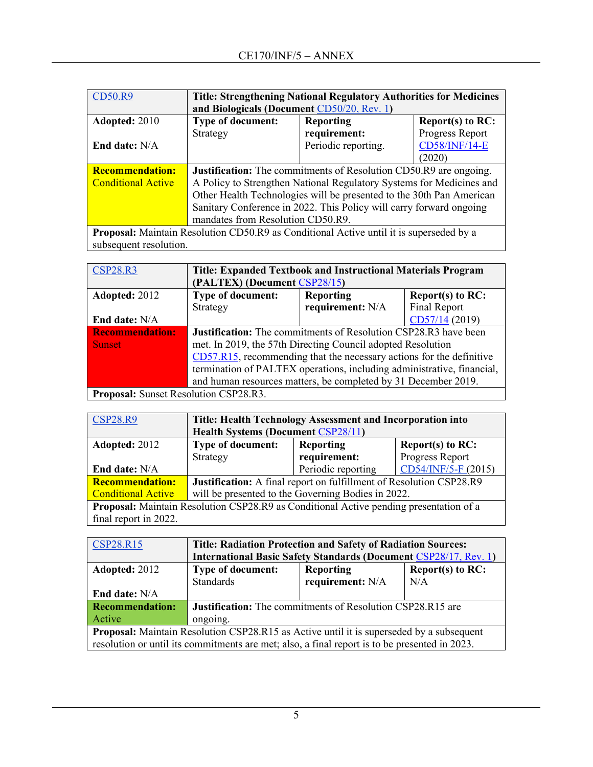| <b>CD50.R9</b>            | <b>Title: Strengthening National Regulatory Authorities for Medicines</b><br>and Biologicals (Document CD50/20, Rev. 1) |                                                                                                |                  |  |  |
|---------------------------|-------------------------------------------------------------------------------------------------------------------------|------------------------------------------------------------------------------------------------|------------------|--|--|
| Adopted: 2010             | <b>Type of document:</b>                                                                                                | <b>Reporting</b>                                                                               | Report(s) to RC: |  |  |
|                           | Strategy                                                                                                                | requirement:                                                                                   | Progress Report  |  |  |
| End date: $N/A$           | <b>CD58/INF/14-E</b><br>Periodic reporting.                                                                             |                                                                                                |                  |  |  |
|                           |                                                                                                                         |                                                                                                | (2020)           |  |  |
| <b>Recommendation:</b>    | <b>Justification:</b> The commitments of Resolution CD50.R9 are ongoing.                                                |                                                                                                |                  |  |  |
| <b>Conditional Active</b> | A Policy to Strengthen National Regulatory Systems for Medicines and                                                    |                                                                                                |                  |  |  |
|                           | Other Health Technologies will be presented to the 30th Pan American                                                    |                                                                                                |                  |  |  |
|                           | Sanitary Conference in 2022. This Policy will carry forward ongoing                                                     |                                                                                                |                  |  |  |
|                           | mandates from Resolution CD50.R9.                                                                                       |                                                                                                |                  |  |  |
|                           |                                                                                                                         | <b>Proposal:</b> Maintain Resolution CD50.R9 as Conditional Active until it is superseded by a |                  |  |  |

subsequent resolution.

| <b>CSP28.R3</b>                       | <b>Title: Expanded Textbook and Instructional Materials Program</b><br>(PALTEX) (Document CSP28/15) |                  |                     |
|---------------------------------------|-----------------------------------------------------------------------------------------------------|------------------|---------------------|
| Adopted: 2012                         | Type of document:                                                                                   | <b>Reporting</b> | Report $(s)$ to RC: |
|                                       | Strategy                                                                                            | requirement: N/A | Final Report        |
| <b>End date: N/A</b>                  |                                                                                                     |                  | CD57/14 (2019)      |
| <b>Recommendation:</b>                | Justification: The commitments of Resolution CSP28.R3 have been                                     |                  |                     |
| <b>Sunset</b>                         | met. In 2019, the 57th Directing Council adopted Resolution                                         |                  |                     |
|                                       | CD57.R15, recommending that the necessary actions for the definitive                                |                  |                     |
|                                       | termination of PALTEX operations, including administrative, financial,                              |                  |                     |
|                                       | and human resources matters, be completed by 31 December 2019.                                      |                  |                     |
| Proposal: Sunset Resolution CSP28.R3. |                                                                                                     |                  |                     |

| <b>CSP28.R9</b>                                                                               | Title: Health Technology Assessment and Incorporation into          |                    |                     |  |
|-----------------------------------------------------------------------------------------------|---------------------------------------------------------------------|--------------------|---------------------|--|
|                                                                                               | <b>Health Systems (Document CSP28/11)</b>                           |                    |                     |  |
| Adopted: 2012                                                                                 | <b>Type of document:</b><br><b>Reporting</b><br>Report $(s)$ to RC: |                    |                     |  |
|                                                                                               | Strategy                                                            | requirement:       | Progress Report     |  |
| End date: N/A                                                                                 |                                                                     | Periodic reporting | CD54/INF/5-F (2015) |  |
| <b>Recommendation:</b>                                                                        | Justification: A final report on fulfillment of Resolution CSP28.R9 |                    |                     |  |
| <b>Conditional Active</b>                                                                     | will be presented to the Governing Bodies in 2022.                  |                    |                     |  |
| <b>Proposal:</b> Maintain Resolution CSP28.R9 as Conditional Active pending presentation of a |                                                                     |                    |                     |  |
| final report in 2022.                                                                         |                                                                     |                    |                     |  |

| <b>CSP28.R15</b>                                                                                | <b>Title: Radiation Protection and Safety of Radiation Sources:</b>                           |                                         |     |  |
|-------------------------------------------------------------------------------------------------|-----------------------------------------------------------------------------------------------|-----------------------------------------|-----|--|
|                                                                                                 | <b>International Basic Safety Standards (Document CSP28/17, Rev. 1)</b>                       |                                         |     |  |
| Adopted: 2012                                                                                   | <b>Type of document:</b>                                                                      | Report(s) to $RC$ :<br><b>Reporting</b> |     |  |
|                                                                                                 | <b>Standards</b>                                                                              | requirement: N/A                        | N/A |  |
| <b>End date:</b> N/A                                                                            |                                                                                               |                                         |     |  |
| <b>Recommendation:</b>                                                                          | <b>Justification:</b> The commitments of Resolution CSP28.R15 are                             |                                         |     |  |
| Active                                                                                          | ongoing.                                                                                      |                                         |     |  |
| <b>Proposal:</b> Maintain Resolution CSP28.R15 as Active until it is superseded by a subsequent |                                                                                               |                                         |     |  |
|                                                                                                 | resolution or until its commitments are met; also, a final report is to be presented in 2023. |                                         |     |  |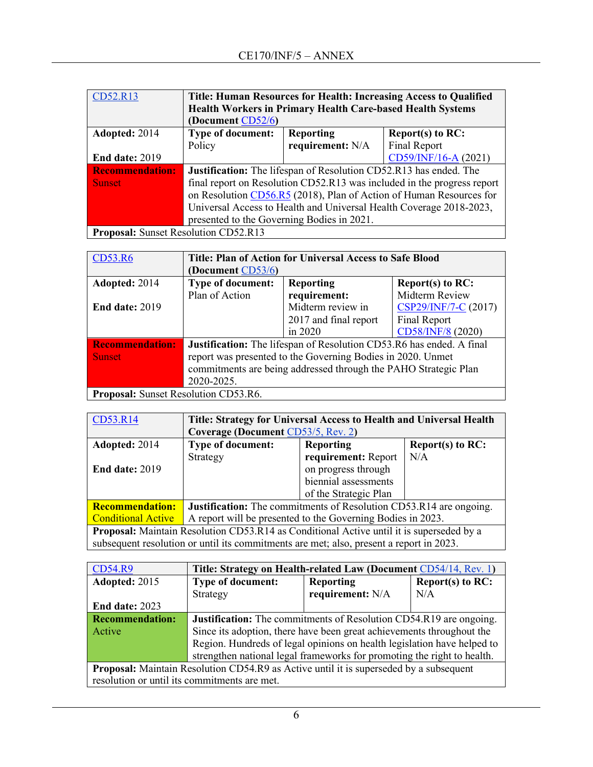| CD52.R13                             | Title: Human Resources for Health: Increasing Access to Qualified        |                  |                      |
|--------------------------------------|--------------------------------------------------------------------------|------------------|----------------------|
|                                      | <b>Health Workers in Primary Health Care-based Health Systems</b>        |                  |                      |
|                                      | (Document CD52/6)                                                        |                  |                      |
| Adopted: 2014                        | <b>Type of document:</b>                                                 | <b>Reporting</b> | Report(s) to $RC$ :  |
|                                      | Policy                                                                   | requirement: N/A | Final Report         |
| End date: 2019                       |                                                                          |                  | CD59/INF/16-A (2021) |
| <b>Recommendation:</b>               | <b>Justification:</b> The lifespan of Resolution CD52.R13 has ended. The |                  |                      |
| <b>Sunset</b>                        | final report on Resolution CD52.R13 was included in the progress report  |                  |                      |
|                                      | on Resolution CD56.R5 (2018), Plan of Action of Human Resources for      |                  |                      |
|                                      | Universal Access to Health and Universal Health Coverage 2018-2023,      |                  |                      |
|                                      | presented to the Governing Bodies in 2021.                               |                  |                      |
| Proposal: Sunset Resolution CD52.R13 |                                                                          |                  |                      |

**Proposal:** Sunset Resolution CD52.R13

| CD53.R6                              | Title: Plan of Action for Universal Access to Safe Blood             |                       |                      |  |
|--------------------------------------|----------------------------------------------------------------------|-----------------------|----------------------|--|
|                                      | (Document CD53/6)                                                    |                       |                      |  |
| Adopted: 2014                        | <b>Type of document:</b>                                             | <b>Reporting</b>      | Report(s) to RC:     |  |
|                                      | Plan of Action                                                       | requirement:          | Midterm Review       |  |
| <b>End date: 2019</b>                |                                                                      | Midterm review in     | CSP29/INF/7-C (2017) |  |
|                                      |                                                                      | 2017 and final report | Final Report         |  |
|                                      |                                                                      | in 2020               | CD58/INF/8 (2020)    |  |
| <b>Recommendation:</b>               | Justification: The lifespan of Resolution CD53.R6 has ended. A final |                       |                      |  |
| <b>Sunset</b>                        | report was presented to the Governing Bodies in 2020. Unmet          |                       |                      |  |
|                                      | commitments are being addressed through the PAHO Strategic Plan      |                       |                      |  |
|                                      | 2020-2025.                                                           |                       |                      |  |
| Proposal: Sunset Resolution CD53.R6. |                                                                      |                       |                      |  |

| CD53.R14                                                                                        | Title: Strategy for Universal Access to Health and Universal Health                     |                       |                     |
|-------------------------------------------------------------------------------------------------|-----------------------------------------------------------------------------------------|-----------------------|---------------------|
|                                                                                                 | Coverage (Document CD53/5, Rev. 2)                                                      |                       |                     |
| Adopted: 2014                                                                                   | <b>Type of document:</b>                                                                | <b>Reporting</b>      | Report(s) to $RC$ : |
|                                                                                                 | Strategy                                                                                | requirement: Report   | N/A                 |
| <b>End date: 2019</b>                                                                           |                                                                                         | on progress through   |                     |
|                                                                                                 |                                                                                         | biennial assessments  |                     |
|                                                                                                 |                                                                                         | of the Strategic Plan |                     |
| <b>Recommendation:</b>                                                                          | <b>Justification:</b> The commitments of Resolution CD53.R14 are ongoing.               |                       |                     |
| <b>Conditional Active</b>                                                                       | A report will be presented to the Governing Bodies in 2023.                             |                       |                     |
| <b>Proposal:</b> Maintain Resolution CD53.R14 as Conditional Active until it is superseded by a |                                                                                         |                       |                     |
|                                                                                                 | subsequent resolution or until its commitments are met; also, present a report in 2023. |                       |                     |

| <b>CD54.R9</b>                                                                                | Title: Strategy on Health-related Law (Document CD54/14, Rev. 1)        |                  |                     |
|-----------------------------------------------------------------------------------------------|-------------------------------------------------------------------------|------------------|---------------------|
| Adopted: 2015                                                                                 | Type of document:                                                       | <b>Reporting</b> | Report $(s)$ to RC: |
|                                                                                               | Strategy                                                                | requirement: N/A | N/A                 |
| End date: 2023                                                                                |                                                                         |                  |                     |
| <b>Recommendation:</b>                                                                        | Justification: The commitments of Resolution CD54.R19 are ongoing.      |                  |                     |
| Active                                                                                        | Since its adoption, there have been great achievements throughout the   |                  |                     |
|                                                                                               | Region. Hundreds of legal opinions on health legislation have helped to |                  |                     |
|                                                                                               | strengthen national legal frameworks for promoting the right to health. |                  |                     |
| <b>Proposal:</b> Maintain Resolution CD54.R9 as Active until it is superseded by a subsequent |                                                                         |                  |                     |
| resolution or until its commitments are met.                                                  |                                                                         |                  |                     |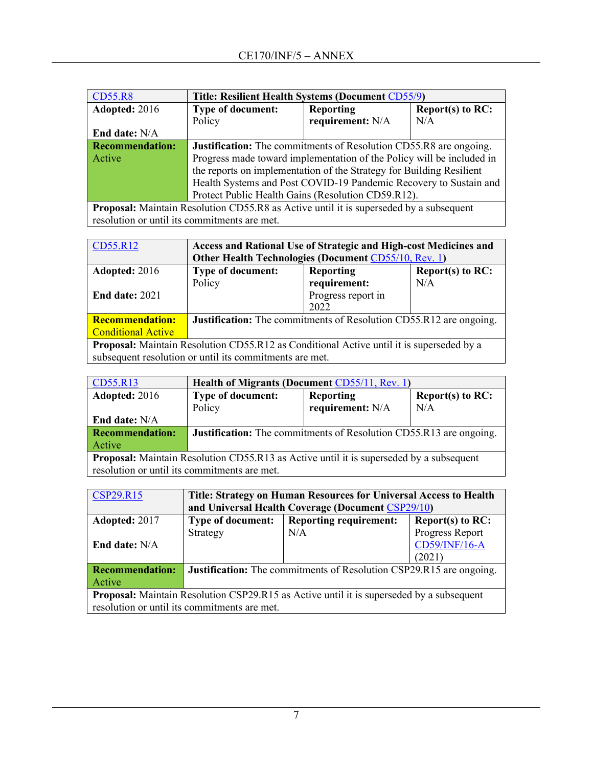| <b>CD55.R8</b>         | Title: Resilient Health Systems (Document CD55/9)                                             |                  |                     |
|------------------------|-----------------------------------------------------------------------------------------------|------------------|---------------------|
| Adopted: 2016          | <b>Type of document:</b>                                                                      | <b>Reporting</b> | Report $(s)$ to RC: |
|                        | Policy                                                                                        | requirement: N/A | N/A                 |
| End date: N/A          |                                                                                               |                  |                     |
| <b>Recommendation:</b> | <b>Justification:</b> The commitments of Resolution CD55.R8 are ongoing.                      |                  |                     |
| Active                 | Progress made toward implementation of the Policy will be included in                         |                  |                     |
|                        | the reports on implementation of the Strategy for Building Resilient                          |                  |                     |
|                        | Health Systems and Post COVID-19 Pandemic Recovery to Sustain and                             |                  |                     |
|                        | Protect Public Health Gains (Resolution CD59.R12).                                            |                  |                     |
|                        | <b>Proposal:</b> Maintain Resolution CD55.R8 as Active until it is superseded by a subsequent |                  |                     |

resolution or until its commitments are met.

| CD55.R12                                                                                        | Access and Rational Use of Strategic and High-cost Medicines and          |                    |                     |  |
|-------------------------------------------------------------------------------------------------|---------------------------------------------------------------------------|--------------------|---------------------|--|
|                                                                                                 | Other Health Technologies (Document CD55/10, Rev. 1)                      |                    |                     |  |
| Adopted: 2016                                                                                   | <b>Type of document:</b>                                                  | <b>Reporting</b>   | Report $(s)$ to RC: |  |
|                                                                                                 | Policy                                                                    | requirement:       | N/A                 |  |
| <b>End date: 2021</b>                                                                           |                                                                           | Progress report in |                     |  |
|                                                                                                 |                                                                           | 2022               |                     |  |
| <b>Recommendation:</b>                                                                          | <b>Justification:</b> The commitments of Resolution CD55.R12 are ongoing. |                    |                     |  |
| <b>Conditional Active</b>                                                                       |                                                                           |                    |                     |  |
| <b>Proposal:</b> Maintain Resolution CD55.R12 as Conditional Active until it is superseded by a |                                                                           |                    |                     |  |
| subsequent resolution or until its commitments are met.                                         |                                                                           |                    |                     |  |

| CD55.R13                                                                                       | <b>Health of Migrants (Document CD55/11, Rev. 1)</b>                      |                  |                     |
|------------------------------------------------------------------------------------------------|---------------------------------------------------------------------------|------------------|---------------------|
| Adopted: 2016                                                                                  | <b>Type of document:</b>                                                  | Reporting        | Report(s) to $RC$ : |
|                                                                                                | Policy                                                                    | requirement: N/A | N/A                 |
| End date: N/A                                                                                  |                                                                           |                  |                     |
| <b>Recommendation:</b>                                                                         | <b>Justification:</b> The commitments of Resolution CD55.R13 are ongoing. |                  |                     |
| Active                                                                                         |                                                                           |                  |                     |
| <b>Proposal:</b> Maintain Resolution CD55.R13 as Active until it is superseded by a subsequent |                                                                           |                  |                     |
| resolution or until its commitments are met.                                                   |                                                                           |                  |                     |

| CSP29.R15                                                                                       | Title: Strategy on Human Resources for Universal Access to Health          |                                                   |                     |  |  |
|-------------------------------------------------------------------------------------------------|----------------------------------------------------------------------------|---------------------------------------------------|---------------------|--|--|
|                                                                                                 |                                                                            | and Universal Health Coverage (Document CSP29/10) |                     |  |  |
| Adopted: 2017                                                                                   | <b>Type of document:</b>                                                   | <b>Reporting requirement:</b>                     | Report(s) to $RC$ : |  |  |
|                                                                                                 | Strategy                                                                   | N/A                                               | Progress Report     |  |  |
| End date: $N/A$                                                                                 |                                                                            |                                                   | CD59/INF/16-A       |  |  |
|                                                                                                 |                                                                            |                                                   | (2021)              |  |  |
| <b>Recommendation:</b>                                                                          | <b>Justification:</b> The commitments of Resolution CSP29.R15 are ongoing. |                                                   |                     |  |  |
| Active                                                                                          |                                                                            |                                                   |                     |  |  |
| <b>Proposal:</b> Maintain Resolution CSP29.R15 as Active until it is superseded by a subsequent |                                                                            |                                                   |                     |  |  |
| resolution or until its commitments are met.                                                    |                                                                            |                                                   |                     |  |  |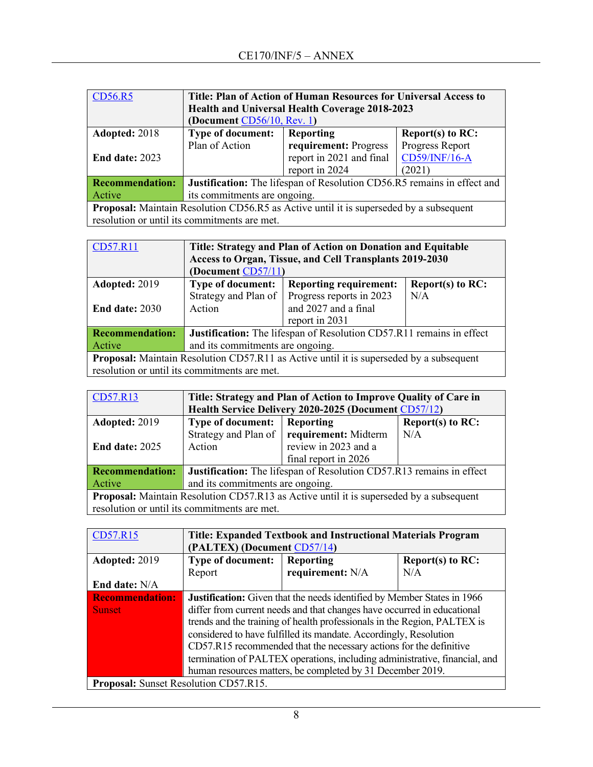| <b>CD56.R5</b>                                                                         | Title: Plan of Action of Human Resources for Universal Access to        |                                  |                 |  |  |
|----------------------------------------------------------------------------------------|-------------------------------------------------------------------------|----------------------------------|-----------------|--|--|
|                                                                                        | Health and Universal Health Coverage 2018-2023                          |                                  |                 |  |  |
|                                                                                        | (Document CD56/10, Rev. 1)                                              |                                  |                 |  |  |
| Adopted: 2018                                                                          | <b>Type of document:</b>                                                | Reporting<br>Report $(s)$ to RC: |                 |  |  |
|                                                                                        | Plan of Action                                                          | requirement: Progress            | Progress Report |  |  |
| <b>End date: 2023</b>                                                                  | CD59/INF/16-A<br>report in 2021 and final                               |                                  |                 |  |  |
|                                                                                        |                                                                         | report in 2024                   | (2021)          |  |  |
| <b>Recommendation:</b>                                                                 | Justification: The lifespan of Resolution CD56.R5 remains in effect and |                                  |                 |  |  |
| Active                                                                                 | its commitments are ongoing.                                            |                                  |                 |  |  |
| Proposal: Maintain Resolution CD56.R5 as Active until it is superseded by a subsequent |                                                                         |                                  |                 |  |  |
|                                                                                        | resolution or until its commitments are met.                            |                                  |                 |  |  |

| CD57.R11                                                                                       | Title: Strategy and Plan of Action on Donation and Equitable                |                                                         |                     |  |
|------------------------------------------------------------------------------------------------|-----------------------------------------------------------------------------|---------------------------------------------------------|---------------------|--|
|                                                                                                |                                                                             | Access to Organ, Tissue, and Cell Transplants 2019-2030 |                     |  |
|                                                                                                | (Document CD57/11)                                                          |                                                         |                     |  |
| Adopted: 2019                                                                                  | Type of document:                                                           | <b>Reporting requirement:</b>                           | Report $(s)$ to RC: |  |
|                                                                                                | Strategy and Plan of                                                        | Progress reports in 2023                                | N/A                 |  |
| <b>End date: 2030</b>                                                                          | Action                                                                      | and 2027 and a final                                    |                     |  |
|                                                                                                |                                                                             | report in 2031                                          |                     |  |
| <b>Recommendation:</b>                                                                         | <b>Justification:</b> The lifespan of Resolution CD57.R11 remains in effect |                                                         |                     |  |
| Active                                                                                         | and its commitments are ongoing.                                            |                                                         |                     |  |
| <b>Proposal:</b> Maintain Resolution CD57.R11 as Active until it is superseded by a subsequent |                                                                             |                                                         |                     |  |
|                                                                                                | resolution or until its commitments are met.                                |                                                         |                     |  |

| CD57.R13                                                                                       | Title: Strategy and Plan of Action to Improve Quality of Care in            |                                             |                     |  |
|------------------------------------------------------------------------------------------------|-----------------------------------------------------------------------------|---------------------------------------------|---------------------|--|
|                                                                                                | Health Service Delivery 2020-2025 (Document CD57/12)                        |                                             |                     |  |
| Adopted: 2019                                                                                  | <b>Type of document:</b>                                                    | Reporting                                   | Report(s) to $RC$ : |  |
|                                                                                                |                                                                             | Strategy and Plan of   requirement: Midterm | N/A                 |  |
| <b>End date: 2025</b>                                                                          | Action                                                                      | review in 2023 and a                        |                     |  |
|                                                                                                |                                                                             | final report in 2026                        |                     |  |
| <b>Recommendation:</b>                                                                         | <b>Justification:</b> The lifespan of Resolution CD57.R13 remains in effect |                                             |                     |  |
| Active                                                                                         | and its commitments are ongoing.                                            |                                             |                     |  |
| <b>Proposal:</b> Maintain Resolution CD57.R13 as Active until it is superseded by a subsequent |                                                                             |                                             |                     |  |
|                                                                                                | resolution or until its commitments are met.                                |                                             |                     |  |

| CD57.R15                                     | Title: Expanded Textbook and Instructional Materials Program                   |                                                            |                     |  |
|----------------------------------------------|--------------------------------------------------------------------------------|------------------------------------------------------------|---------------------|--|
|                                              | (PALTEX) (Document CD57/14)                                                    |                                                            |                     |  |
| Adopted: 2019                                | <b>Type of document:</b>                                                       | Reporting                                                  | Report(s) to $RC$ : |  |
|                                              | Report                                                                         | requirement: N/A                                           | N/A                 |  |
| End date: N/A                                |                                                                                |                                                            |                     |  |
| <b>Recommendation:</b>                       | <b>Justification:</b> Given that the needs identified by Member States in 1966 |                                                            |                     |  |
| <b>Sunset</b>                                | differ from current needs and that changes have occurred in educational        |                                                            |                     |  |
|                                              | trends and the training of health professionals in the Region, PALTEX is       |                                                            |                     |  |
|                                              | considered to have fulfilled its mandate. Accordingly, Resolution              |                                                            |                     |  |
|                                              | CD57.R15 recommended that the necessary actions for the definitive             |                                                            |                     |  |
|                                              | termination of PALTEX operations, including administrative, financial, and     |                                                            |                     |  |
|                                              |                                                                                | human resources matters, be completed by 31 December 2019. |                     |  |
| <b>Proposal:</b> Sunset Resolution CD57.R15. |                                                                                |                                                            |                     |  |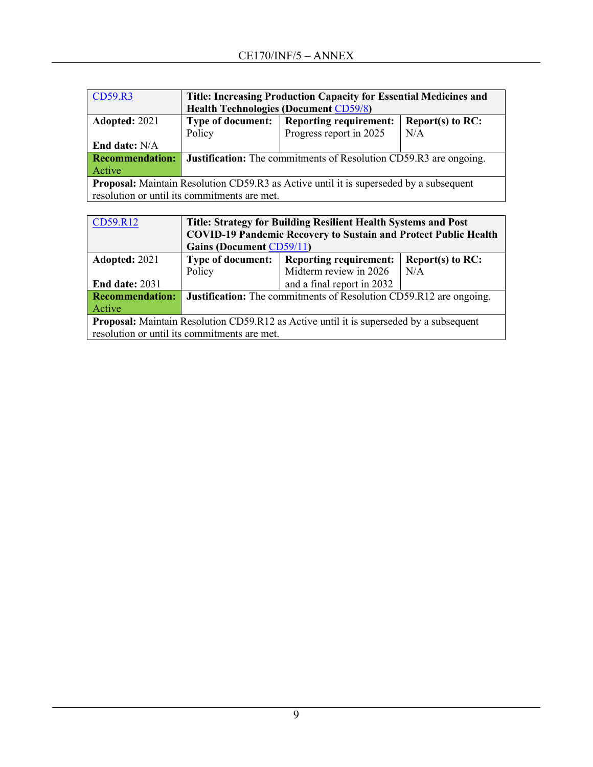| <b>CD59.R3</b>                                                                                                                                | Title: Increasing Production Capacity for Essential Medicines and<br><b>Health Technologies (Document CD59/8)</b>                                          |                               |                     |  |
|-----------------------------------------------------------------------------------------------------------------------------------------------|------------------------------------------------------------------------------------------------------------------------------------------------------------|-------------------------------|---------------------|--|
| Adopted: 2021                                                                                                                                 | <b>Type of document:</b>                                                                                                                                   | <b>Reporting requirement:</b> | Report(s) to $RC$ : |  |
|                                                                                                                                               | Policy                                                                                                                                                     | Progress report in 2025       | N/A                 |  |
| <b>End date:</b> N/A                                                                                                                          |                                                                                                                                                            |                               |                     |  |
| <b>Recommendation:</b>                                                                                                                        | <b>Justification:</b> The commitments of Resolution CD59.R3 are ongoing.                                                                                   |                               |                     |  |
| Active                                                                                                                                        |                                                                                                                                                            |                               |                     |  |
| <b>Proposal:</b> Maintain Resolution CD59.R3 as Active until it is superseded by a subsequent<br>resolution or until its commitments are met. |                                                                                                                                                            |                               |                     |  |
|                                                                                                                                               |                                                                                                                                                            |                               |                     |  |
| CD59.R12                                                                                                                                      | <b>Title: Strategy for Building Resilient Health Systems and Post</b><br>$C\Omega VID$ $A\Omega D$ $A$ $B$ $C$ $A$ $C$ $A$ $C$ $A$ $D$ $A$ $A$ $D$ $D$ $F$ |                               |                     |  |

| $\overline{CD}$ 9.R12                                                                          | Title: Strategy for Building Resilient Health Systems and Post                   |                            |     |  |
|------------------------------------------------------------------------------------------------|----------------------------------------------------------------------------------|----------------------------|-----|--|
|                                                                                                | <b>COVID-19 Pandemic Recovery to Sustain and Protect Public Health</b>           |                            |     |  |
|                                                                                                | <b>Gains (Document CD59/11)</b>                                                  |                            |     |  |
| Adopted: 2021                                                                                  | Report(s) to $RC$ :<br><b>Reporting requirement:</b><br><b>Type of document:</b> |                            |     |  |
|                                                                                                | Policy                                                                           | Midterm review in 2026     | N/A |  |
| <b>End date: 2031</b>                                                                          |                                                                                  | and a final report in 2032 |     |  |
| <b>Recommendation:</b>                                                                         | <b>Justification:</b> The commitments of Resolution CD59.R12 are ongoing.        |                            |     |  |
| Active                                                                                         |                                                                                  |                            |     |  |
| <b>Proposal:</b> Maintain Resolution CD59.R12 as Active until it is superseded by a subsequent |                                                                                  |                            |     |  |
|                                                                                                | resolution or until its commitments are met.                                     |                            |     |  |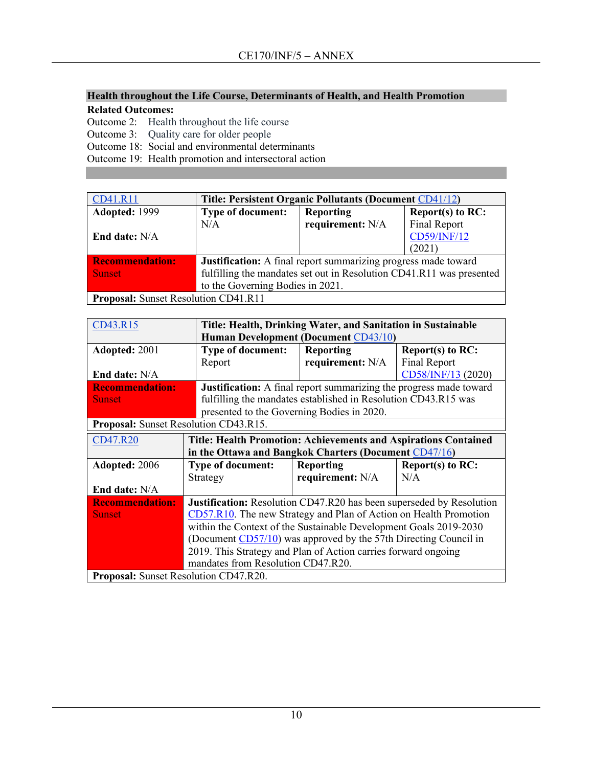## **Health throughout the Life Course, Determinants of Health, and Health Promotion Related Outcomes:**

Outcome 2: Health throughout the life course

Outcome 3: Quality care for older people

Outcome 18: Social and environmental determinants

Outcome 19: Health promotion and intersectoral action

| CD41.R11                             | Title: Persistent Organic Pollutants (Document CD41/12)              |                  |                     |
|--------------------------------------|----------------------------------------------------------------------|------------------|---------------------|
| Adopted: 1999                        | <b>Type of document:</b>                                             | Reporting        | Report(s) to $RC$ : |
|                                      | N/A                                                                  | requirement: N/A | Final Report        |
| End date: N/A                        |                                                                      |                  | CD59/INF/12         |
|                                      |                                                                      |                  | (2021)              |
| <b>Recommendation:</b>               | Justification: A final report summarizing progress made toward       |                  |                     |
| <b>Sunset</b>                        | fulfilling the mandates set out in Resolution CD41.R11 was presented |                  |                     |
|                                      | to the Governing Bodies in 2021.                                     |                  |                     |
| Proposal: Sunset Resolution CD41.R11 |                                                                      |                  |                     |

| CD43.R15                                     |                                                                             | Title: Health, Drinking Water, and Sanitation in Sustainable              |                     |  |  |
|----------------------------------------------|-----------------------------------------------------------------------------|---------------------------------------------------------------------------|---------------------|--|--|
|                                              |                                                                             | <b>Human Development (Document CD43/10)</b>                               |                     |  |  |
| Adopted: 2001                                | <b>Type of document:</b>                                                    | <b>Reporting</b>                                                          | Report(s) to RC:    |  |  |
|                                              | Report                                                                      | requirement: N/A                                                          | <b>Final Report</b> |  |  |
| End date: N/A                                |                                                                             |                                                                           | CD58/INF/13 (2020)  |  |  |
| <b>Recommendation:</b>                       |                                                                             | <b>Justification:</b> A final report summarizing the progress made toward |                     |  |  |
| <b>Sunset</b>                                |                                                                             | fulfilling the mandates established in Resolution CD43.R15 was            |                     |  |  |
|                                              | presented to the Governing Bodies in 2020.                                  |                                                                           |                     |  |  |
| <b>Proposal:</b> Sunset Resolution CD43.R15. |                                                                             |                                                                           |                     |  |  |
| CD47.R20                                     | <b>Title: Health Promotion: Achievements and Aspirations Contained</b>      |                                                                           |                     |  |  |
|                                              | in the Ottawa and Bangkok Charters (Document CD47/16)                       |                                                                           |                     |  |  |
| Adopted: 2006                                | <b>Type of document:</b>                                                    | <b>Reporting</b>                                                          | Report(s) to RC:    |  |  |
|                                              | Strategy                                                                    | requirement: N/A                                                          | N/A                 |  |  |
| End date: N/A                                |                                                                             |                                                                           |                     |  |  |
| <b>Recommendation:</b>                       | <b>Justification:</b> Resolution CD47.R20 has been superseded by Resolution |                                                                           |                     |  |  |
| <b>Sunset</b>                                | CD57.R10. The new Strategy and Plan of Action on Health Promotion           |                                                                           |                     |  |  |
|                                              | within the Context of the Sustainable Development Goals 2019-2030           |                                                                           |                     |  |  |
|                                              | (Document CD57/10) was approved by the 57th Directing Council in            |                                                                           |                     |  |  |
|                                              | 2019. This Strategy and Plan of Action carries forward ongoing              |                                                                           |                     |  |  |
|                                              | mandates from Resolution CD47.R20.                                          |                                                                           |                     |  |  |
| <b>Proposal:</b> Sunset Resolution CD47.R20. |                                                                             |                                                                           |                     |  |  |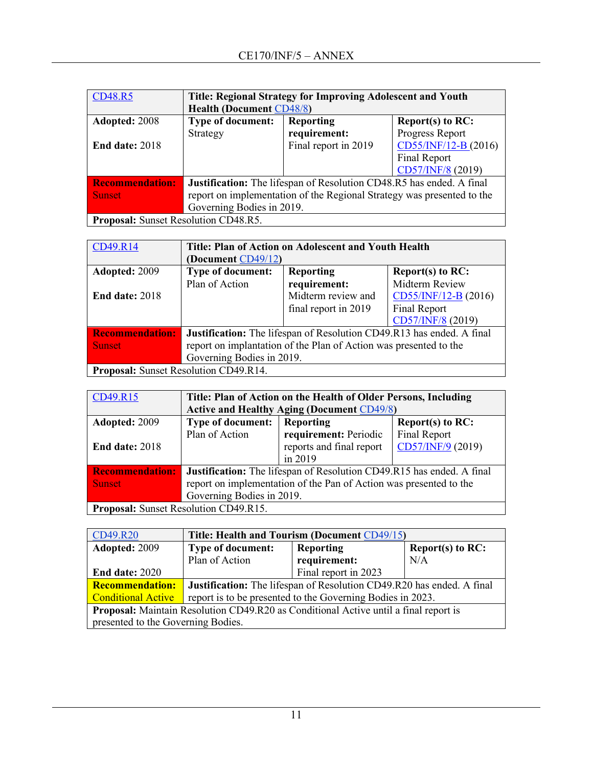| <b>CD48.R5</b>         | Title: Regional Strategy for Improving Adolescent and Youth            |                      |                      |  |
|------------------------|------------------------------------------------------------------------|----------------------|----------------------|--|
|                        | <b>Health (Document CD48/8)</b>                                        |                      |                      |  |
| Adopted: 2008          | <b>Type of document:</b>                                               | <b>Reporting</b>     | Report(s) to RC:     |  |
|                        | Strategy                                                               | requirement:         | Progress Report      |  |
| End date: $2018$       |                                                                        | Final report in 2019 | CD55/INF/12-B (2016) |  |
|                        |                                                                        |                      | Final Report         |  |
|                        |                                                                        |                      | CD57/INF/8 (2019)    |  |
| <b>Recommendation:</b> | Justification: The lifespan of Resolution CD48.R5 has ended. A final   |                      |                      |  |
| <b>Sunset</b>          | report on implementation of the Regional Strategy was presented to the |                      |                      |  |
|                        | Governing Bodies in 2019.                                              |                      |                      |  |
|                        | <b>Proposal:</b> Sunset Resolution CD48.R5.                            |                      |                      |  |

| CD49.R14                              | Title: Plan of Action on Adolescent and Youth Health                  |                      |                      |  |
|---------------------------------------|-----------------------------------------------------------------------|----------------------|----------------------|--|
|                                       | (Document CD49/12)                                                    |                      |                      |  |
| Adopted: 2009                         | <b>Type of document:</b>                                              | <b>Reporting</b>     | Report $(s)$ to RC:  |  |
|                                       | Plan of Action                                                        | requirement:         | Midterm Review       |  |
| <b>End date: 2018</b>                 |                                                                       | Midterm review and   | CD55/INF/12-B (2016) |  |
|                                       |                                                                       | final report in 2019 | Final Report         |  |
|                                       |                                                                       |                      | CD57/INF/8 (2019)    |  |
| <b>Recommendation:</b>                | Justification: The lifespan of Resolution CD49.R13 has ended. A final |                      |                      |  |
| <b>Sunset</b>                         | report on implantation of the Plan of Action was presented to the     |                      |                      |  |
|                                       | Governing Bodies in 2019.                                             |                      |                      |  |
| Proposal: Sunset Resolution CD49.R14. |                                                                       |                      |                      |  |

| CD49.R15                              | Title: Plan of Action on the Health of Older Persons, Including              |                          |                   |  |
|---------------------------------------|------------------------------------------------------------------------------|--------------------------|-------------------|--|
|                                       | <b>Active and Healthy Aging (Document CD49/8)</b>                            |                          |                   |  |
| Adopted: 2009                         | <b>Type of document:</b>                                                     | Reporting                | Report(s) to RC:  |  |
|                                       | Plan of Action                                                               | requirement: Periodic    | Final Report      |  |
| End date: $2018$                      |                                                                              | reports and final report | CD57/INF/9 (2019) |  |
|                                       |                                                                              | in 2019                  |                   |  |
| <b>Recommendation:</b>                | <b>Justification:</b> The lifespan of Resolution CD49.R15 has ended. A final |                          |                   |  |
| <b>Sunset</b>                         | report on implementation of the Pan of Action was presented to the           |                          |                   |  |
|                                       | Governing Bodies in 2019.                                                    |                          |                   |  |
| Proposal: Sunset Resolution CD49.R15. |                                                                              |                          |                   |  |

| CD49.R20                                                                                    | Title: Health and Tourism (Document CD49/15)                                 |                      |                     |
|---------------------------------------------------------------------------------------------|------------------------------------------------------------------------------|----------------------|---------------------|
| Adopted: 2009                                                                               | <b>Type of document:</b>                                                     | <b>Reporting</b>     | Report(s) to $RC$ : |
|                                                                                             | Plan of Action                                                               | requirement:         | N/A                 |
| <b>End date: 2020</b>                                                                       |                                                                              | Final report in 2023 |                     |
| <b>Recommendation:</b>                                                                      | <b>Justification:</b> The lifespan of Resolution CD49.R20 has ended. A final |                      |                     |
| <b>Conditional Active</b>                                                                   | report is to be presented to the Governing Bodies in 2023.                   |                      |                     |
| <b>Proposal:</b> Maintain Resolution CD49.R20 as Conditional Active until a final report is |                                                                              |                      |                     |
| presented to the Governing Bodies.                                                          |                                                                              |                      |                     |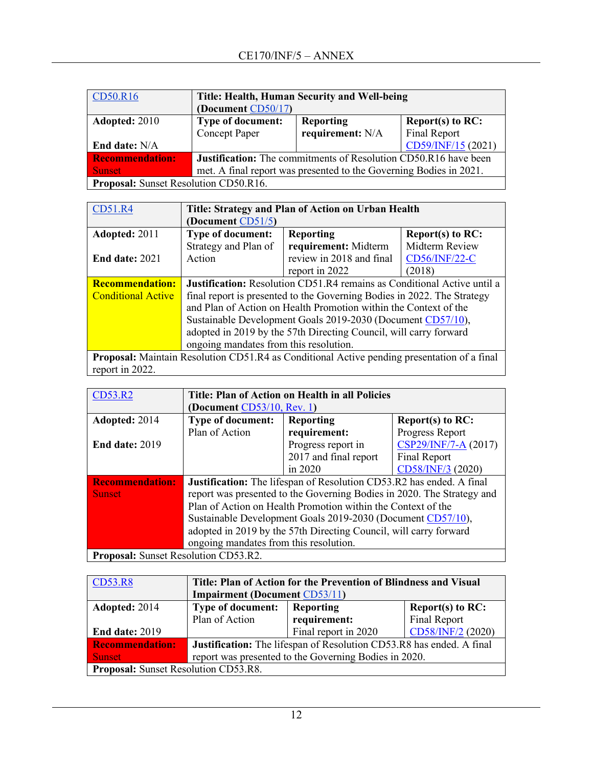| CD50.R16                                     | Title: Health, Human Security and Well-being                           |                  |                     |  |
|----------------------------------------------|------------------------------------------------------------------------|------------------|---------------------|--|
|                                              | (Document CD50/17)                                                     |                  |                     |  |
| Adopted: 2010                                | <b>Type of document:</b>                                               | <b>Reporting</b> | Report(s) to $RC$ : |  |
|                                              | requirement: N/A<br>Final Report<br><b>Concept Paper</b>               |                  |                     |  |
| <b>End date:</b> N/A                         |                                                                        |                  | CD59/INF/15 (2021)  |  |
| <b>Recommendation:</b>                       | <b>Justification:</b> The commitments of Resolution CD50.R16 have been |                  |                     |  |
| <b>Sunset</b>                                | met. A final report was presented to the Governing Bodies in 2021.     |                  |                     |  |
| <b>Proposal:</b> Sunset Resolution CD50.R16. |                                                                        |                  |                     |  |

| CD51.R4                   | Title: Strategy and Plan of Action on Urban Health                             |                                                                                                    |                     |  |
|---------------------------|--------------------------------------------------------------------------------|----------------------------------------------------------------------------------------------------|---------------------|--|
|                           | (Document $CD51/5$ )                                                           |                                                                                                    |                     |  |
| Adopted: 2011             | <b>Type of document:</b>                                                       | <b>Reporting</b>                                                                                   | Report(s) to $RC$ : |  |
|                           | Strategy and Plan of                                                           | requirement: Midterm                                                                               | Midterm Review      |  |
| <b>End date: 2021</b>     | Action                                                                         | review in 2018 and final                                                                           | $CD56/INF/22-C$     |  |
|                           |                                                                                | report in 2022                                                                                     | (2018)              |  |
| <b>Recommendation:</b>    | <b>Justification:</b> Resolution CD51.R4 remains as Conditional Active until a |                                                                                                    |                     |  |
| <b>Conditional Active</b> | final report is presented to the Governing Bodies in 2022. The Strategy        |                                                                                                    |                     |  |
|                           | and Plan of Action on Health Promotion within the Context of the               |                                                                                                    |                     |  |
|                           | Sustainable Development Goals 2019-2030 (Document CD57/10),                    |                                                                                                    |                     |  |
|                           | adopted in 2019 by the 57th Directing Council, will carry forward              |                                                                                                    |                     |  |
|                           | ongoing mandates from this resolution.                                         |                                                                                                    |                     |  |
|                           |                                                                                | <b>Proposal:</b> Maintain Resolution CD51 R4 as Conditional Active pending presentation of a final |                     |  |

**Proposal:** Maintain Resolution CD51.R4 as Conditional Active pending presentation of a final report in 2022.

| <b>CD53.R2</b>                              | Title: Plan of Action on Health in all Policies                             |                       |                      |  |
|---------------------------------------------|-----------------------------------------------------------------------------|-----------------------|----------------------|--|
|                                             | (Document $CD53/10$ , Rev. 1)                                               |                       |                      |  |
| Adopted: 2014                               | <b>Type of document:</b>                                                    | <b>Reporting</b>      | Report(s) to RC:     |  |
|                                             | Plan of Action                                                              | requirement:          | Progress Report      |  |
| <b>End date: 2019</b>                       |                                                                             | Progress report in    | CSP29/INF/7-A (2017) |  |
|                                             |                                                                             | 2017 and final report | Final Report         |  |
|                                             |                                                                             | in $2020$             | CD58/INF/3 (2020)    |  |
| <b>Recommendation:</b>                      | <b>Justification:</b> The lifespan of Resolution CD53.R2 has ended. A final |                       |                      |  |
| <b>Sunset</b>                               | report was presented to the Governing Bodies in 2020. The Strategy and      |                       |                      |  |
|                                             | Plan of Action on Health Promotion within the Context of the                |                       |                      |  |
|                                             | Sustainable Development Goals 2019-2030 (Document CD57/10),                 |                       |                      |  |
|                                             | adopted in 2019 by the 57th Directing Council, will carry forward           |                       |                      |  |
|                                             | ongoing mandates from this resolution.                                      |                       |                      |  |
| <b>Proposal:</b> Sunset Resolution CD53.R2. |                                                                             |                       |                      |  |

| CD53.R8                | Title: Plan of Action for the Prevention of Blindness and Visual     |  |  |  |
|------------------------|----------------------------------------------------------------------|--|--|--|
|                        | <b>Impairment (Document CD53/11)</b>                                 |  |  |  |
| Adopted: 2014          | <b>Type of document:</b><br>Report(s) to $RC$ :<br>Reporting         |  |  |  |
|                        | Final Report<br>Plan of Action<br>requirement:                       |  |  |  |
| <b>End date: 2019</b>  | Final report in 2020<br>CD58/INF/2 (2020)                            |  |  |  |
| <b>Recommendation:</b> | Justification: The lifespan of Resolution CD53.R8 has ended. A final |  |  |  |
| <b>Sunset</b>          | report was presented to the Governing Bodies in 2020.                |  |  |  |
|                        | Proposal: Sunset Resolution CD53.R8.                                 |  |  |  |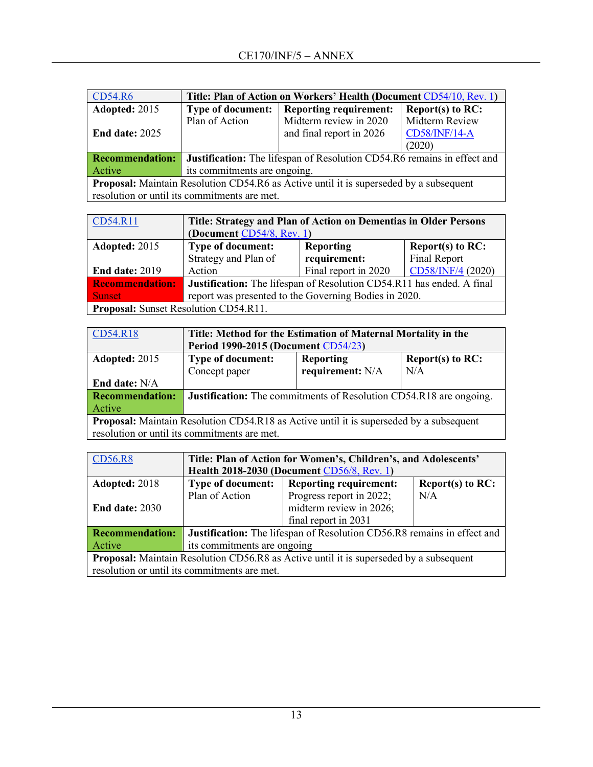| <b>CD54.R6</b>                                                                                           | Title: Plan of Action on Workers' Health (Document CD54/10, Rev. 1) |                               |                      |  |
|----------------------------------------------------------------------------------------------------------|---------------------------------------------------------------------|-------------------------------|----------------------|--|
| Adopted: 2015                                                                                            | <b>Type of document:</b>                                            | <b>Reporting requirement:</b> | Report(s) to $RC$ :  |  |
|                                                                                                          | Plan of Action                                                      | Midterm review in 2020        | Midterm Review       |  |
| End date: $2025$                                                                                         |                                                                     | and final report in 2026      | <b>CD58/INF/14-A</b> |  |
|                                                                                                          |                                                                     |                               | (2020)               |  |
| <b>Justification:</b> The lifespan of Resolution CD54.R6 remains in effect and<br><b>Recommendation:</b> |                                                                     |                               |                      |  |
| Active                                                                                                   | its commitments are ongoing.                                        |                               |                      |  |
| <b>Proposal:</b> Maintain Resolution CD54.R6 as Active until it is superseded by a subsequent            |                                                                     |                               |                      |  |
| resolution or until its commitments are met.                                                             |                                                                     |                               |                      |  |

| CD54.R11                                     | Title: Strategy and Plan of Action on Dementias in Older Persons      |                      |                     |  |
|----------------------------------------------|-----------------------------------------------------------------------|----------------------|---------------------|--|
|                                              | (Document CD54/8, Rev. 1)                                             |                      |                     |  |
| Adopted: 2015                                | <b>Type of document:</b>                                              | <b>Reporting</b>     | Report(s) to $RC$ : |  |
|                                              | Strategy and Plan of                                                  | requirement:         | Final Report        |  |
| End date: 2019                               | Action                                                                | Final report in 2020 | CD58/INF/4 (2020)   |  |
| <b>Recommendation:</b>                       | Justification: The lifespan of Resolution CD54.R11 has ended. A final |                      |                     |  |
| <b>Sunset</b>                                | report was presented to the Governing Bodies in 2020.                 |                      |                     |  |
| <b>Proposal:</b> Sunset Resolution CD54.R11. |                                                                       |                      |                     |  |

| CD54.R18                                                                                       | Title: Method for the Estimation of Maternal Mortality in the             |                  |     |  |
|------------------------------------------------------------------------------------------------|---------------------------------------------------------------------------|------------------|-----|--|
|                                                                                                | <b>Period 1990-2015 (Document CD54/23)</b>                                |                  |     |  |
| Adopted: 2015                                                                                  | <b>Type of document:</b><br><b>Reporting</b><br>Report(s) to $RC$ :       |                  |     |  |
|                                                                                                | Concept paper                                                             | requirement: N/A | N/A |  |
| End date: N/A                                                                                  |                                                                           |                  |     |  |
| <b>Recommendation:</b>                                                                         | <b>Justification:</b> The commitments of Resolution CD54.R18 are ongoing. |                  |     |  |
| Active                                                                                         |                                                                           |                  |     |  |
| <b>Proposal:</b> Maintain Resolution CD54.R18 as Active until it is superseded by a subsequent |                                                                           |                  |     |  |
| resolution or until its commitments are met.                                                   |                                                                           |                  |     |  |

| CD56.R8                                                                                       | Title: Plan of Action for Women's, Children's, and Adolescents'<br>Health 2018-2030 (Document CD56/8, Rev. 1) |                          |     |  |
|-----------------------------------------------------------------------------------------------|---------------------------------------------------------------------------------------------------------------|--------------------------|-----|--|
| Adopted: 2018                                                                                 | <b>Reporting requirement:</b><br><b>Type of document:</b><br>Report(s) to RC:                                 |                          |     |  |
|                                                                                               | Plan of Action                                                                                                | Progress report in 2022; | N/A |  |
| <b>End date: 2030</b>                                                                         |                                                                                                               | midterm review in 2026;  |     |  |
|                                                                                               |                                                                                                               | final report in 2031     |     |  |
| <b>Recommendation:</b>                                                                        | Justification: The lifespan of Resolution CD56.R8 remains in effect and                                       |                          |     |  |
| Active                                                                                        | its commitments are ongoing                                                                                   |                          |     |  |
| <b>Proposal:</b> Maintain Resolution CD56.R8 as Active until it is superseded by a subsequent |                                                                                                               |                          |     |  |
| resolution or until its commitments are met.                                                  |                                                                                                               |                          |     |  |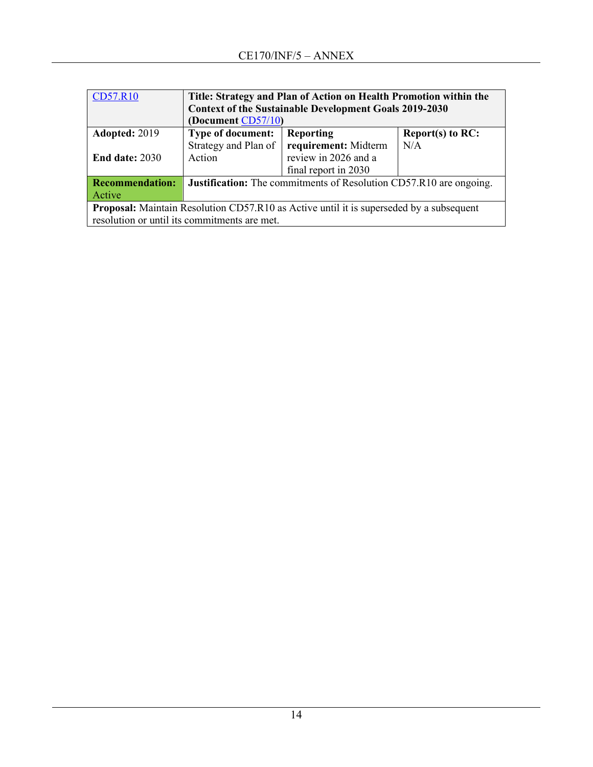| <b>CD57.R10</b>                                                                                | Title: Strategy and Plan of Action on Health Promotion within the         |                      |                     |
|------------------------------------------------------------------------------------------------|---------------------------------------------------------------------------|----------------------|---------------------|
|                                                                                                | <b>Context of the Sustainable Development Goals 2019-2030</b>             |                      |                     |
|                                                                                                | (Document CD57/10)                                                        |                      |                     |
| Adopted: 2019                                                                                  | <b>Type of document:</b>                                                  | <b>Reporting</b>     | Report(s) to $RC$ : |
|                                                                                                | Strategy and Plan of                                                      | requirement: Midterm | N/A                 |
| <b>End date: 2030</b>                                                                          | Action                                                                    | review in 2026 and a |                     |
|                                                                                                |                                                                           | final report in 2030 |                     |
| <b>Recommendation:</b>                                                                         | <b>Justification:</b> The commitments of Resolution CD57.R10 are ongoing. |                      |                     |
| Active                                                                                         |                                                                           |                      |                     |
| <b>Proposal:</b> Maintain Resolution CD57.R10 as Active until it is superseded by a subsequent |                                                                           |                      |                     |
| resolution or until its commitments are met.                                                   |                                                                           |                      |                     |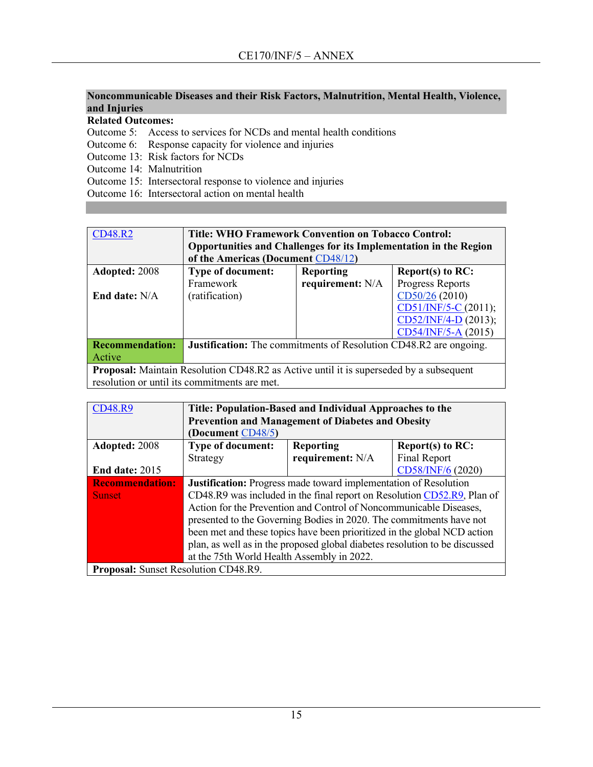## **Noncommunicable Diseases and their Risk Factors, Malnutrition, Mental Health, Violence, and Injuries**

**Related Outcomes:**

Outcome 5: Access to services for NCDs and mental health conditions

Outcome 6: Response capacity for violence and injuries

Outcome 13: Risk factors for NCDs

Outcome 14: Malnutrition

Outcome 15: Intersectoral response to violence and injuries

Outcome 16: Intersectoral action on mental health

| <b>CD48.R2</b>                                                                                | <b>Title: WHO Framework Convention on Tobacco Control:</b>               |                                         |                      |  |
|-----------------------------------------------------------------------------------------------|--------------------------------------------------------------------------|-----------------------------------------|----------------------|--|
|                                                                                               | Opportunities and Challenges for its Implementation in the Region        |                                         |                      |  |
|                                                                                               | of the Americas (Document CD48/12)                                       |                                         |                      |  |
| Adopted: 2008                                                                                 | <b>Type of document:</b>                                                 | <b>Reporting</b><br>Report(s) to $RC$ : |                      |  |
|                                                                                               | Framework                                                                | requirement: N/A                        | Progress Reports     |  |
| End date: N/A                                                                                 | (ratification)                                                           |                                         | CD50/26 (2010)       |  |
|                                                                                               |                                                                          |                                         | CD51/INF/5-C (2011); |  |
|                                                                                               | $CD52/INF/4-D$ (2013);                                                   |                                         |                      |  |
|                                                                                               |                                                                          |                                         | CD54/INF/5-A (2015)  |  |
| <b>Recommendation:</b>                                                                        | <b>Justification:</b> The commitments of Resolution CD48.R2 are ongoing. |                                         |                      |  |
| Active                                                                                        |                                                                          |                                         |                      |  |
| <b>Proposal:</b> Maintain Resolution CD48.R2 as Active until it is superseded by a subsequent |                                                                          |                                         |                      |  |
|                                                                                               | resolution or until its commitments are met.                             |                                         |                      |  |

| <b>CD48.R9</b>                       | Title: Population-Based and Individual Approaches to the                    |                                                                         |                     |  |
|--------------------------------------|-----------------------------------------------------------------------------|-------------------------------------------------------------------------|---------------------|--|
|                                      | <b>Prevention and Management of Diabetes and Obesity</b>                    |                                                                         |                     |  |
|                                      | (Document CD48/5)                                                           |                                                                         |                     |  |
| Adopted: 2008                        | <b>Type of document:</b>                                                    | <b>Reporting</b>                                                        | Report(s) to $RC$ : |  |
|                                      | Strategy                                                                    | requirement: N/A                                                        | Final Report        |  |
| <b>End date: 2015</b>                |                                                                             |                                                                         | CD58/INF/6 (2020)   |  |
| <b>Recommendation:</b>               |                                                                             | <b>Justification:</b> Progress made toward implementation of Resolution |                     |  |
| <b>Sunset</b>                        | CD48.R9 was included in the final report on Resolution CD52.R9, Plan of     |                                                                         |                     |  |
|                                      | Action for the Prevention and Control of Noncommunicable Diseases,          |                                                                         |                     |  |
|                                      | presented to the Governing Bodies in 2020. The commitments have not         |                                                                         |                     |  |
|                                      | been met and these topics have been prioritized in the global NCD action    |                                                                         |                     |  |
|                                      | plan, as well as in the proposed global diabetes resolution to be discussed |                                                                         |                     |  |
|                                      | at the 75th World Health Assembly in 2022.                                  |                                                                         |                     |  |
| Proposal: Sunset Resolution CD48.R9. |                                                                             |                                                                         |                     |  |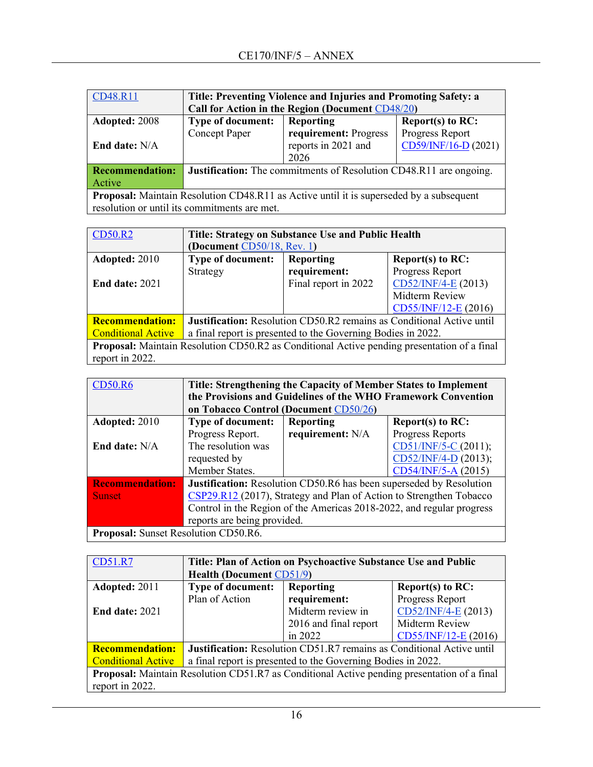| CD48.R11                                                                                       | Title: Preventing Violence and Injuries and Promoting Safety: a           |                       |                      |  |
|------------------------------------------------------------------------------------------------|---------------------------------------------------------------------------|-----------------------|----------------------|--|
|                                                                                                | Call for Action in the Region (Document CD48/20)                          |                       |                      |  |
| Adopted: 2008                                                                                  | <b>Type of document:</b><br>Reporting<br>Report(s) to RC:                 |                       |                      |  |
|                                                                                                | <b>Concept Paper</b>                                                      | requirement: Progress | Progress Report      |  |
| <b>End date:</b> N/A                                                                           |                                                                           | reports in 2021 and   | CD59/INF/16-D (2021) |  |
|                                                                                                |                                                                           | 2026                  |                      |  |
| <b>Recommendation:</b>                                                                         | <b>Justification:</b> The commitments of Resolution CD48.R11 are ongoing. |                       |                      |  |
| Active                                                                                         |                                                                           |                       |                      |  |
| <b>Proposal:</b> Maintain Resolution CD48.R11 as Active until it is superseded by a subsequent |                                                                           |                       |                      |  |
| resolution or until its commitments are met.                                                   |                                                                           |                       |                      |  |

| <b>CD50.R2</b>                                                                                     | Title: Strategy on Substance Use and Public Health<br>(Document $CD50/18$ , Rev. 1) |                      |                        |  |  |
|----------------------------------------------------------------------------------------------------|-------------------------------------------------------------------------------------|----------------------|------------------------|--|--|
| Adopted: 2010                                                                                      | <b>Type of document:</b><br>Report $(s)$ to RC:<br><b>Reporting</b>                 |                      |                        |  |  |
|                                                                                                    | Strategy                                                                            | requirement:         | Progress Report        |  |  |
| <b>End date: 2021</b>                                                                              |                                                                                     | Final report in 2022 | $CD52/INF/4-E (2013)$  |  |  |
|                                                                                                    |                                                                                     |                      | Midterm Review         |  |  |
|                                                                                                    |                                                                                     |                      | $CD55/INF/12-E$ (2016) |  |  |
| <b>Recommendation:</b>                                                                             | <b>Justification:</b> Resolution CD50.R2 remains as Conditional Active until        |                      |                        |  |  |
| <b>Conditional Active</b>                                                                          | a final report is presented to the Governing Bodies in 2022.                        |                      |                        |  |  |
| <b>Proposal:</b> Maintain Resolution CD50.R2 as Conditional Active pending presentation of a final |                                                                                     |                      |                        |  |  |
| report in 2022.                                                                                    |                                                                                     |                      |                        |  |  |

| <b>CD50.R6</b>                       | Title: Strengthening the Capacity of Member States to Implement            |                  |                      |  |
|--------------------------------------|----------------------------------------------------------------------------|------------------|----------------------|--|
|                                      | the Provisions and Guidelines of the WHO Framework Convention              |                  |                      |  |
|                                      | on Tobacco Control (Document CD50/26)                                      |                  |                      |  |
| Adopted: 2010                        | <b>Type of document:</b>                                                   | <b>Reporting</b> | Report(s) to RC:     |  |
|                                      | Progress Report.                                                           | requirement: N/A | Progress Reports     |  |
| End date: N/A                        | The resolution was                                                         |                  | CD51/INF/5-C (2011); |  |
|                                      | requested by                                                               |                  | CD52/INF/4-D (2013); |  |
|                                      | Member States.                                                             |                  | CD54/INF/5-A (2015)  |  |
| <b>Recommendation:</b>               | <b>Justification:</b> Resolution CD50.R6 has been superseded by Resolution |                  |                      |  |
| <b>Sunset</b>                        | CSP29.R12 (2017), Strategy and Plan of Action to Strengthen Tobacco        |                  |                      |  |
|                                      | Control in the Region of the Americas 2018-2022, and regular progress      |                  |                      |  |
|                                      | reports are being provided.                                                |                  |                      |  |
| Proposal: Sunset Resolution CD50.R6. |                                                                            |                  |                      |  |

| CD51.R7                                                                                            | Title: Plan of Action on Psychoactive Substance Use and Public               |                                         |                       |  |  |
|----------------------------------------------------------------------------------------------------|------------------------------------------------------------------------------|-----------------------------------------|-----------------------|--|--|
|                                                                                                    |                                                                              | <b>Health (Document CD51/9)</b>         |                       |  |  |
| Adopted: 2011                                                                                      | <b>Type of document:</b>                                                     | <b>Reporting</b><br>Report(s) to $RC$ : |                       |  |  |
|                                                                                                    | Plan of Action                                                               | requirement:                            | Progress Report       |  |  |
| <b>End date: 2021</b>                                                                              |                                                                              | Midterm review in                       | $CD52/INF/4-E (2013)$ |  |  |
|                                                                                                    |                                                                              | 2016 and final report                   | Midterm Review        |  |  |
|                                                                                                    |                                                                              | in $2022$                               | CD55/INF/12-E (2016)  |  |  |
| <b>Recommendation:</b>                                                                             | <b>Justification:</b> Resolution CD51.R7 remains as Conditional Active until |                                         |                       |  |  |
| <b>Conditional Active</b>                                                                          | a final report is presented to the Governing Bodies in 2022.                 |                                         |                       |  |  |
| <b>Proposal:</b> Maintain Resolution CD51.R7 as Conditional Active pending presentation of a final |                                                                              |                                         |                       |  |  |
| report in 2022.                                                                                    |                                                                              |                                         |                       |  |  |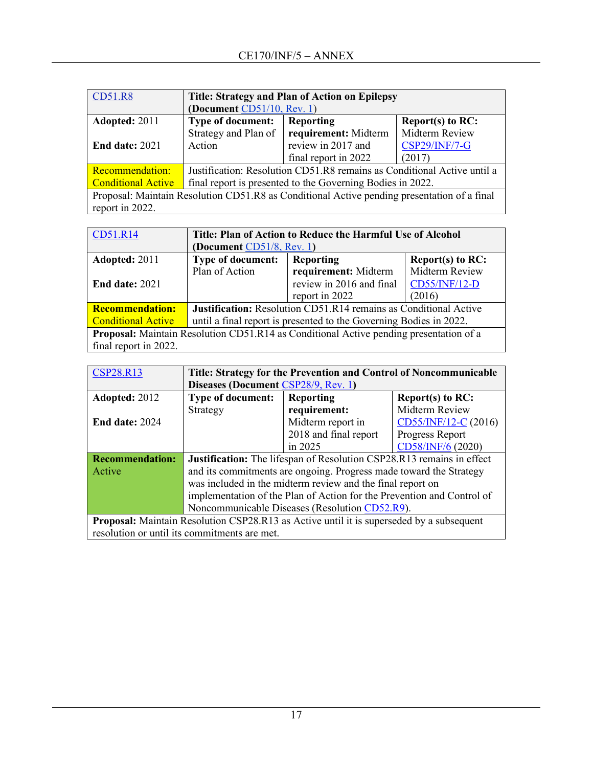| <b>CD51.R8</b>                                                                              | Title: Strategy and Plan of Action on Epilepsy                          |                                  |                      |  |
|---------------------------------------------------------------------------------------------|-------------------------------------------------------------------------|----------------------------------|----------------------|--|
|                                                                                             | (Document $CD51/10$ , Rev. 1)                                           |                                  |                      |  |
| Adopted: 2011                                                                               | <b>Type of document:</b>                                                | Reporting<br>Report $(s)$ to RC: |                      |  |
|                                                                                             | Strategy and Plan of                                                    | requirement: Midterm             | Midterm Review       |  |
| <b>End date: 2021</b>                                                                       | Action                                                                  | review in 2017 and               | <b>CSP29/INF/7-G</b> |  |
|                                                                                             |                                                                         | final report in 2022             | (2017)               |  |
| Recommendation:                                                                             | Justification: Resolution CD51.R8 remains as Conditional Active until a |                                  |                      |  |
| <b>Conditional Active</b>                                                                   | final report is presented to the Governing Bodies in 2022.              |                                  |                      |  |
| Proposal: Maintain Resolution CD51.R8 as Conditional Active pending presentation of a final |                                                                         |                                  |                      |  |
| report in 2022.                                                                             |                                                                         |                                  |                      |  |

| CD51.R14                                                                                      | Title: Plan of Action to Reduce the Harmful Use of Alcohol              |                          |                |  |
|-----------------------------------------------------------------------------------------------|-------------------------------------------------------------------------|--------------------------|----------------|--|
|                                                                                               | (Document CD51/8, Rev. 1)                                               |                          |                |  |
| Adopted: 2011                                                                                 | <b>Type of document:</b><br>Reporting<br>$Report(s)$ to RC:             |                          |                |  |
|                                                                                               | Plan of Action                                                          | requirement: Midterm     | Midterm Review |  |
| <b>End date: 2021</b>                                                                         |                                                                         | review in 2016 and final | CD55/INF/12-D  |  |
|                                                                                               |                                                                         | report in 2022           | (2016)         |  |
| <b>Recommendation:</b>                                                                        | <b>Justification:</b> Resolution CD51.R14 remains as Conditional Active |                          |                |  |
| <b>Conditional Active</b>                                                                     | until a final report is presented to the Governing Bodies in 2022.      |                          |                |  |
| <b>Proposal:</b> Maintain Resolution CD51.R14 as Conditional Active pending presentation of a |                                                                         |                          |                |  |
| final report in 2022.                                                                         |                                                                         |                          |                |  |

| <b>CSP28.R13</b>                                                                                | Title: Strategy for the Prevention and Control of Noncommunicable            |                                     |                       |  |  |
|-------------------------------------------------------------------------------------------------|------------------------------------------------------------------------------|-------------------------------------|-----------------------|--|--|
|                                                                                                 |                                                                              | Diseases (Document CSP28/9, Rev. 1) |                       |  |  |
| Adopted: 2012                                                                                   | <b>Type of document:</b><br><b>Reporting</b><br><b>Report(s) to RC:</b>      |                                     |                       |  |  |
|                                                                                                 | Strategy                                                                     | requirement:                        | Midterm Review        |  |  |
| <b>End date: 2024</b>                                                                           |                                                                              | Midterm report in                   | $CD55/INF/12-C(2016)$ |  |  |
|                                                                                                 |                                                                              | 2018 and final report               | Progress Report       |  |  |
|                                                                                                 |                                                                              | in $2025$                           | CD58/INF/6 (2020)     |  |  |
| <b>Recommendation:</b>                                                                          | <b>Justification:</b> The lifespan of Resolution CSP28.R13 remains in effect |                                     |                       |  |  |
| Active                                                                                          | and its commitments are ongoing. Progress made toward the Strategy           |                                     |                       |  |  |
|                                                                                                 | was included in the midterm review and the final report on                   |                                     |                       |  |  |
|                                                                                                 | implementation of the Plan of Action for the Prevention and Control of       |                                     |                       |  |  |
|                                                                                                 | Noncommunicable Diseases (Resolution CD52.R9).                               |                                     |                       |  |  |
| <b>Proposal:</b> Maintain Resolution CSP28.R13 as Active until it is superseded by a subsequent |                                                                              |                                     |                       |  |  |
|                                                                                                 | resolution or until its commitments are met.                                 |                                     |                       |  |  |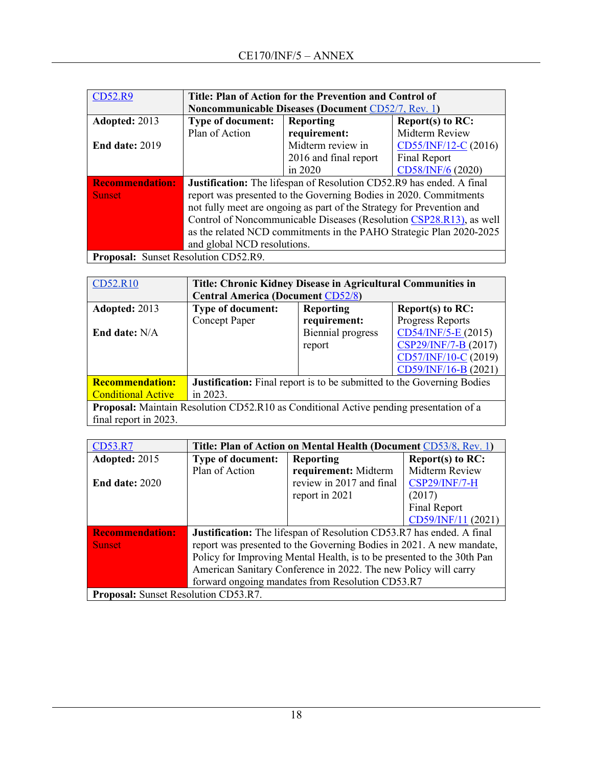| <b>CD52.R9</b>                              | Title: Plan of Action for the Prevention and Control of                     |                                                           |                      |  |  |
|---------------------------------------------|-----------------------------------------------------------------------------|-----------------------------------------------------------|----------------------|--|--|
|                                             |                                                                             | <b>Noncommunicable Diseases (Document CD52/7, Rev. 1)</b> |                      |  |  |
| Adopted: 2013                               | <b>Type of document:</b>                                                    | Report(s) to RC:<br><b>Reporting</b>                      |                      |  |  |
|                                             | Plan of Action                                                              | requirement:                                              | Midterm Review       |  |  |
| <b>End date: 2019</b>                       |                                                                             | Midterm review in                                         | CD55/INF/12-C (2016) |  |  |
|                                             |                                                                             | 2016 and final report                                     | Final Report         |  |  |
|                                             |                                                                             | in 2020                                                   | CD58/INF/6 (2020)    |  |  |
| <b>Recommendation:</b>                      | <b>Justification:</b> The lifespan of Resolution CD52.R9 has ended. A final |                                                           |                      |  |  |
| <b>Sunset</b>                               | report was presented to the Governing Bodies in 2020. Commitments           |                                                           |                      |  |  |
|                                             | not fully meet are ongoing as part of the Strategy for Prevention and       |                                                           |                      |  |  |
|                                             | Control of Noncommunicable Diseases (Resolution CSP28.R13), as well         |                                                           |                      |  |  |
|                                             | as the related NCD commitments in the PAHO Strategic Plan 2020-2025         |                                                           |                      |  |  |
|                                             | and global NCD resolutions.                                                 |                                                           |                      |  |  |
| <b>Proposal:</b> Sunset Resolution CD52.R9. |                                                                             |                                                           |                      |  |  |

| CD52.R10                  | Title: Chronic Kidney Disease in Agricultural Communities in                                  |                          |                      |  |
|---------------------------|-----------------------------------------------------------------------------------------------|--------------------------|----------------------|--|
|                           | <b>Central America (Document CD52/8)</b>                                                      |                          |                      |  |
| Adopted: 2013             | <b>Type of document:</b>                                                                      | <b>Reporting</b>         | Report(s) to $RC$ :  |  |
|                           | <b>Concept Paper</b>                                                                          | requirement:             | Progress Reports     |  |
| End date: N/A             |                                                                                               | <b>Biennial</b> progress | CD54/INF/5-E (2015)  |  |
|                           |                                                                                               | report                   | CSP29/INF/7-B (2017) |  |
|                           |                                                                                               |                          | CD57/INF/10-C (2019) |  |
|                           |                                                                                               |                          | CD59/INF/16-B (2021) |  |
| <b>Recommendation:</b>    | <b>Justification:</b> Final report is to be submitted to the Governing Bodies                 |                          |                      |  |
| <b>Conditional Active</b> | in 2023.                                                                                      |                          |                      |  |
|                           | <b>Proposal:</b> Maintain Resolution CD52.R10 as Conditional Active pending presentation of a |                          |                      |  |
| final report in 2023.     |                                                                                               |                          |                      |  |

| <b>CD53.R7</b>                       | Title: Plan of Action on Mental Health (Document CD53/8, Rev. 1)            |                          |                      |  |
|--------------------------------------|-----------------------------------------------------------------------------|--------------------------|----------------------|--|
| Adopted: 2015                        | <b>Type of document:</b>                                                    | <b>Reporting</b>         | Report(s) to RC:     |  |
|                                      | Plan of Action                                                              | requirement: Midterm     | Midterm Review       |  |
| <b>End date: 2020</b>                |                                                                             | review in 2017 and final | <b>CSP29/INF/7-H</b> |  |
|                                      |                                                                             | report in 2021           | (2017)               |  |
|                                      |                                                                             |                          | Final Report         |  |
|                                      |                                                                             |                          | CD59/INF/11 (2021)   |  |
| <b>Recommendation:</b>               | <b>Justification:</b> The lifespan of Resolution CD53.R7 has ended. A final |                          |                      |  |
| <b>Sunset</b>                        | report was presented to the Governing Bodies in 2021. A new mandate,        |                          |                      |  |
|                                      | Policy for Improving Mental Health, is to be presented to the 30th Pan      |                          |                      |  |
|                                      | American Sanitary Conference in 2022. The new Policy will carry             |                          |                      |  |
|                                      | forward ongoing mandates from Resolution CD53.R7                            |                          |                      |  |
| Proposal: Sunset Resolution CD53.R7. |                                                                             |                          |                      |  |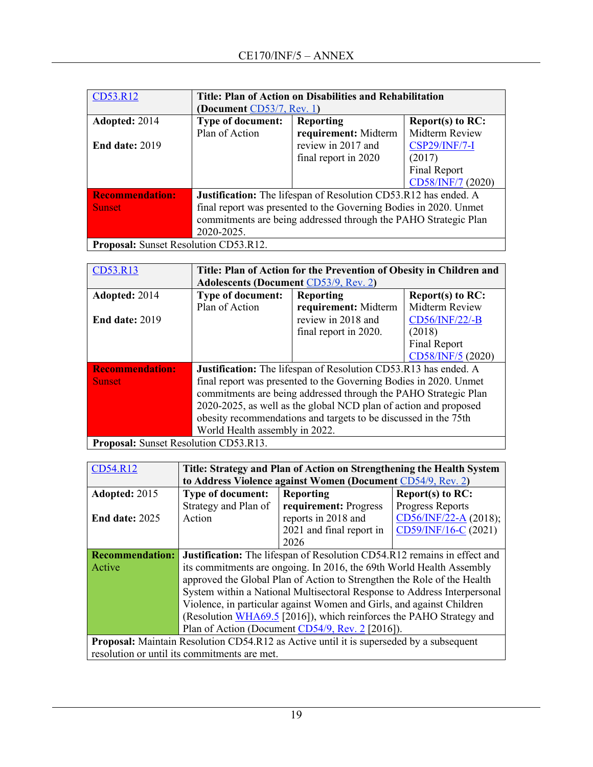| CD53.R12                              | Title: Plan of Action on Disabilities and Rehabilitation          |                      |                      |
|---------------------------------------|-------------------------------------------------------------------|----------------------|----------------------|
|                                       | (Document $CD53/7$ , Rev. 1)                                      |                      |                      |
| Adopted: 2014                         | <b>Type of document:</b>                                          | <b>Reporting</b>     | Report $(s)$ to RC:  |
|                                       | Plan of Action                                                    | requirement: Midterm | Midterm Review       |
| <b>End date: 2019</b>                 |                                                                   | review in 2017 and   | <b>CSP29/INF/7-I</b> |
|                                       |                                                                   | final report in 2020 | (2017)               |
|                                       |                                                                   |                      | Final Report         |
|                                       |                                                                   |                      | CD58/INF/7 (2020)    |
| <b>Recommendation:</b>                | Justification: The lifespan of Resolution CD53.R12 has ended. A   |                      |                      |
| <b>Sunset</b>                         | final report was presented to the Governing Bodies in 2020. Unmet |                      |                      |
|                                       | commitments are being addressed through the PAHO Strategic Plan   |                      |                      |
|                                       | 2020-2025.                                                        |                      |                      |
| Proposal: Sunset Resolution CD53.R12. |                                                                   |                      |                      |

| CD53.R13                                                                                            | Title: Plan of Action for the Prevention of Obesity in Children and    |                       |                   |
|-----------------------------------------------------------------------------------------------------|------------------------------------------------------------------------|-----------------------|-------------------|
|                                                                                                     | <b>Adolescents (Document CD53/9, Rev. 2)</b>                           |                       |                   |
| Adopted: 2014                                                                                       | <b>Type of document:</b>                                               | <b>Reporting</b>      | Report(s) to RC:  |
|                                                                                                     | Plan of Action                                                         | requirement: Midterm  | Midterm Review    |
| <b>End date: 2019</b>                                                                               |                                                                        | review in 2018 and    | CD56/INF/22/-B    |
|                                                                                                     |                                                                        | final report in 2020. | (2018)            |
|                                                                                                     |                                                                        |                       | Final Report      |
|                                                                                                     |                                                                        |                       | CD58/INF/5 (2020) |
| <b>Recommendation:</b>                                                                              | <b>Justification:</b> The lifespan of Resolution CD53.R13 has ended. A |                       |                   |
| <b>Sunset</b>                                                                                       | final report was presented to the Governing Bodies in 2020. Unmet      |                       |                   |
|                                                                                                     | commitments are being addressed through the PAHO Strategic Plan        |                       |                   |
|                                                                                                     | 2020-2025, as well as the global NCD plan of action and proposed       |                       |                   |
|                                                                                                     | obesity recommendations and targets to be discussed in the 75th        |                       |                   |
|                                                                                                     | World Health assembly in 2022.                                         |                       |                   |
| $D_{\text{nonlocal}}$ , $C_{\text{noncell}}$ , $D_{\text{noncell}}$ , $C\rightarrow C\rightarrow D$ |                                                                        |                       |                   |

**Proposal:** Sunset Resolution CD53.R13.

| CD54.R12                                                                                       | Title: Strategy and Plan of Action on Strengthening the Health System    |                                                                                 |                       |  |
|------------------------------------------------------------------------------------------------|--------------------------------------------------------------------------|---------------------------------------------------------------------------------|-----------------------|--|
|                                                                                                | to Address Violence against Women (Document CD54/9, Rev. 2)              |                                                                                 |                       |  |
| Adopted: 2015                                                                                  | <b>Type of document:</b>                                                 | <b>Reporting</b>                                                                | Report(s) to RC:      |  |
|                                                                                                | Strategy and Plan of                                                     | requirement: Progress                                                           | Progress Reports      |  |
| <b>End date: 2025</b>                                                                          | Action                                                                   | reports in 2018 and                                                             | CD56/INF/22-A (2018); |  |
|                                                                                                |                                                                          | 2021 and final report in                                                        | CD59/INF/16-C (2021)  |  |
|                                                                                                |                                                                          | 2026                                                                            |                       |  |
| <b>Recommendation:</b>                                                                         |                                                                          | <b>Justification:</b> The lifespan of Resolution CD54.R12 remains in effect and |                       |  |
| Active                                                                                         | its commitments are ongoing. In 2016, the 69th World Health Assembly     |                                                                                 |                       |  |
|                                                                                                | approved the Global Plan of Action to Strengthen the Role of the Health  |                                                                                 |                       |  |
|                                                                                                | System within a National Multisectoral Response to Address Interpersonal |                                                                                 |                       |  |
|                                                                                                | Violence, in particular against Women and Girls, and against Children    |                                                                                 |                       |  |
|                                                                                                | (Resolution WHA69.5 [2016]), which reinforces the PAHO Strategy and      |                                                                                 |                       |  |
|                                                                                                | Plan of Action (Document CD54/9, Rev. 2 [2016]).                         |                                                                                 |                       |  |
| <b>Proposal:</b> Maintain Resolution CD54.R12 as Active until it is superseded by a subsequent |                                                                          |                                                                                 |                       |  |
| resolution or until its commitments are met.                                                   |                                                                          |                                                                                 |                       |  |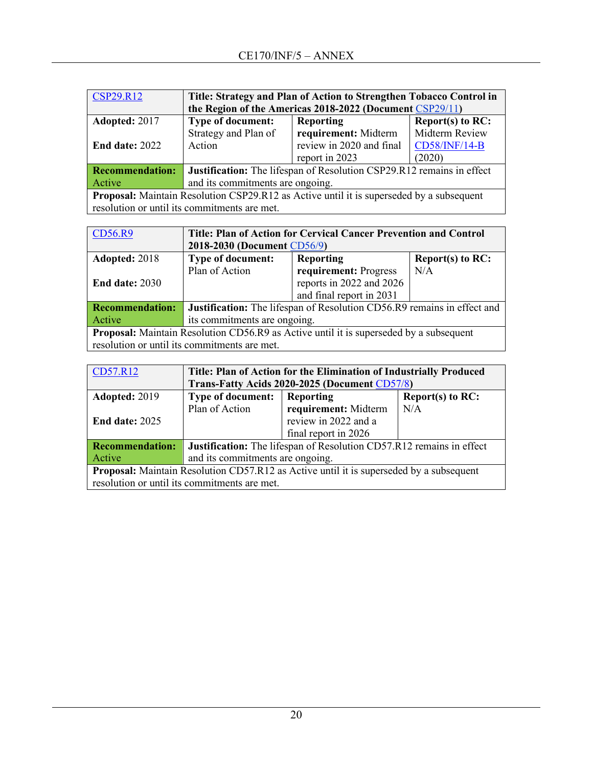| <b>CSP29.R12</b>                                                                                | Title: Strategy and Plan of Action to Strengthen Tobacco Control in   |                          |                     |
|-------------------------------------------------------------------------------------------------|-----------------------------------------------------------------------|--------------------------|---------------------|
|                                                                                                 | the Region of the Americas 2018-2022 (Document CSP29/11)              |                          |                     |
| Adopted: 2017                                                                                   | Type of document:                                                     | Reporting                | Report(s) to $RC$ : |
|                                                                                                 | Strategy and Plan of                                                  | requirement: Midterm     | Midterm Review      |
| <b>End date: 2022</b>                                                                           | Action                                                                | review in 2020 and final | CD58/INF/14-B       |
|                                                                                                 |                                                                       | report in 2023           | (2020)              |
| <b>Recommendation:</b>                                                                          | Justification: The lifespan of Resolution CSP29.R12 remains in effect |                          |                     |
| Active                                                                                          | and its commitments are ongoing.                                      |                          |                     |
| <b>Proposal:</b> Maintain Resolution CSP29.R12 as Active until it is superseded by a subsequent |                                                                       |                          |                     |
|                                                                                                 | resolution or until its commitments are met.                          |                          |                     |

| CD56.R9                                                                                       | Title: Plan of Action for Cervical Cancer Prevention and Control        |                          |                     |
|-----------------------------------------------------------------------------------------------|-------------------------------------------------------------------------|--------------------------|---------------------|
|                                                                                               | 2018-2030 (Document CD56/9)                                             |                          |                     |
| Adopted: 2018                                                                                 | <b>Type of document:</b>                                                | <b>Reporting</b>         | Report $(s)$ to RC: |
|                                                                                               | Plan of Action                                                          | requirement: Progress    | N/A                 |
| <b>End date: 2030</b>                                                                         |                                                                         | reports in 2022 and 2026 |                     |
|                                                                                               |                                                                         | and final report in 2031 |                     |
| <b>Recommendation:</b>                                                                        | Justification: The lifespan of Resolution CD56.R9 remains in effect and |                          |                     |
| Active                                                                                        | its commitments are ongoing.                                            |                          |                     |
| <b>Proposal:</b> Maintain Resolution CD56.R9 as Active until it is superseded by a subsequent |                                                                         |                          |                     |
| resolution or until its commitments are met.                                                  |                                                                         |                          |                     |

| CD57.R12                                                                                       | Title: Plan of Action for the Elimination of Industrially Produced   |                      |                     |  |
|------------------------------------------------------------------------------------------------|----------------------------------------------------------------------|----------------------|---------------------|--|
|                                                                                                | Trans-Fatty Acids 2020-2025 (Document CD57/8)                        |                      |                     |  |
| Adopted: 2019                                                                                  | <b>Type of document:</b>                                             | Reporting            | Report(s) to $RC$ : |  |
|                                                                                                | Plan of Action                                                       | requirement: Midterm | N/A                 |  |
| <b>End date: 2025</b>                                                                          |                                                                      | review in 2022 and a |                     |  |
|                                                                                                |                                                                      | final report in 2026 |                     |  |
| <b>Recommendation:</b>                                                                         | Justification: The lifespan of Resolution CD57.R12 remains in effect |                      |                     |  |
| Active                                                                                         | and its commitments are ongoing.                                     |                      |                     |  |
| <b>Proposal:</b> Maintain Resolution CD57.R12 as Active until it is superseded by a subsequent |                                                                      |                      |                     |  |
| resolution or until its commitments are met.                                                   |                                                                      |                      |                     |  |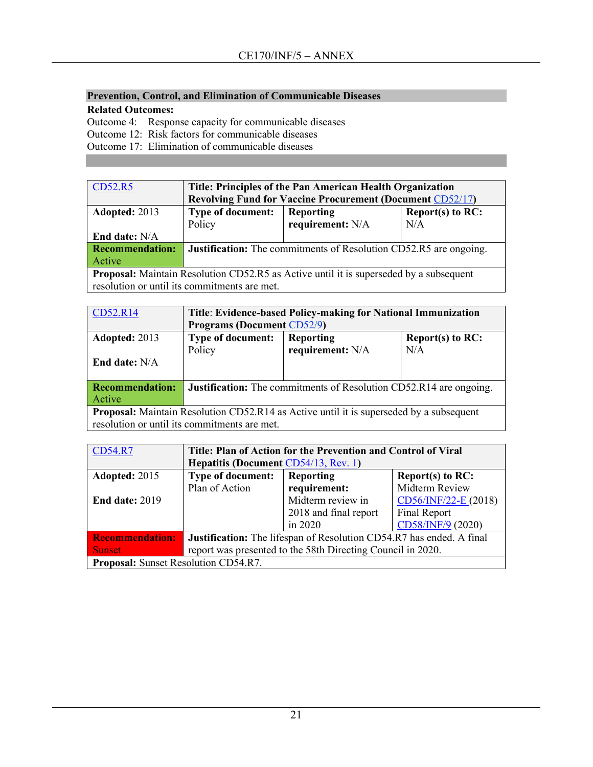## **Prevention, Control, and Elimination of Communicable Diseases**

**Related Outcomes:**

Outcome 4: Response capacity for communicable diseases

Outcome 12: Risk factors for communicable diseases

Outcome 17: Elimination of communicable diseases

| CD52.R5                                                                                       | Title: Principles of the Pan American Health Organization                |                                  |     |  |
|-----------------------------------------------------------------------------------------------|--------------------------------------------------------------------------|----------------------------------|-----|--|
|                                                                                               | <b>Revolving Fund for Vaccine Procurement (Document CD52/17)</b>         |                                  |     |  |
| Adopted: 2013                                                                                 | <b>Type of document:</b>                                                 | Report(s) to $RC$ :<br>Reporting |     |  |
|                                                                                               | Policy                                                                   | requirement: N/A                 | N/A |  |
| End date: N/A                                                                                 |                                                                          |                                  |     |  |
| <b>Recommendation:</b>                                                                        | <b>Justification:</b> The commitments of Resolution CD52.R5 are ongoing. |                                  |     |  |
| Active                                                                                        |                                                                          |                                  |     |  |
| <b>Proposal:</b> Maintain Resolution CD52.R5 as Active until it is superseded by a subsequent |                                                                          |                                  |     |  |
| resolution or until its commitments are met.                                                  |                                                                          |                                  |     |  |

| CD52.R14                                                                                       | Title: Evidence-based Policy-making for National Immunization             |                  |     |  |
|------------------------------------------------------------------------------------------------|---------------------------------------------------------------------------|------------------|-----|--|
|                                                                                                | <b>Programs (Document CD52/9)</b>                                         |                  |     |  |
| Adopted: 2013                                                                                  | <b>Type of document:</b><br><b>Reporting</b><br>Report(s) to $RC$ :       |                  |     |  |
|                                                                                                | Policy                                                                    | requirement: N/A | N/A |  |
| End date: $N/A$                                                                                |                                                                           |                  |     |  |
|                                                                                                |                                                                           |                  |     |  |
| <b>Recommendation:</b>                                                                         | <b>Justification:</b> The commitments of Resolution CD52.R14 are ongoing. |                  |     |  |
| Active                                                                                         |                                                                           |                  |     |  |
| <b>Proposal:</b> Maintain Resolution CD52.R14 as Active until it is superseded by a subsequent |                                                                           |                  |     |  |
| resolution or until its commitments are met.                                                   |                                                                           |                  |     |  |

| <b>CD54.R7</b>                              | Title: Plan of Action for the Prevention and Control of Viral        |                                  |                        |  |  |
|---------------------------------------------|----------------------------------------------------------------------|----------------------------------|------------------------|--|--|
|                                             | Hepatitis (Document CD54/13, Rev. 1)                                 |                                  |                        |  |  |
| Adopted: 2015                               | <b>Type of document:</b>                                             | Reporting<br>Report(s) to $RC$ : |                        |  |  |
|                                             | Plan of Action                                                       | requirement:                     | Midterm Review         |  |  |
| <b>End date: 2019</b>                       |                                                                      | Midterm review in                | $CD56/INF/22-E (2018)$ |  |  |
|                                             |                                                                      | 2018 and final report            | Final Report           |  |  |
|                                             |                                                                      | in 2020                          | CD58/INF/9 (2020)      |  |  |
| <b>Recommendation:</b>                      | Justification: The lifespan of Resolution CD54.R7 has ended. A final |                                  |                        |  |  |
| <b>Sunset</b>                               | report was presented to the 58th Directing Council in 2020.          |                                  |                        |  |  |
| <b>Proposal:</b> Sunset Resolution CD54.R7. |                                                                      |                                  |                        |  |  |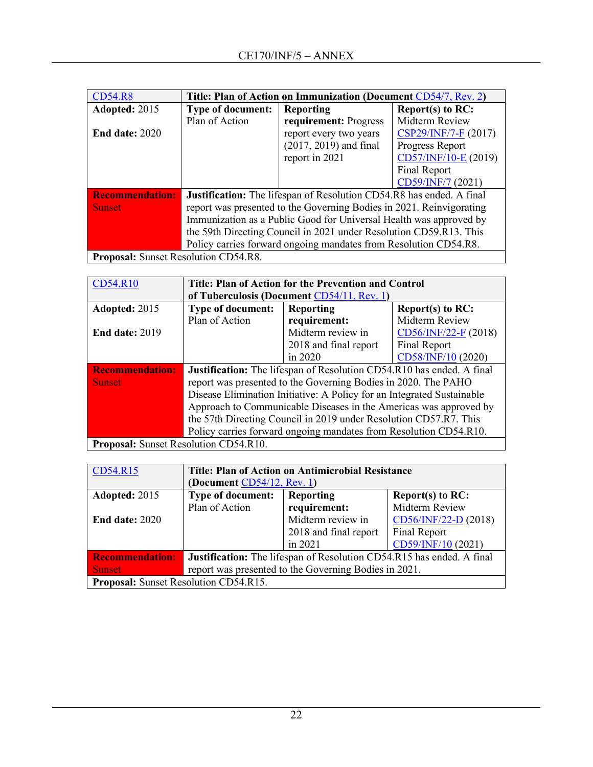| <b>CD54.R8</b>                              | Title: Plan of Action on Immunization (Document CD54/7, Rev. 2)             |                          |                        |  |
|---------------------------------------------|-----------------------------------------------------------------------------|--------------------------|------------------------|--|
| Adopted: 2015                               | <b>Type of document:</b>                                                    | <b>Reporting</b>         | Report(s) to RC:       |  |
|                                             | Plan of Action                                                              | requirement: Progress    | Midterm Review         |  |
| <b>End date: 2020</b>                       |                                                                             | report every two years   | $CSP29/INF/7-F (2017)$ |  |
|                                             |                                                                             | $(2017, 2019)$ and final | Progress Report        |  |
|                                             |                                                                             | report in 2021           | CD57/INF/10-E (2019)   |  |
|                                             |                                                                             |                          | Final Report           |  |
|                                             |                                                                             |                          | CD59/INF/7 (2021)      |  |
| <b>Recommendation:</b>                      | <b>Justification:</b> The lifespan of Resolution CD54.R8 has ended. A final |                          |                        |  |
| <b>Sunset</b>                               | report was presented to the Governing Bodies in 2021. Reinvigorating        |                          |                        |  |
|                                             | Immunization as a Public Good for Universal Health was approved by          |                          |                        |  |
|                                             | the 59th Directing Council in 2021 under Resolution CD59.R13. This          |                          |                        |  |
|                                             | Policy carries forward ongoing mandates from Resolution CD54.R8.            |                          |                        |  |
| <b>Proposal:</b> Sunset Resolution CD54.R8. |                                                                             |                          |                        |  |

| <b>CD54.R10</b>                       | Title: Plan of Action for the Prevention and Control                   |                       |                        |  |
|---------------------------------------|------------------------------------------------------------------------|-----------------------|------------------------|--|
|                                       | of Tuberculosis (Document CD54/11, Rev. 1)                             |                       |                        |  |
| Adopted: 2015                         | <b>Type of document:</b>                                               | <b>Reporting</b>      | Report(s) to $RC$ :    |  |
|                                       | Plan of Action                                                         | requirement:          | Midterm Review         |  |
| <b>End date: 2019</b>                 |                                                                        | Midterm review in     | $CD56/INF/22-F (2018)$ |  |
|                                       |                                                                        | 2018 and final report | Final Report           |  |
|                                       |                                                                        | in $2020$             | CD58/INF/10 (2020)     |  |
| <b>Recommendation:</b>                | Justification: The lifespan of Resolution CD54.R10 has ended. A final  |                       |                        |  |
| <b>Sunset</b>                         | report was presented to the Governing Bodies in 2020. The PAHO         |                       |                        |  |
|                                       | Disease Elimination Initiative: A Policy for an Integrated Sustainable |                       |                        |  |
|                                       | Approach to Communicable Diseases in the Americas was approved by      |                       |                        |  |
|                                       | the 57th Directing Council in 2019 under Resolution CD57.R7. This      |                       |                        |  |
|                                       | Policy carries forward ongoing mandates from Resolution CD54.R10.      |                       |                        |  |
| Proposal: Sunset Resolution CD54.R10. |                                                                        |                       |                        |  |

| CD54.R15                                     | <b>Title: Plan of Action on Antimicrobial Resistance</b>                     |                                         |                        |  |  |
|----------------------------------------------|------------------------------------------------------------------------------|-----------------------------------------|------------------------|--|--|
|                                              | (Document $CD54/12$ , Rev. 1)                                                |                                         |                        |  |  |
| Adopted: 2015                                | <b>Type of document:</b>                                                     | Report $(s)$ to RC:<br><b>Reporting</b> |                        |  |  |
|                                              | Plan of Action                                                               | requirement:                            | Midterm Review         |  |  |
| <b>End date: 2020</b>                        |                                                                              | Midterm review in                       | $CD56/INF/22-D$ (2018) |  |  |
|                                              |                                                                              | 2018 and final report                   | Final Report           |  |  |
|                                              |                                                                              | in 2021                                 | CD59/INF/10 (2021)     |  |  |
| <b>Recommendation:</b>                       | <b>Justification:</b> The lifespan of Resolution CD54.R15 has ended. A final |                                         |                        |  |  |
| <b>Sunset</b>                                | report was presented to the Governing Bodies in 2021.                        |                                         |                        |  |  |
| <b>Proposal:</b> Sunset Resolution CD54.R15. |                                                                              |                                         |                        |  |  |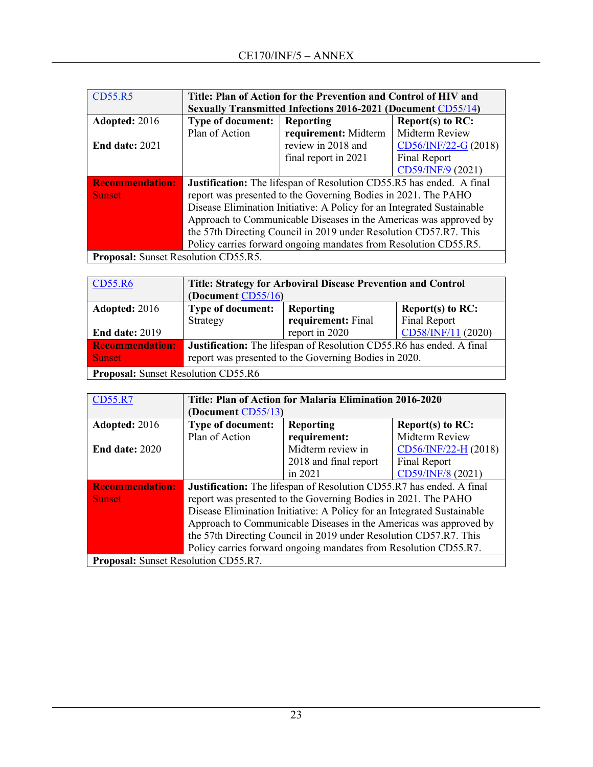| <b>CD55.R5</b>         | Title: Plan of Action for the Prevention and Control of HIV and             |                      |                        |
|------------------------|-----------------------------------------------------------------------------|----------------------|------------------------|
|                        | <b>Sexually Transmitted Infections 2016-2021 (Document CD55/14)</b>         |                      |                        |
| <b>Adopted: 2016</b>   | <b>Type of document:</b>                                                    | <b>Reporting</b>     | Report(s) to RC:       |
|                        | Plan of Action                                                              | requirement: Midterm | Midterm Review         |
| <b>End date: 2021</b>  |                                                                             | review in 2018 and   | $CD56/INF/22-G (2018)$ |
|                        |                                                                             | final report in 2021 | Final Report           |
|                        |                                                                             |                      | CD59/INF/9 (2021)      |
| <b>Recommendation:</b> | <b>Justification:</b> The lifespan of Resolution CD55.R5 has ended. A final |                      |                        |
| <b>Sunset</b>          | report was presented to the Governing Bodies in 2021. The PAHO              |                      |                        |
|                        | Disease Elimination Initiative: A Policy for an Integrated Sustainable      |                      |                        |
|                        | Approach to Communicable Diseases in the Americas was approved by           |                      |                        |
|                        | the 57th Directing Council in 2019 under Resolution CD57.R7. This           |                      |                        |
|                        | Policy carries forward ongoing mandates from Resolution CD55.R5.            |                      |                        |
|                        | Proposal: Sunset Resolution CD55.R5.                                        |                      |                        |

| CD55.R6                                    | Title: Strategy for Arboviral Disease Prevention and Control         |                    |                    |
|--------------------------------------------|----------------------------------------------------------------------|--------------------|--------------------|
|                                            | (Document CD55/16)                                                   |                    |                    |
| <b>Adopted: 2016</b>                       | <b>Type of document:</b>                                             | <b>Reporting</b>   | $Report(s)$ to RC: |
|                                            | Strategy                                                             | requirement: Final | Final Report       |
| End date: 2019                             |                                                                      | report in 2020     | CD58/INF/11 (2020) |
| <b>Recommendation:</b>                     | Justification: The lifespan of Resolution CD55.R6 has ended. A final |                    |                    |
| <b>Sunset</b>                              | report was presented to the Governing Bodies in 2020.                |                    |                    |
| <b>Proposal:</b> Sunset Resolution CD55.R6 |                                                                      |                    |                    |

| <b>CD55.R7</b>                       | Title: Plan of Action for Malaria Elimination 2016-2020                |                       |                        |  |
|--------------------------------------|------------------------------------------------------------------------|-----------------------|------------------------|--|
|                                      | (Document $CD55/13$ )                                                  |                       |                        |  |
| Adopted: 2016                        | <b>Type of document:</b>                                               | <b>Reporting</b>      | Report(s) to $RC$ :    |  |
|                                      | Plan of Action                                                         | requirement:          | Midterm Review         |  |
| <b>End date: 2020</b>                |                                                                        | Midterm review in     | $CD56/INF/22-H$ (2018) |  |
|                                      |                                                                        | 2018 and final report | Final Report           |  |
|                                      |                                                                        | in 2021               | CD59/INF/8 (2021)      |  |
| <b>Recommendation:</b>               | Justification: The lifespan of Resolution CD55.R7 has ended. A final   |                       |                        |  |
| <b>Sunset</b>                        | report was presented to the Governing Bodies in 2021. The PAHO         |                       |                        |  |
|                                      | Disease Elimination Initiative: A Policy for an Integrated Sustainable |                       |                        |  |
|                                      | Approach to Communicable Diseases in the Americas was approved by      |                       |                        |  |
|                                      | the 57th Directing Council in 2019 under Resolution CD57.R7. This      |                       |                        |  |
|                                      | Policy carries forward ongoing mandates from Resolution CD55.R7.       |                       |                        |  |
| Proposal: Sunset Resolution CD55.R7. |                                                                        |                       |                        |  |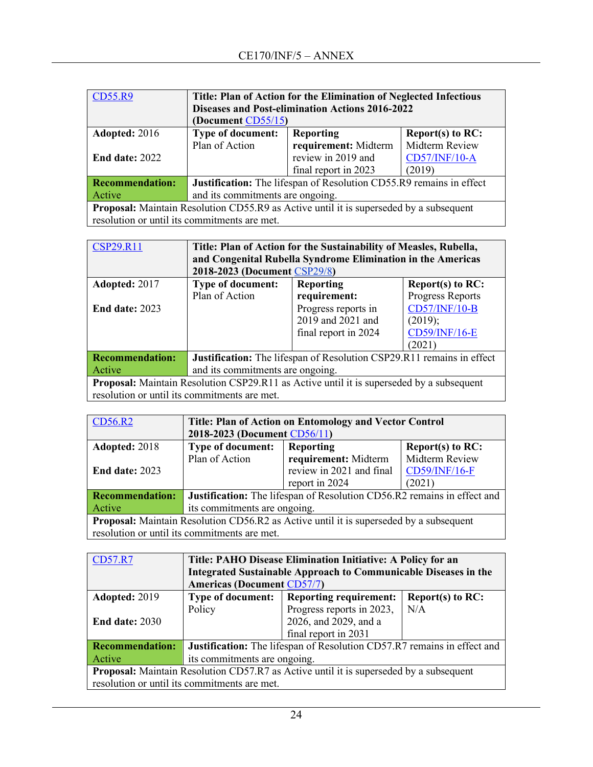| <b>CD55.R9</b>                                                                         | Title: Plan of Action for the Elimination of Neglected Infectious   |                      |                      |
|----------------------------------------------------------------------------------------|---------------------------------------------------------------------|----------------------|----------------------|
|                                                                                        | <b>Diseases and Post-elimination Actions 2016-2022</b>              |                      |                      |
|                                                                                        | (Document CD55/15)                                                  |                      |                      |
| Adopted: 2016                                                                          | <b>Type of document:</b>                                            | <b>Reporting</b>     | Report(s) to $RC$ :  |
|                                                                                        | Plan of Action                                                      | requirement: Midterm | Midterm Review       |
| <b>End date: 2022</b>                                                                  |                                                                     | review in 2019 and   | <b>CD57/INF/10-A</b> |
|                                                                                        |                                                                     | final report in 2023 | (2019)               |
| <b>Recommendation:</b>                                                                 | Justification: The lifespan of Resolution CD55.R9 remains in effect |                      |                      |
| Active                                                                                 | and its commitments are ongoing.                                    |                      |                      |
| Proposal: Maintain Resolution CD55.R9 as Active until it is superseded by a subsequent |                                                                     |                      |                      |
| resolution or until its commitments are met.                                           |                                                                     |                      |                      |

| <b>CSP29.R11</b>                                                                                | Title: Plan of Action for the Sustainability of Measles, Rubella,<br>and Congenital Rubella Syndrome Elimination in the Americas<br>2018-2023 (Document CSP29/8) |                     |                      |  |
|-------------------------------------------------------------------------------------------------|------------------------------------------------------------------------------------------------------------------------------------------------------------------|---------------------|----------------------|--|
| Adopted: 2017                                                                                   | <b>Type of document:</b>                                                                                                                                         | <b>Reporting</b>    | Report(s) to $RC$ :  |  |
|                                                                                                 | Plan of Action                                                                                                                                                   | requirement:        | Progress Reports     |  |
| <b>End date: 2023</b>                                                                           |                                                                                                                                                                  | Progress reports in | <b>CD57/INF/10-B</b> |  |
|                                                                                                 |                                                                                                                                                                  | 2019 and 2021 and   | (2019);              |  |
|                                                                                                 | <b>CD59/INF/16-E</b><br>final report in 2024                                                                                                                     |                     |                      |  |
|                                                                                                 |                                                                                                                                                                  |                     | (2021)               |  |
| <b>Recommendation:</b>                                                                          | Justification: The lifespan of Resolution CSP29.R11 remains in effect                                                                                            |                     |                      |  |
| Active                                                                                          | and its commitments are ongoing.                                                                                                                                 |                     |                      |  |
| <b>Proposal:</b> Maintain Resolution CSP29.R11 as Active until it is superseded by a subsequent |                                                                                                                                                                  |                     |                      |  |
| resolution or until its commitments are met.                                                    |                                                                                                                                                                  |                     |                      |  |

| CD56.R2                                                                                       | Title: Plan of Action on Entomology and Vector Control                  |                          |                     |
|-----------------------------------------------------------------------------------------------|-------------------------------------------------------------------------|--------------------------|---------------------|
|                                                                                               | 2018-2023 (Document CD56/11)                                            |                          |                     |
| Adopted: 2018                                                                                 | <b>Type of document:</b>                                                | <b>Reporting</b>         | Report(s) to $RC$ : |
|                                                                                               | Plan of Action                                                          | requirement: Midterm     | Midterm Review      |
| <b>End date: 2023</b>                                                                         |                                                                         | review in 2021 and final | CD59/INF/16-F       |
|                                                                                               |                                                                         | report in 2024           | (2021)              |
| <b>Recommendation:</b>                                                                        | Justification: The lifespan of Resolution CD56.R2 remains in effect and |                          |                     |
| Active                                                                                        | its commitments are ongoing.                                            |                          |                     |
| <b>Proposal:</b> Maintain Resolution CD56.R2 as Active until it is superseded by a subsequent |                                                                         |                          |                     |
|                                                                                               | resolution or until its commitments are met.                            |                          |                     |

| <b>CD57.R7</b>                                                                                | Title: PAHO Disease Elimination Initiative: A Policy for an<br>Integrated Sustainable Approach to Communicable Diseases in the |                               |                     |  |
|-----------------------------------------------------------------------------------------------|--------------------------------------------------------------------------------------------------------------------------------|-------------------------------|---------------------|--|
|                                                                                               | <b>Americas (Document CD57/7)</b>                                                                                              |                               |                     |  |
| Adopted: 2019                                                                                 | <b>Type of document:</b>                                                                                                       | <b>Reporting requirement:</b> | Report(s) to $RC$ : |  |
|                                                                                               | Policy                                                                                                                         | Progress reports in 2023,     | N/A                 |  |
| <b>End date: 2030</b>                                                                         |                                                                                                                                | 2026, and 2029, and a         |                     |  |
|                                                                                               |                                                                                                                                | final report in 2031          |                     |  |
| <b>Recommendation:</b>                                                                        | Justification: The lifespan of Resolution CD57.R7 remains in effect and                                                        |                               |                     |  |
| Active                                                                                        | its commitments are ongoing.                                                                                                   |                               |                     |  |
| <b>Proposal:</b> Maintain Resolution CD57.R7 as Active until it is superseded by a subsequent |                                                                                                                                |                               |                     |  |
|                                                                                               | resolution or until its commitments are met.                                                                                   |                               |                     |  |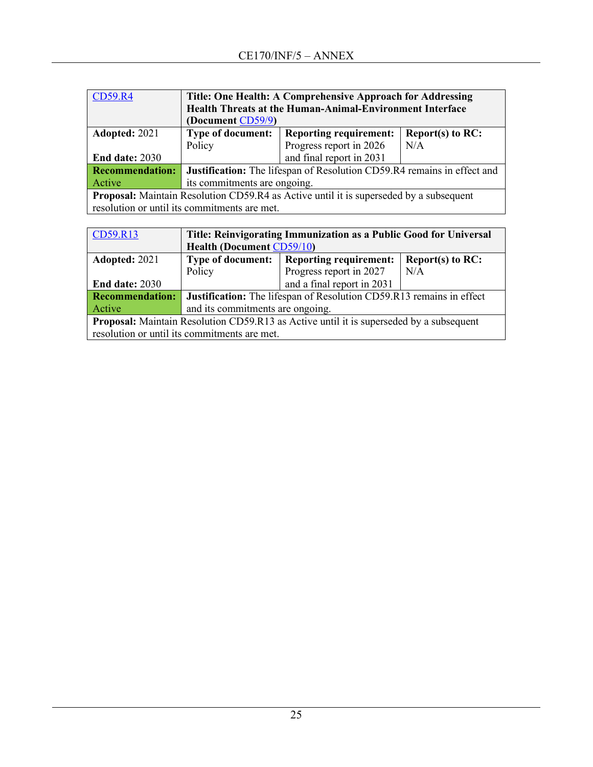| <b>CD59.R4</b>                                                                                | Title: One Health: A Comprehensive Approach for Addressing<br>Health Threats at the Human-Animal-Environment Interface<br>(Document CD59/9) |                         |     |  |
|-----------------------------------------------------------------------------------------------|---------------------------------------------------------------------------------------------------------------------------------------------|-------------------------|-----|--|
| Adopted: 2021                                                                                 | <b>Type of document:</b><br><b>Reporting requirement:</b><br>Report(s) to $RC$ :                                                            |                         |     |  |
|                                                                                               | Policy                                                                                                                                      | Progress report in 2026 | N/A |  |
| End date: 2030                                                                                | and final report in 2031                                                                                                                    |                         |     |  |
| <b>Recommendation:</b>                                                                        | Justification: The lifespan of Resolution CD59.R4 remains in effect and                                                                     |                         |     |  |
| Active                                                                                        | its commitments are ongoing.                                                                                                                |                         |     |  |
| <b>Proposal:</b> Maintain Resolution CD59.R4 as Active until it is superseded by a subsequent |                                                                                                                                             |                         |     |  |
|                                                                                               | resolution or until its commitments are met.                                                                                                |                         |     |  |

| CD59.R13                                                                                | Title: Reinvigorating Immunization as a Public Good for Universal                |                            |     |  |
|-----------------------------------------------------------------------------------------|----------------------------------------------------------------------------------|----------------------------|-----|--|
|                                                                                         | <b>Health (Document CD59/10)</b>                                                 |                            |     |  |
| Adopted: 2021                                                                           | <b>Reporting requirement:</b><br>Report(s) to $RC$ :<br><b>Type of document:</b> |                            |     |  |
|                                                                                         | Policy                                                                           | Progress report in 2027    | N/A |  |
| <b>End date: 2030</b>                                                                   |                                                                                  | and a final report in 2031 |     |  |
| <b>Recommendation:</b>                                                                  | <b>Justification:</b> The lifespan of Resolution CD59.R13 remains in effect      |                            |     |  |
| Active                                                                                  | and its commitments are ongoing.                                                 |                            |     |  |
| Proposal: Maintain Resolution CD59.R13 as Active until it is superseded by a subsequent |                                                                                  |                            |     |  |
|                                                                                         | resolution or until its commitments are met.                                     |                            |     |  |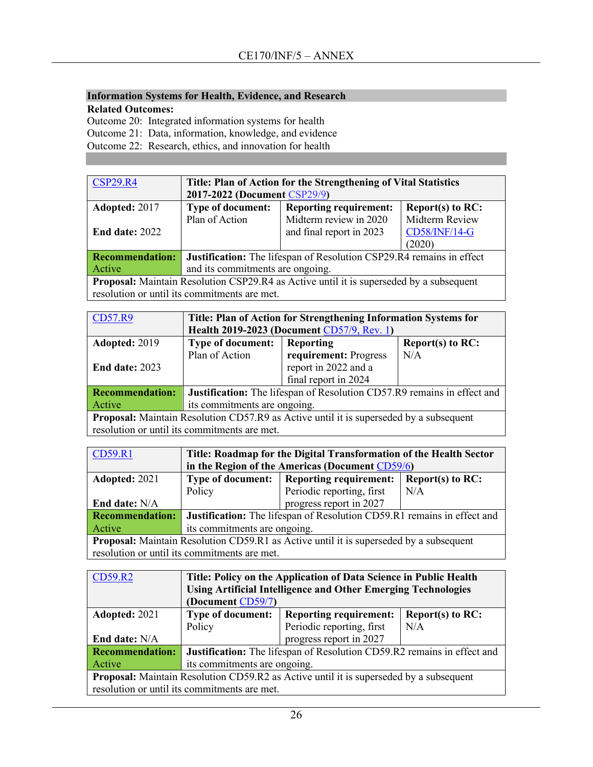# **Information Systems for Health, Evidence, and Research**

**Related Outcomes:**

Outcome 20: Integrated information systems for health

Outcome 21: Data, information, knowledge, and evidence

Outcome 22: Research, ethics, and innovation for health

| <b>CSP29.R4</b>                                                                                | Title: Plan of Action for the Strengthening of Vital Statistics<br>2017-2022 (Document CSP29/9) |                          |                |  |
|------------------------------------------------------------------------------------------------|-------------------------------------------------------------------------------------------------|--------------------------|----------------|--|
| Adopted: 2017                                                                                  | <b>Type of document:</b><br><b>Reporting requirement:</b><br>Report(s) to $RC$ :                |                          |                |  |
|                                                                                                | Plan of Action                                                                                  | Midterm review in 2020   | Midterm Review |  |
| End date: $2022$                                                                               |                                                                                                 | and final report in 2023 | CD58/INF/14-G  |  |
|                                                                                                |                                                                                                 |                          | (2020)         |  |
| <b>Recommendation:</b>                                                                         | Justification: The lifespan of Resolution CSP29.R4 remains in effect                            |                          |                |  |
| Active                                                                                         | and its commitments are ongoing.                                                                |                          |                |  |
| <b>Proposal:</b> Maintain Resolution CSP29.R4 as Active until it is superseded by a subsequent |                                                                                                 |                          |                |  |
| resolution or until its commitments are met.                                                   |                                                                                                 |                          |                |  |

| <b>CD57.R9</b>                                                                         | Title: Plan of Action for Strengthening Information Systems for         |                       |                     |  |
|----------------------------------------------------------------------------------------|-------------------------------------------------------------------------|-----------------------|---------------------|--|
|                                                                                        | Health 2019-2023 (Document CD57/9, Rev. 1)                              |                       |                     |  |
| Adopted: 2019                                                                          | Type of document:                                                       | <b>Reporting</b>      | Report(s) to $RC$ : |  |
|                                                                                        | Plan of Action                                                          | requirement: Progress | N/A                 |  |
| End date: $2023$                                                                       |                                                                         | report in 2022 and a  |                     |  |
|                                                                                        |                                                                         | final report in 2024  |                     |  |
| <b>Recommendation:</b>                                                                 | Justification: The lifespan of Resolution CD57.R9 remains in effect and |                       |                     |  |
| Active                                                                                 | its commitments are ongoing.                                            |                       |                     |  |
| Proposal: Maintain Resolution CD57.R9 as Active until it is superseded by a subsequent |                                                                         |                       |                     |  |
|                                                                                        | resolution or until its commitments are met.                            |                       |                     |  |

| <b>CD59.R1</b>                                                                                | Title: Roadmap for the Digital Transformation of the Health Sector      |                           |     |  |
|-----------------------------------------------------------------------------------------------|-------------------------------------------------------------------------|---------------------------|-----|--|
|                                                                                               | in the Region of the Americas (Document CD59/6)                         |                           |     |  |
| Adopted: 2021                                                                                 | Type of document:   Reporting requirement:<br>Report(s) to $RC$ :       |                           |     |  |
|                                                                                               | Policy                                                                  | Periodic reporting, first | N/A |  |
| End date: N/A                                                                                 |                                                                         | progress report in 2027   |     |  |
| <b>Recommendation:</b>                                                                        | Justification: The lifespan of Resolution CD59.R1 remains in effect and |                           |     |  |
| Active                                                                                        | its commitments are ongoing.                                            |                           |     |  |
| <b>Proposal:</b> Maintain Resolution CD59.R1 as Active until it is superseded by a subsequent |                                                                         |                           |     |  |
|                                                                                               | resolution or until its commitments are met.                            |                           |     |  |

| CD59.R2                                                                                       | Title: Policy on the Application of Data Science in Public Health                |                           |     |  |  |
|-----------------------------------------------------------------------------------------------|----------------------------------------------------------------------------------|---------------------------|-----|--|--|
|                                                                                               | <b>Using Artificial Intelligence and Other Emerging Technologies</b>             |                           |     |  |  |
|                                                                                               | (Document CD59/7)                                                                |                           |     |  |  |
| Adopted: 2021                                                                                 | <b>Type of document:</b><br>Report(s) to $RC$ :<br><b>Reporting requirement:</b> |                           |     |  |  |
|                                                                                               | Policy                                                                           | Periodic reporting, first | N/A |  |  |
| End date: N/A                                                                                 | progress report in 2027                                                          |                           |     |  |  |
| <b>Recommendation:</b>                                                                        | <b>Justification:</b> The lifespan of Resolution CD59.R2 remains in effect and   |                           |     |  |  |
| Active                                                                                        | its commitments are ongoing.                                                     |                           |     |  |  |
| <b>Proposal:</b> Maintain Resolution CD59.R2 as Active until it is superseded by a subsequent |                                                                                  |                           |     |  |  |
|                                                                                               | resolution or until its commitments are met.                                     |                           |     |  |  |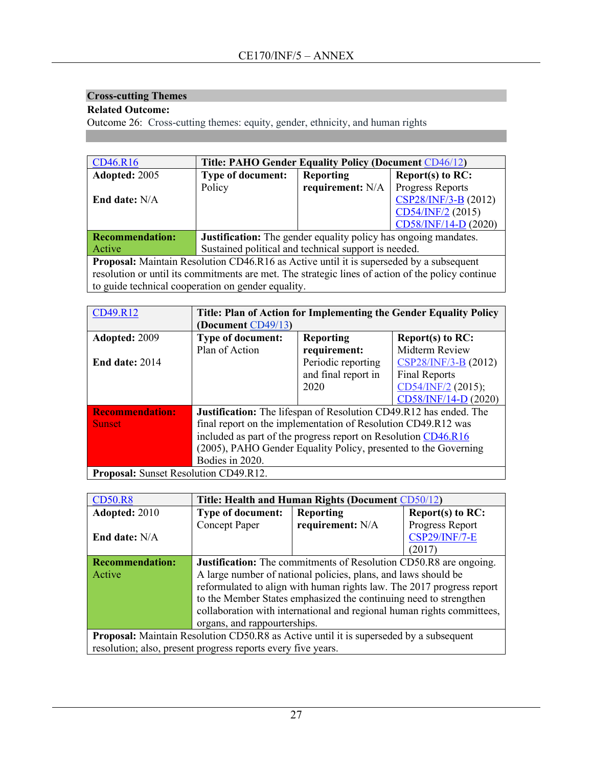# **Cross-cutting Themes**

# **Related Outcome:**

Outcome 26: Cross-cutting themes: equity, gender, ethnicity, and human rights

| CD46.R16                                                                                          | <b>Title: PAHO Gender Equality Policy (Document CD46/12)</b>           |                  |                      |  |
|---------------------------------------------------------------------------------------------------|------------------------------------------------------------------------|------------------|----------------------|--|
| Adopted: 2005                                                                                     | <b>Type of document:</b>                                               | <b>Reporting</b> | Report(s) to $RC$ :  |  |
|                                                                                                   | Policy                                                                 | requirement: N/A | Progress Reports     |  |
| End date: N/A                                                                                     |                                                                        |                  | CSP28/INF/3-B (2012) |  |
|                                                                                                   |                                                                        |                  | CD54/INF/2 (2015)    |  |
|                                                                                                   |                                                                        |                  | CD58/INF/14-D (2020) |  |
| <b>Recommendation:</b>                                                                            | <b>Justification:</b> The gender equality policy has ongoing mandates. |                  |                      |  |
| Active                                                                                            | Sustained political and technical support is needed.                   |                  |                      |  |
| Proposal: Maintain Resolution CD46.R16 as Active until it is superseded by a subsequent           |                                                                        |                  |                      |  |
| resolution or until its commitments are met. The strategic lines of action of the policy continue |                                                                        |                  |                      |  |
| to guide technical cooperation on gender equality.                                                |                                                                        |                  |                      |  |

| CD49.R12                                     | Title: Plan of Action for Implementing the Gender Equality Policy |                     |                      |
|----------------------------------------------|-------------------------------------------------------------------|---------------------|----------------------|
|                                              | (Document CD49/13)                                                |                     |                      |
| Adopted: 2009                                | <b>Type of document:</b>                                          | <b>Reporting</b>    | Report(s) to $RC$ :  |
|                                              | Plan of Action                                                    | requirement:        | Midterm Review       |
| <b>End date: 2014</b>                        |                                                                   | Periodic reporting  | CSP28/INF/3-B (2012) |
|                                              |                                                                   | and final report in | <b>Final Reports</b> |
|                                              |                                                                   | 2020                | $CD54/INF/2$ (2015); |
|                                              |                                                                   |                     | CD58/INF/14-D (2020) |
| <b>Recommendation:</b>                       | Justification: The lifespan of Resolution CD49.R12 has ended. The |                     |                      |
| <b>Sunset</b>                                | final report on the implementation of Resolution CD49.R12 was     |                     |                      |
|                                              | included as part of the progress report on Resolution CD46.R16    |                     |                      |
|                                              | (2005), PAHO Gender Equality Policy, presented to the Governing   |                     |                      |
|                                              | Bodies in 2020.                                                   |                     |                      |
| <b>Proposal:</b> Sunset Resolution CD49.R12. |                                                                   |                     |                      |

| <b>CD50.R8</b>                                                                                | Title: Health and Human Rights (Document CD50/12)                        |                  |                      |
|-----------------------------------------------------------------------------------------------|--------------------------------------------------------------------------|------------------|----------------------|
| Adopted: 2010                                                                                 | <b>Type of document:</b>                                                 | <b>Reporting</b> | Report(s) to $RC$ :  |
|                                                                                               | <b>Concept Paper</b>                                                     | requirement: N/A | Progress Report      |
| <b>End date:</b> N/A                                                                          |                                                                          |                  | <b>CSP29/INF/7-E</b> |
|                                                                                               |                                                                          |                  | (2017)               |
| <b>Recommendation:</b>                                                                        | <b>Justification:</b> The commitments of Resolution CD50.R8 are ongoing. |                  |                      |
| Active                                                                                        | A large number of national policies, plans, and laws should be           |                  |                      |
|                                                                                               | reformulated to align with human rights law. The 2017 progress report    |                  |                      |
|                                                                                               | to the Member States emphasized the continuing need to strengthen        |                  |                      |
|                                                                                               | collaboration with international and regional human rights committees,   |                  |                      |
|                                                                                               | organs, and rappourterships.                                             |                  |                      |
| <b>Proposal:</b> Maintain Resolution CD50.R8 as Active until it is superseded by a subsequent |                                                                          |                  |                      |
| resolution; also, present progress reports every five years.                                  |                                                                          |                  |                      |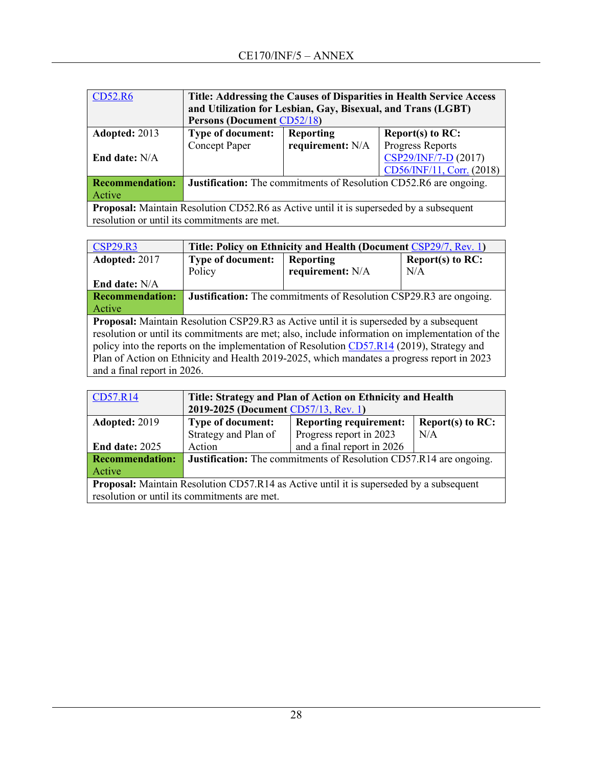| <b>CD52.R6</b>                                                                         | Title: Addressing the Causes of Disparities in Health Service Access<br>and Utilization for Lesbian, Gay, Bisexual, and Trans (LGBT)<br><b>Persons (Document CD52/18)</b> |                  |                                                                          |  |  |
|----------------------------------------------------------------------------------------|---------------------------------------------------------------------------------------------------------------------------------------------------------------------------|------------------|--------------------------------------------------------------------------|--|--|
| Adopted: 2013                                                                          | Type of document:                                                                                                                                                         | <b>Reporting</b> | Report(s) to $RC$ :                                                      |  |  |
|                                                                                        | Concept Paper                                                                                                                                                             | requirement: N/A | <b>Progress Reports</b>                                                  |  |  |
| End date: N/A                                                                          | CSP29/INF/7-D (2017)                                                                                                                                                      |                  |                                                                          |  |  |
|                                                                                        | CD56/INF/11, Corr. (2018)                                                                                                                                                 |                  |                                                                          |  |  |
| <b>Recommendation:</b>                                                                 |                                                                                                                                                                           |                  | <b>Justification:</b> The commitments of Resolution CD52.R6 are ongoing. |  |  |
| Active                                                                                 |                                                                                                                                                                           |                  |                                                                          |  |  |
| Proposal: Maintain Resolution CD52.R6 as Active until it is superseded by a subsequent |                                                                                                                                                                           |                  |                                                                          |  |  |
|                                                                                        | resolution or until its commitments are met.                                                                                                                              |                  |                                                                          |  |  |

| <b>CSP29.R3</b>                                                                                 | Title: Policy on Ethnicity and Health (Document CSP29/7, Rev. 1)          |                  |                     |  |
|-------------------------------------------------------------------------------------------------|---------------------------------------------------------------------------|------------------|---------------------|--|
| Adopted: 2017                                                                                   | <b>Type of document:</b>                                                  | <b>Reporting</b> | Report(s) to $RC$ : |  |
|                                                                                                 | Policy                                                                    | requirement: N/A | N/A                 |  |
| End date: N/A                                                                                   |                                                                           |                  |                     |  |
| <b>Recommendation:</b>                                                                          | <b>Justification:</b> The commitments of Resolution CSP29.R3 are ongoing. |                  |                     |  |
| Active                                                                                          |                                                                           |                  |                     |  |
| <b>Proposal:</b> Maintain Resolution CSP29.R3 as Active until it is superseded by a subsequent  |                                                                           |                  |                     |  |
| resolution or until its commitments are met; also, include information on implementation of the |                                                                           |                  |                     |  |
| policy into the reports on the implementation of Resolution CD57.R14 (2019), Strategy and       |                                                                           |                  |                     |  |
| Plan of Action on Ethnicity and Health 2019-2025, which mandates a progress report in 2023      |                                                                           |                  |                     |  |
| and a final report in 2026.                                                                     |                                                                           |                  |                     |  |

| CD57.R14                                                                                       | Title: Strategy and Plan of Action on Ethnicity and Health                |                               |                     |  |
|------------------------------------------------------------------------------------------------|---------------------------------------------------------------------------|-------------------------------|---------------------|--|
|                                                                                                | 2019-2025 (Document CD57/13, Rev. 1)                                      |                               |                     |  |
| Adopted: 2019                                                                                  | <b>Type of document:</b>                                                  | <b>Reporting requirement:</b> | Report $(s)$ to RC: |  |
|                                                                                                | Strategy and Plan of                                                      | Progress report in 2023       | N/A                 |  |
| <b>End date: 2025</b>                                                                          | Action                                                                    | and a final report in 2026    |                     |  |
| <b>Recommendation:</b>                                                                         | <b>Justification:</b> The commitments of Resolution CD57.R14 are ongoing. |                               |                     |  |
| Active                                                                                         |                                                                           |                               |                     |  |
| <b>Proposal:</b> Maintain Resolution CD57.R14 as Active until it is superseded by a subsequent |                                                                           |                               |                     |  |
|                                                                                                | resolution or until its commitments are met.                              |                               |                     |  |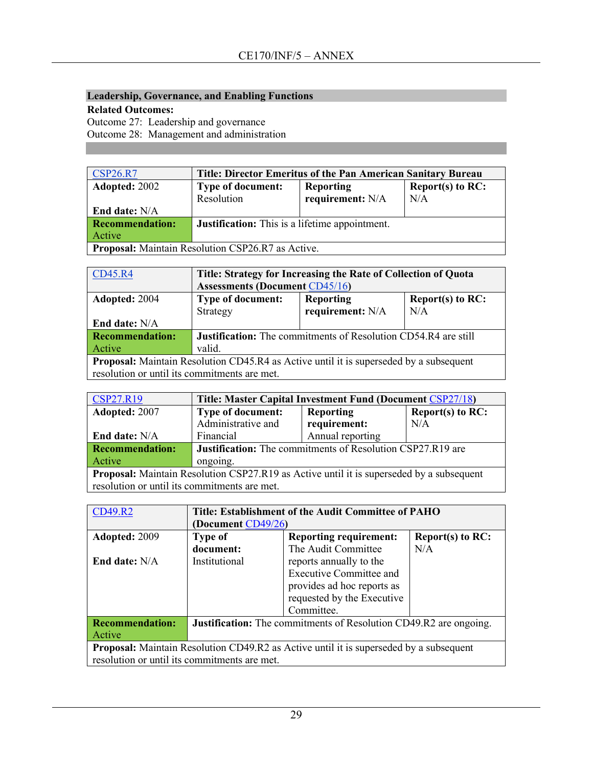## **Leadership, Governance, and Enabling Functions**

## **Related Outcomes:**

Outcome 27: Leadership and governance

Outcome 28: Management and administration

| <b>CSP26.R7</b>                                          | Title: Director Emeritus of the Pan American Sanitary Bureau        |                  |     |  |
|----------------------------------------------------------|---------------------------------------------------------------------|------------------|-----|--|
| <b>Adopted: 2002</b>                                     | <b>Reporting</b><br><b>Type of document:</b><br>Report(s) to $RC$ : |                  |     |  |
|                                                          | Resolution                                                          | requirement: N/A | N/A |  |
| End date: N/A                                            |                                                                     |                  |     |  |
| <b>Recommendation:</b>                                   | <b>Justification:</b> This is a lifetime appointment.               |                  |     |  |
| Active                                                   |                                                                     |                  |     |  |
| <b>Proposal:</b> Maintain Resolution CSP26.R7 as Active. |                                                                     |                  |     |  |

| <b>CD45.R4</b>                                                                                | Title: Strategy for Increasing the Rate of Collection of Quota        |                  |     |  |
|-----------------------------------------------------------------------------------------------|-----------------------------------------------------------------------|------------------|-----|--|
|                                                                                               | <b>Assessments (Document CD45/16)</b>                                 |                  |     |  |
| Adopted: 2004                                                                                 | <b>Type of document:</b><br><b>Reporting</b><br>Report(s) to $RC$ :   |                  |     |  |
|                                                                                               | Strategy                                                              | requirement: N/A | N/A |  |
| End date: N/A                                                                                 |                                                                       |                  |     |  |
| <b>Recommendation:</b>                                                                        | <b>Justification:</b> The commitments of Resolution CD54.R4 are still |                  |     |  |
| <b>Active</b>                                                                                 | valid.                                                                |                  |     |  |
| <b>Proposal:</b> Maintain Resolution CD45.R4 as Active until it is superseded by a subsequent |                                                                       |                  |     |  |
| resolution or until its commitments are met.                                                  |                                                                       |                  |     |  |

| CSP27.R19                                                                                       | Title: Master Capital Investment Fund (Document CSP27/18)         |                  |                     |
|-------------------------------------------------------------------------------------------------|-------------------------------------------------------------------|------------------|---------------------|
| Adopted: 2007                                                                                   | <b>Type of document:</b>                                          | <b>Reporting</b> | Report(s) to $RC$ : |
|                                                                                                 | Administrative and                                                | requirement:     | N/A                 |
| End date: N/A                                                                                   | Financial                                                         | Annual reporting |                     |
| <b>Recommendation:</b>                                                                          | <b>Justification:</b> The commitments of Resolution CSP27.R19 are |                  |                     |
| Active                                                                                          | ongoing.                                                          |                  |                     |
| <b>Proposal:</b> Maintain Resolution CSP27.R19 as Active until it is superseded by a subsequent |                                                                   |                  |                     |
| resolution or until its commitments are met.                                                    |                                                                   |                  |                     |

| <b>CD49.R2</b>                                                                                | Title: Establishment of the Audit Committee of PAHO                      |                                |                     |  |
|-----------------------------------------------------------------------------------------------|--------------------------------------------------------------------------|--------------------------------|---------------------|--|
|                                                                                               | (Document CD49/26)                                                       |                                |                     |  |
| Adopted: 2009                                                                                 | <b>Type of</b>                                                           | <b>Reporting requirement:</b>  | Report(s) to $RC$ : |  |
|                                                                                               | document:                                                                | The Audit Committee            | N/A                 |  |
| End date: N/A                                                                                 | Institutional                                                            | reports annually to the        |                     |  |
|                                                                                               |                                                                          | <b>Executive Committee and</b> |                     |  |
|                                                                                               |                                                                          | provides ad hoc reports as     |                     |  |
|                                                                                               |                                                                          | requested by the Executive     |                     |  |
|                                                                                               |                                                                          | Committee.                     |                     |  |
| <b>Recommendation:</b>                                                                        | <b>Justification:</b> The commitments of Resolution CD49.R2 are ongoing. |                                |                     |  |
| Active                                                                                        |                                                                          |                                |                     |  |
| <b>Proposal:</b> Maintain Resolution CD49.R2 as Active until it is superseded by a subsequent |                                                                          |                                |                     |  |
| resolution or until its commitments are met.                                                  |                                                                          |                                |                     |  |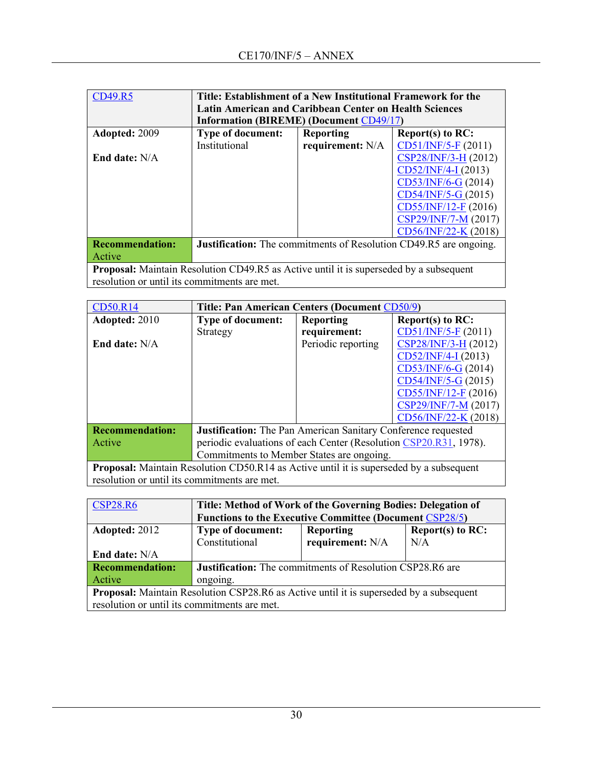| CD49.R5                                                                                       | Title: Establishment of a New Institutional Framework for the            |                  |                         |  |
|-----------------------------------------------------------------------------------------------|--------------------------------------------------------------------------|------------------|-------------------------|--|
|                                                                                               | <b>Latin American and Caribbean Center on Health Sciences</b>            |                  |                         |  |
|                                                                                               | <b>Information (BIREME) (Document CD49/17)</b>                           |                  |                         |  |
| Adopted: 2009                                                                                 | <b>Type of document:</b>                                                 | <b>Reporting</b> | <b>Report(s) to RC:</b> |  |
|                                                                                               | Institutional                                                            | requirement: N/A | CD51/INF/5-F (2011)     |  |
| End date: N/A                                                                                 |                                                                          |                  | CSP28/INF/3-H (2012)    |  |
|                                                                                               | CD52/INF/4-I (2013)                                                      |                  |                         |  |
|                                                                                               |                                                                          |                  | $CD53/INF/6-G (2014)$   |  |
|                                                                                               |                                                                          |                  | $CD54/INF/5-G(2015)$    |  |
|                                                                                               | $CD55/INF/12-F(2016)$                                                    |                  |                         |  |
|                                                                                               |                                                                          |                  | CSP29/INF/7-M (2017)    |  |
|                                                                                               |                                                                          |                  | $CD56/INF/22-K (2018)$  |  |
| <b>Recommendation:</b>                                                                        | <b>Justification:</b> The commitments of Resolution CD49.R5 are ongoing. |                  |                         |  |
| Active                                                                                        |                                                                          |                  |                         |  |
| <b>Proposal:</b> Maintain Resolution CD49.R5 as Active until it is superseded by a subsequent |                                                                          |                  |                         |  |
| resolution or until its commitments are met.                                                  |                                                                          |                  |                         |  |

| <b>CD50.R14</b>                                                                                | Title: Pan American Centers (Document CD50/9)                        |                    |                         |  |
|------------------------------------------------------------------------------------------------|----------------------------------------------------------------------|--------------------|-------------------------|--|
| Adopted: 2010                                                                                  | <b>Type of document:</b>                                             | <b>Reporting</b>   | <b>Report(s) to RC:</b> |  |
|                                                                                                | Strategy                                                             | requirement:       | $CD51/INF/5-F(2011)$    |  |
| End date: $N/A$                                                                                |                                                                      | Periodic reporting | CSP28/INF/3-H (2012)    |  |
|                                                                                                |                                                                      |                    | $CD52/INF/4-I(2013)$    |  |
|                                                                                                |                                                                      |                    | $CD53/INF/6-G (2014)$   |  |
|                                                                                                |                                                                      |                    | $CD54/INF/5-G (2015)$   |  |
|                                                                                                |                                                                      |                    | $CD55/INF/12-F$ (2016)  |  |
|                                                                                                |                                                                      |                    | CSP29/INF/7-M (2017)    |  |
|                                                                                                |                                                                      |                    | CD56/INF/22-K (2018)    |  |
| <b>Recommendation:</b>                                                                         | <b>Justification:</b> The Pan American Sanitary Conference requested |                    |                         |  |
| Active                                                                                         | periodic evaluations of each Center (Resolution CSP20.R31, 1978).    |                    |                         |  |
|                                                                                                | Commitments to Member States are ongoing.                            |                    |                         |  |
| <b>Proposal:</b> Maintain Resolution CD50.R14 as Active until it is superseded by a subsequent |                                                                      |                    |                         |  |
| resolution or until its commitments are met.                                                   |                                                                      |                    |                         |  |

| <b>CSP28.R6</b>                                                                                | Title: Method of Work of the Governing Bodies: Delegation of   |                  |     |
|------------------------------------------------------------------------------------------------|----------------------------------------------------------------|------------------|-----|
|                                                                                                | <b>Functions to the Executive Committee (Document CSP28/5)</b> |                  |     |
| Adopted: 2012                                                                                  | Report $(s)$ to RC:<br><b>Type of document:</b><br>Reporting   |                  |     |
|                                                                                                | Constitutional                                                 | requirement: N/A | N/A |
| End date: N/A                                                                                  |                                                                |                  |     |
| <b>Recommendation:</b>                                                                         | Justification: The commitments of Resolution CSP28.R6 are      |                  |     |
| Active                                                                                         | ongoing.                                                       |                  |     |
| <b>Proposal:</b> Maintain Resolution CSP28.R6 as Active until it is superseded by a subsequent |                                                                |                  |     |
| resolution or until its commitments are met.                                                   |                                                                |                  |     |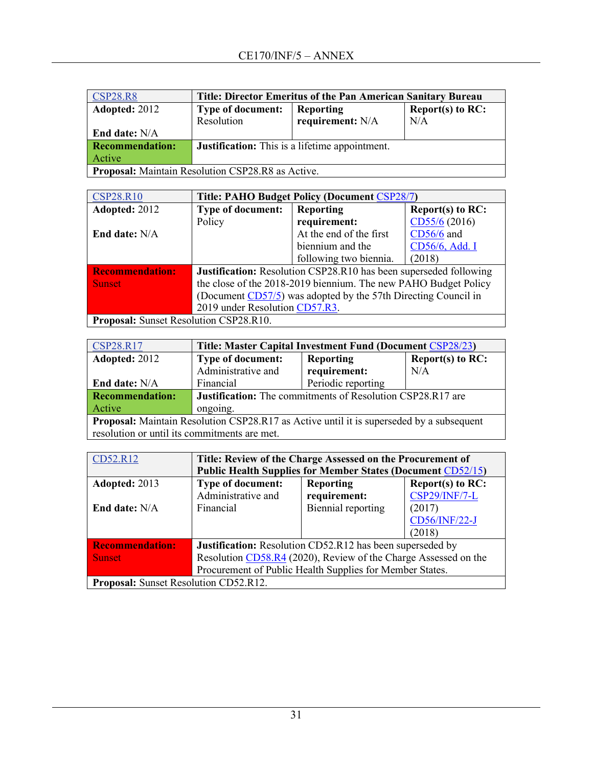| <b>CSP28.R8</b>                                   | Title: Director Emeritus of the Pan American Sanitary Bureau |                  |                     |  |
|---------------------------------------------------|--------------------------------------------------------------|------------------|---------------------|--|
| <b>Adopted: 2012</b>                              | <b>Type of document:</b>                                     | <b>Reporting</b> | Report(s) to $RC$ : |  |
|                                                   | Resolution                                                   | requirement: N/A | N/A                 |  |
| <b>End date:</b> N/A                              |                                                              |                  |                     |  |
| <b>Recommendation:</b>                            | <b>Justification:</b> This is a lifetime appointment.        |                  |                     |  |
| Active                                            |                                                              |                  |                     |  |
| Proposal: Maintain Resolution CSP28.R8 as Active. |                                                              |                  |                     |  |

| <b>CSP28.R10</b>                       | Title: PAHO Budget Policy (Document CSP28/7)                      |                                                                 |                  |  |
|----------------------------------------|-------------------------------------------------------------------|-----------------------------------------------------------------|------------------|--|
| Adopted: 2012                          | <b>Type of document:</b>                                          | Reporting                                                       | Report(s) to RC: |  |
|                                        | Policy                                                            | requirement:                                                    | CD55/6 (2016)    |  |
| End date: N/A                          |                                                                   | At the end of the first                                         | CD56/6 and       |  |
|                                        |                                                                   | biennium and the                                                | CD56/6, Add. I   |  |
|                                        |                                                                   | following two biennia.                                          | (2018)           |  |
| <b>Recommendation:</b>                 | Justification: Resolution CSP28.R10 has been superseded following |                                                                 |                  |  |
| <b>Sunset</b>                          |                                                                   | the close of the 2018-2019 biennium. The new PAHO Budget Policy |                  |  |
|                                        | (Document CD57/5) was adopted by the 57th Directing Council in    |                                                                 |                  |  |
|                                        | 2019 under Resolution CD57.R3.                                    |                                                                 |                  |  |
| Proposal: Sunset Resolution CSP28.R10. |                                                                   |                                                                 |                  |  |

| CSP28.R17                                                                                       | Title: Master Capital Investment Fund (Document CSP28/23)         |                    |                     |  |
|-------------------------------------------------------------------------------------------------|-------------------------------------------------------------------|--------------------|---------------------|--|
| Adopted: 2012                                                                                   | <b>Type of document:</b>                                          | <b>Reporting</b>   | Report(s) to $RC$ : |  |
|                                                                                                 | Administrative and                                                | requirement:       | N/A                 |  |
| End date: N/A                                                                                   | Financial                                                         | Periodic reporting |                     |  |
| <b>Recommendation:</b>                                                                          | <b>Justification:</b> The commitments of Resolution CSP28.R17 are |                    |                     |  |
| Active                                                                                          | ongoing.                                                          |                    |                     |  |
| <b>Proposal:</b> Maintain Resolution CSP28.R17 as Active until it is superseded by a subsequent |                                                                   |                    |                     |  |
| resolution or until its commitments are met.                                                    |                                                                   |                    |                     |  |

| CD52.R12                                     | Title: Review of the Charge Assessed on the Procurement of<br><b>Public Health Supplies for Member States (Document CD52/15)</b> |                                  |                                          |
|----------------------------------------------|----------------------------------------------------------------------------------------------------------------------------------|----------------------------------|------------------------------------------|
| Adopted: 2013                                | <b>Type of document:</b><br>Administrative and                                                                                   | <b>Reporting</b><br>requirement: | Report(s) to RC:<br><b>CSP29/INF/7-L</b> |
| End date: N/A                                | Financial                                                                                                                        | Biennial reporting               | (2017)<br>CD56/INF/22-J<br>(2018)        |
| <b>Recommendation:</b>                       | Justification: Resolution CD52.R12 has been superseded by                                                                        |                                  |                                          |
| <b>Sunset</b>                                | Resolution CD58.R4 (2020), Review of the Charge Assessed on the                                                                  |                                  |                                          |
|                                              | Procurement of Public Health Supplies for Member States.                                                                         |                                  |                                          |
| <b>Proposal:</b> Sunset Resolution CD52.R12. |                                                                                                                                  |                                  |                                          |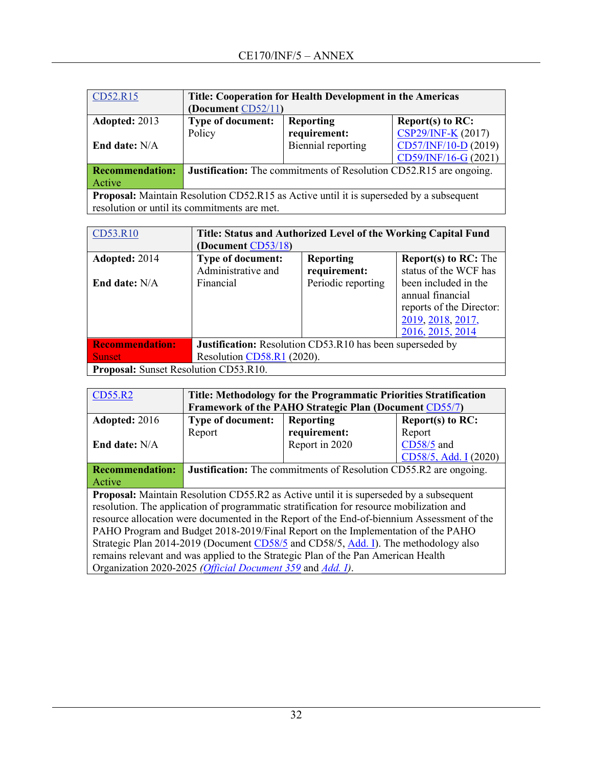| CD52.R15                                                                                       | Title: Cooperation for Health Development in the Americas                 |                    |                      |  |
|------------------------------------------------------------------------------------------------|---------------------------------------------------------------------------|--------------------|----------------------|--|
|                                                                                                | (Document CD52/11)                                                        |                    |                      |  |
| Adopted: 2013                                                                                  | Type of document:                                                         | <b>Reporting</b>   | Report(s) to $RC$ :  |  |
|                                                                                                | Policy                                                                    | requirement:       | CSP29/INF-K (2017)   |  |
| End date: N/A                                                                                  |                                                                           | Biennial reporting | CD57/INF/10-D (2019) |  |
|                                                                                                |                                                                           |                    | CD59/INF/16-G (2021) |  |
| <b>Recommendation:</b>                                                                         | <b>Justification:</b> The commitments of Resolution CD52.R15 are ongoing. |                    |                      |  |
| Active                                                                                         |                                                                           |                    |                      |  |
| <b>Proposal:</b> Maintain Resolution CD52.R15 as Active until it is superseded by a subsequent |                                                                           |                    |                      |  |
| resolution or until its commitments are met.                                                   |                                                                           |                    |                      |  |

| CD53.R10                                     | Title: Status and Authorized Level of the Working Capital Fund   |                    |                             |  |
|----------------------------------------------|------------------------------------------------------------------|--------------------|-----------------------------|--|
|                                              | (Document CD53/18)                                               |                    |                             |  |
| Adopted: 2014                                | <b>Type of document:</b>                                         | <b>Reporting</b>   | <b>Report(s) to RC:</b> The |  |
|                                              | Administrative and                                               | requirement:       | status of the WCF has       |  |
| <b>End date:</b> N/A                         | Financial                                                        | Periodic reporting | been included in the        |  |
|                                              |                                                                  |                    | annual financial            |  |
|                                              |                                                                  |                    | reports of the Director:    |  |
|                                              |                                                                  |                    | 2019, 2018, 2017,           |  |
|                                              |                                                                  |                    | 2016, 2015, 2014            |  |
| <b>Recommendation:</b>                       | <b>Justification:</b> Resolution CD53.R10 has been superseded by |                    |                             |  |
| <b>Sunset</b>                                | Resolution CD58.R1 (2020).                                       |                    |                             |  |
| <b>Proposal:</b> Sunset Resolution CD53.R10. |                                                                  |                    |                             |  |

| CD55.R2                                                                                       | Title: Methodology for the Programmatic Priorities Stratification        |                  |                       |  |
|-----------------------------------------------------------------------------------------------|--------------------------------------------------------------------------|------------------|-----------------------|--|
|                                                                                               | Framework of the PAHO Strategic Plan (Document CD55/7)                   |                  |                       |  |
| Adopted: 2016                                                                                 | <b>Type of document:</b>                                                 | <b>Reporting</b> | Report(s) to RC:      |  |
|                                                                                               | Report                                                                   | requirement:     | Report                |  |
| End date: N/A                                                                                 |                                                                          | Report in 2020   | CD58/5 and            |  |
|                                                                                               |                                                                          |                  | CD58/5, Add. I (2020) |  |
| <b>Recommendation:</b>                                                                        | <b>Justification:</b> The commitments of Resolution CD55.R2 are ongoing. |                  |                       |  |
| <b>Active</b>                                                                                 |                                                                          |                  |                       |  |
| <b>Proposal:</b> Maintain Resolution CD55.R2 as Active until it is superseded by a subsequent |                                                                          |                  |                       |  |
| resolution. The application of programmatic stratification for resource mobilization and      |                                                                          |                  |                       |  |
| resource allocation were documented in the Report of the End-of-biennium Assessment of the    |                                                                          |                  |                       |  |
| PAHO Program and Budget 2018-2019/Final Report on the Implementation of the PAHO              |                                                                          |                  |                       |  |
| Strategic Plan 2014-2019 (Document CD58/5 and CD58/5, Add. I). The methodology also           |                                                                          |                  |                       |  |
| remains relevant and was applied to the Strategic Plan of the Pan American Health             |                                                                          |                  |                       |  |
| Organization 2020-2025 (Official Document 359 and Add. I).                                    |                                                                          |                  |                       |  |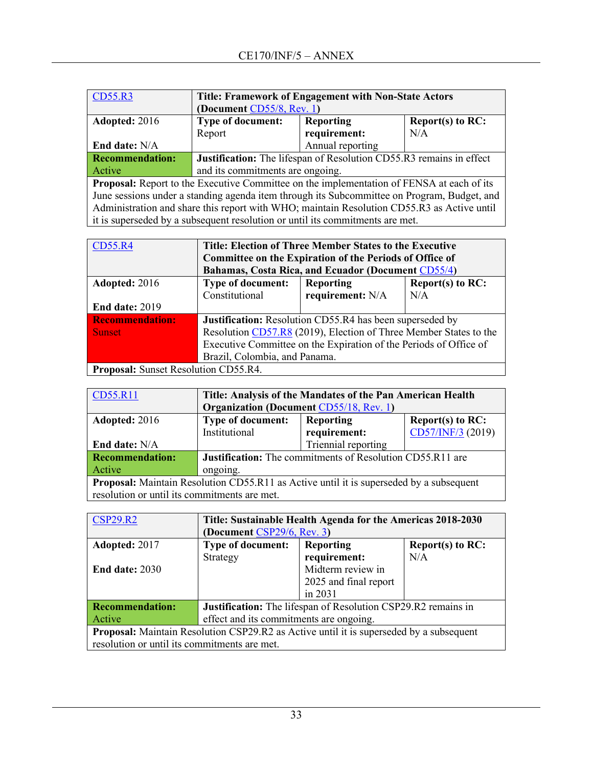| CD55.R3                                                                                     | <b>Title: Framework of Engagement with Non-State Actors</b>                   |                                                              |     |  |
|---------------------------------------------------------------------------------------------|-------------------------------------------------------------------------------|--------------------------------------------------------------|-----|--|
|                                                                                             | (Document CD55/8, Rev. 1)                                                     |                                                              |     |  |
| Adopted: 2016                                                                               |                                                                               | Type of document:<br><b>Reporting</b><br>Report(s) to $RC$ : |     |  |
|                                                                                             | Report                                                                        | requirement:                                                 | N/A |  |
| End date: N/A                                                                               |                                                                               | Annual reporting                                             |     |  |
| <b>Recommendation:</b>                                                                      | Justification: The lifespan of Resolution CD55.R3 remains in effect           |                                                              |     |  |
| Active                                                                                      | and its commitments are ongoing.                                              |                                                              |     |  |
| Proposal: Report to the Executive Committee on the implementation of FENSA at each of its   |                                                                               |                                                              |     |  |
| June sessions under a standing agenda item through its Subcommittee on Program, Budget, and |                                                                               |                                                              |     |  |
| Administration and share this report with WHO; maintain Resolution CD55.R3 as Active until  |                                                                               |                                                              |     |  |
|                                                                                             | it is superseded by a subsequent resolution or until its commitments are met. |                                                              |     |  |

| CD55.R4                                     | Title: Election of Three Member States to the Executive           |                               |     |  |  |
|---------------------------------------------|-------------------------------------------------------------------|-------------------------------|-----|--|--|
|                                             | <b>Committee on the Expiration of the Periods of Office of</b>    |                               |     |  |  |
|                                             | Bahamas, Costa Rica, and Ecuador (Document CD55/4)                |                               |     |  |  |
| <b>Adopted: 2016</b>                        | <b>Type of document:</b>                                          | Report(s) to RC:<br>Reporting |     |  |  |
|                                             | Constitutional                                                    | requirement: N/A              | N/A |  |  |
| End date: 2019                              |                                                                   |                               |     |  |  |
| <b>Recommendation:</b>                      | <b>Justification:</b> Resolution CD55.R4 has been superseded by   |                               |     |  |  |
| <b>Sunset</b>                               | Resolution CD57.R8 (2019), Election of Three Member States to the |                               |     |  |  |
|                                             | Executive Committee on the Expiration of the Periods of Office of |                               |     |  |  |
|                                             | Brazil, Colombia, and Panama.                                     |                               |     |  |  |
| <b>Proposal:</b> Sunset Resolution CD55.R4. |                                                                   |                               |     |  |  |

| CD55.R11                                                                                       | Title: Analysis of the Mandates of the Pan American Health<br><b>Organization (Document CD55/18, Rev. 1)</b> |                     |                   |
|------------------------------------------------------------------------------------------------|--------------------------------------------------------------------------------------------------------------|---------------------|-------------------|
|                                                                                                |                                                                                                              |                     |                   |
| Adopted: 2016                                                                                  | <b>Type of document:</b><br>Report(s) to $RC$ :<br><b>Reporting</b>                                          |                     |                   |
|                                                                                                | Institutional                                                                                                | requirement:        | CD57/INF/3 (2019) |
| End date: N/A                                                                                  |                                                                                                              | Triennial reporting |                   |
| <b>Recommendation:</b>                                                                         | <b>Justification:</b> The commitments of Resolution CD55.R11 are                                             |                     |                   |
| Active                                                                                         | ongoing.                                                                                                     |                     |                   |
| <b>Proposal:</b> Maintain Resolution CD55.R11 as Active until it is superseded by a subsequent |                                                                                                              |                     |                   |
| resolution or until its commitments are met.                                                   |                                                                                                              |                     |                   |

| <b>CSP29.R2</b>                                                                                | Title: Sustainable Health Agenda for the Americas 2018-2030          |                       |                     |
|------------------------------------------------------------------------------------------------|----------------------------------------------------------------------|-----------------------|---------------------|
|                                                                                                | (Document CSP29/6, Rev. 3)                                           |                       |                     |
| Adopted: 2017                                                                                  | <b>Type of document:</b>                                             | <b>Reporting</b>      | Report $(s)$ to RC: |
|                                                                                                | Strategy                                                             | requirement:          | N/A                 |
| <b>End date: 2030</b>                                                                          |                                                                      | Midterm review in     |                     |
|                                                                                                |                                                                      | 2025 and final report |                     |
|                                                                                                |                                                                      | in 2031               |                     |
| <b>Recommendation:</b>                                                                         | <b>Justification:</b> The lifespan of Resolution CSP29.R2 remains in |                       |                     |
| Active                                                                                         | effect and its commitments are ongoing.                              |                       |                     |
| <b>Proposal:</b> Maintain Resolution CSP29.R2 as Active until it is superseded by a subsequent |                                                                      |                       |                     |
| resolution or until its commitments are met.                                                   |                                                                      |                       |                     |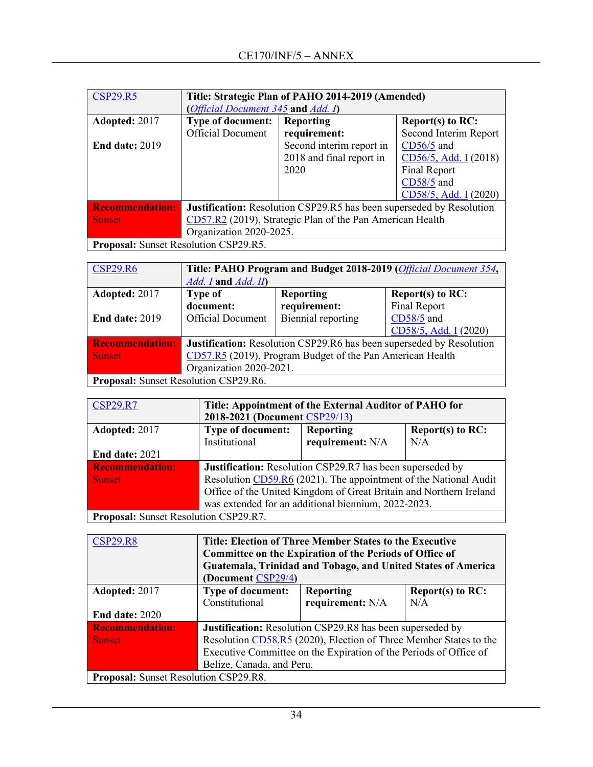| <b>CSP29.R5</b>                                                                                                                                                                                                                                                                                                                                                            | Title: Strategic Plan of PAHO 2014-2019 (Amended)                           |                                    |                       |  |  |
|----------------------------------------------------------------------------------------------------------------------------------------------------------------------------------------------------------------------------------------------------------------------------------------------------------------------------------------------------------------------------|-----------------------------------------------------------------------------|------------------------------------|-----------------------|--|--|
|                                                                                                                                                                                                                                                                                                                                                                            |                                                                             | (Official Document 345 and Add. I) |                       |  |  |
| Adopted: 2017                                                                                                                                                                                                                                                                                                                                                              | <b>Type of document:</b>                                                    | Reporting                          | Report(s) to RC:      |  |  |
|                                                                                                                                                                                                                                                                                                                                                                            | <b>Official Document</b>                                                    | requirement:                       | Second Interim Report |  |  |
| <b>End date: 2019</b>                                                                                                                                                                                                                                                                                                                                                      |                                                                             | Second interim report in           | $CD56/5$ and          |  |  |
|                                                                                                                                                                                                                                                                                                                                                                            |                                                                             | 2018 and final report in           | CD56/5, Add. I (2018) |  |  |
|                                                                                                                                                                                                                                                                                                                                                                            |                                                                             | 2020                               | Final Report          |  |  |
|                                                                                                                                                                                                                                                                                                                                                                            |                                                                             |                                    | CD58/5 and            |  |  |
|                                                                                                                                                                                                                                                                                                                                                                            |                                                                             |                                    | CD58/5, Add. I (2020) |  |  |
| <b>Recommendation:</b>                                                                                                                                                                                                                                                                                                                                                     | <b>Justification:</b> Resolution CSP29.R5 has been superseded by Resolution |                                    |                       |  |  |
| <b>Sunset</b>                                                                                                                                                                                                                                                                                                                                                              | CD57.R2 (2019), Strategic Plan of the Pan American Health                   |                                    |                       |  |  |
|                                                                                                                                                                                                                                                                                                                                                                            | Organization 2020-2025.                                                     |                                    |                       |  |  |
| $\mathbf{n}$ $\mathbf{n}$ $\mathbf{n}$ $\mathbf{n}$ $\mathbf{n}$ $\mathbf{n}$ $\mathbf{n}$ $\mathbf{n}$ $\mathbf{n}$ $\mathbf{n}$ $\mathbf{n}$ $\mathbf{n}$ $\mathbf{n}$ $\mathbf{n}$ $\mathbf{n}$ $\mathbf{n}$ $\mathbf{n}$ $\mathbf{n}$ $\mathbf{n}$ $\mathbf{n}$ $\mathbf{n}$ $\mathbf{n}$ $\mathbf{n}$ $\mathbf{n}$ $\mathbf{n}$ $\mathbf{n}$ $\mathbf{n}$ $\mathbf{n$ |                                                                             |                                    |                       |  |  |

**Proposal:** Sunset Resolution CSP29.R5.

| <b>CSP29.R6</b>                       | Title: PAHO Program and Budget 2018-2019 (Official Document 354,     |                    |                       |  |
|---------------------------------------|----------------------------------------------------------------------|--------------------|-----------------------|--|
|                                       | $Add. I$ and $Add. II$                                               |                    |                       |  |
| Adopted: 2017                         | <b>Type of</b>                                                       | <b>Reporting</b>   | Report $(s)$ to RC:   |  |
|                                       | document:                                                            | requirement:       | Final Report          |  |
| <b>End date: 2019</b>                 | <b>Official Document</b>                                             | Biennial reporting | CD58/5 and            |  |
|                                       |                                                                      |                    | CD58/5, Add. I (2020) |  |
| <b>Recommendation:</b>                | Justification: Resolution CSP29.R6 has been superseded by Resolution |                    |                       |  |
| <b>Sunset</b>                         | CD57.R5 (2019), Program Budget of the Pan American Health            |                    |                       |  |
|                                       | Organization 2020-2021.                                              |                    |                       |  |
| Proposal: Sunset Resolution CSP29.R6. |                                                                      |                    |                       |  |

| <b>CSP29.R7</b>                              | Title: Appointment of the External Auditor of PAHO for             |                  |                     |
|----------------------------------------------|--------------------------------------------------------------------|------------------|---------------------|
|                                              | 2018-2021 (Document CSP29/13)                                      |                  |                     |
| Adopted: 2017                                | <b>Type of document:</b>                                           | Reporting        | Report $(s)$ to RC: |
|                                              | Institutional                                                      | requirement: N/A | N/A                 |
| End date: 2021                               |                                                                    |                  |                     |
| <b>Recommendation:</b>                       | <b>Justification:</b> Resolution CSP29.R7 has been superseded by   |                  |                     |
| <b>Sunset</b>                                | Resolution CD59.R6 (2021). The appointment of the National Audit   |                  |                     |
|                                              | Office of the United Kingdom of Great Britain and Northern Ireland |                  |                     |
|                                              | was extended for an additional biennium, 2022-2023.                |                  |                     |
| <b>Proposal:</b> Sunset Resolution CSP29.R7. |                                                                    |                  |                     |

| <b>CSP29.R8</b>                              | Title: Election of Three Member States to the Executive<br>Committee on the Expiration of the Periods of Office of<br>Guatemala, Trinidad and Tobago, and United States of America<br>(Document CSP29/4) |                  |                     |  |
|----------------------------------------------|----------------------------------------------------------------------------------------------------------------------------------------------------------------------------------------------------------|------------------|---------------------|--|
| Adopted: 2017                                | <b>Type of document:</b>                                                                                                                                                                                 | <b>Reporting</b> | Report(s) to $RC$ : |  |
|                                              | Constitutional                                                                                                                                                                                           | requirement: N/A | N/A                 |  |
| <b>End date: 2020</b>                        |                                                                                                                                                                                                          |                  |                     |  |
| <b>Recommendation:</b>                       | <b>Justification:</b> Resolution CSP29.R8 has been superseded by                                                                                                                                         |                  |                     |  |
| <b>Sunset</b>                                | Resolution CD58.R5 (2020), Election of Three Member States to the                                                                                                                                        |                  |                     |  |
|                                              | Executive Committee on the Expiration of the Periods of Office of                                                                                                                                        |                  |                     |  |
|                                              | Belize, Canada, and Peru.                                                                                                                                                                                |                  |                     |  |
| <b>Proposal:</b> Sunset Resolution CSP29.R8. |                                                                                                                                                                                                          |                  |                     |  |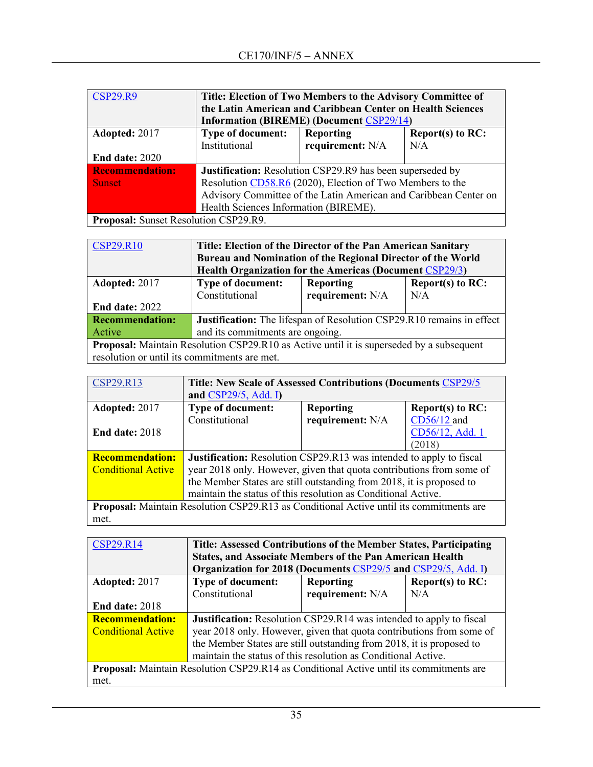| <b>CSP29.R9</b>                              | Title: Election of Two Members to the Advisory Committee of<br>the Latin American and Caribbean Center on Health Sciences<br><b>Information (BIREME) (Document CSP29/14)</b> |                  |     |
|----------------------------------------------|------------------------------------------------------------------------------------------------------------------------------------------------------------------------------|------------------|-----|
| Adopted: 2017                                | <b>Type of document:</b><br><b>Reporting</b><br>Report(s) to $RC$ :                                                                                                          |                  |     |
|                                              | Institutional                                                                                                                                                                | requirement: N/A | N/A |
| End date: 2020                               |                                                                                                                                                                              |                  |     |
| <b>Recommendation:</b>                       | <b>Justification:</b> Resolution CSP29.R9 has been superseded by                                                                                                             |                  |     |
| <b>Sunset</b>                                | Resolution CD58.R6 (2020), Election of Two Members to the                                                                                                                    |                  |     |
|                                              | Advisory Committee of the Latin American and Caribbean Center on                                                                                                             |                  |     |
|                                              | Health Sciences Information (BIREME).                                                                                                                                        |                  |     |
| <b>Proposal:</b> Sunset Resolution CSP29.R9. |                                                                                                                                                                              |                  |     |

| <b>CSP29.R10</b>                                                                                | Title: Election of the Director of the Pan American Sanitary            |                  |     |  |  |
|-------------------------------------------------------------------------------------------------|-------------------------------------------------------------------------|------------------|-----|--|--|
|                                                                                                 | Bureau and Nomination of the Regional Director of the World             |                  |     |  |  |
|                                                                                                 | <b>Health Organization for the Americas (Document CSP29/3)</b>          |                  |     |  |  |
| Adopted: 2017                                                                                   | <b>Type of document:</b><br><b>Report(s) to RC:</b><br><b>Reporting</b> |                  |     |  |  |
|                                                                                                 | Constitutional                                                          | requirement: N/A | N/A |  |  |
| <b>End date: 2022</b>                                                                           |                                                                         |                  |     |  |  |
| <b>Recommendation:</b>                                                                          | Justification: The lifespan of Resolution CSP29.R10 remains in effect   |                  |     |  |  |
| Active                                                                                          | and its commitments are ongoing.                                        |                  |     |  |  |
| <b>Proposal:</b> Maintain Resolution CSP29.R10 as Active until it is superseded by a subsequent |                                                                         |                  |     |  |  |
|                                                                                                 | resolution or until its commitments are met.                            |                  |     |  |  |

| <b>CSP29.R13</b>                                                                        | <b>Title: New Scale of Assessed Contributions (Documents CSP29/5)</b>      |                  |                  |
|-----------------------------------------------------------------------------------------|----------------------------------------------------------------------------|------------------|------------------|
|                                                                                         | and $CSP29/5$ , Add. I)                                                    |                  |                  |
| Adopted: 2017                                                                           | Type of document:                                                          | <b>Reporting</b> | Report(s) to RC: |
|                                                                                         | Constitutional                                                             | requirement: N/A | CD56/12 and      |
| <b>End date: 2018</b>                                                                   |                                                                            |                  | CD56/12, Add. 1  |
|                                                                                         |                                                                            |                  | (2018)           |
| <b>Recommendation:</b>                                                                  | <b>Justification:</b> Resolution CSP29.R13 was intended to apply to fiscal |                  |                  |
| <b>Conditional Active</b>                                                               | year 2018 only. However, given that quota contributions from some of       |                  |                  |
|                                                                                         | the Member States are still outstanding from 2018, it is proposed to       |                  |                  |
|                                                                                         | maintain the status of this resolution as Conditional Active.              |                  |                  |
| Proposal: Maintain Resolution CSP29.R13 as Conditional Active until its commitments are |                                                                            |                  |                  |
| met.                                                                                    |                                                                            |                  |                  |

| <b>CSP29.R14</b>          | Title: Assessed Contributions of the Member States, Participating<br><b>States, and Associate Members of the Pan American Health</b> |                  |                  |  |
|---------------------------|--------------------------------------------------------------------------------------------------------------------------------------|------------------|------------------|--|
|                           | Organization for 2018 (Documents CSP29/5 and CSP29/5, Add. I)                                                                        |                  |                  |  |
| Adopted: 2017             | <b>Type of document:</b>                                                                                                             | <b>Reporting</b> | Report(s) to RC: |  |
|                           | Constitutional                                                                                                                       | requirement: N/A | N/A              |  |
| <b>End date: 2018</b>     |                                                                                                                                      |                  |                  |  |
| <b>Recommendation:</b>    | <b>Justification:</b> Resolution CSP29.R14 was intended to apply to fiscal                                                           |                  |                  |  |
| <b>Conditional Active</b> | year 2018 only. However, given that quota contributions from some of                                                                 |                  |                  |  |
|                           | the Member States are still outstanding from 2018, it is proposed to                                                                 |                  |                  |  |
|                           | maintain the status of this resolution as Conditional Active.                                                                        |                  |                  |  |
|                           | Proposal: Maintain Resolution CSP29.R14 as Conditional Active until its commitments are                                              |                  |                  |  |
| met.                      |                                                                                                                                      |                  |                  |  |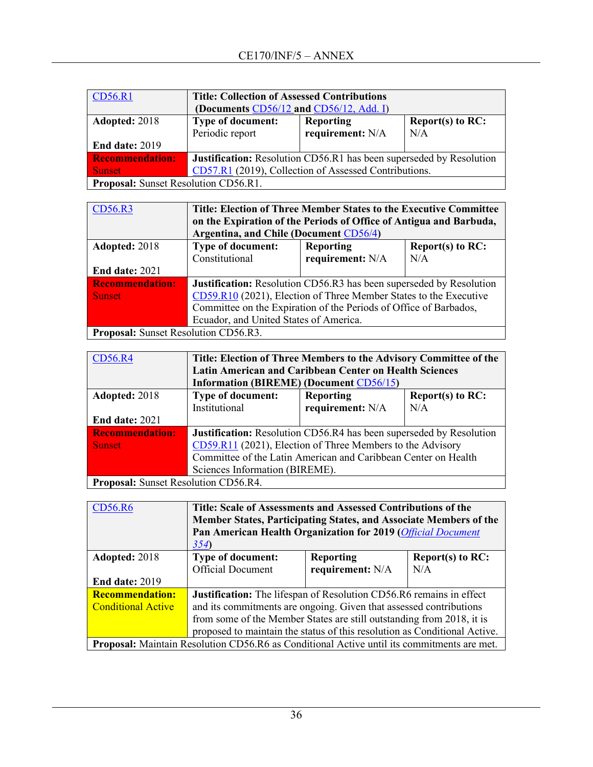| <b>CD56.R1</b>                              | <b>Title: Collection of Assessed Contributions</b><br>(Documents CD56/12 and CD56/12, Add. I) |  |  |  |  |
|---------------------------------------------|-----------------------------------------------------------------------------------------------|--|--|--|--|
| Adopted: 2018                               | <b>Type of document:</b><br>Report(s) to RC:<br><b>Reporting</b>                              |  |  |  |  |
|                                             | requirement: N/A<br>Periodic report<br>N/A                                                    |  |  |  |  |
| End date: 2019                              |                                                                                               |  |  |  |  |
| <b>Recommendation:</b>                      | <b>Justification:</b> Resolution CD56.R1 has been superseded by Resolution                    |  |  |  |  |
| <b>Sunset</b>                               | CD57.R1 (2019), Collection of Assessed Contributions.                                         |  |  |  |  |
| <b>Proposal:</b> Sunset Resolution CD56.R1. |                                                                                               |  |  |  |  |

| CD56.R3                                     | Title: Election of Three Member States to the Executive Committee<br>on the Expiration of the Periods of Office of Antigua and Barbuda,<br>Argentina, and Chile (Document CD56/4) |                                         |     |  |  |
|---------------------------------------------|-----------------------------------------------------------------------------------------------------------------------------------------------------------------------------------|-----------------------------------------|-----|--|--|
| Adopted: 2018                               | <b>Type of document:</b>                                                                                                                                                          | Report(s) to $RC$ :<br><b>Reporting</b> |     |  |  |
|                                             | Constitutional                                                                                                                                                                    | requirement: N/A                        | N/A |  |  |
| <b>End date: 2021</b>                       |                                                                                                                                                                                   |                                         |     |  |  |
| <b>Recommendation:</b>                      | Justification: Resolution CD56.R3 has been superseded by Resolution                                                                                                               |                                         |     |  |  |
| <b>Sunset</b>                               | CD59.R10 (2021), Election of Three Member States to the Executive                                                                                                                 |                                         |     |  |  |
|                                             | Committee on the Expiration of the Periods of Office of Barbados,                                                                                                                 |                                         |     |  |  |
|                                             | Ecuador, and United States of America.                                                                                                                                            |                                         |     |  |  |
| <b>Proposal:</b> Sunset Resolution CD56.R3. |                                                                                                                                                                                   |                                         |     |  |  |

| CD56.R4                                                                                                                                                                                               | Title: Election of Three Members to the Advisory Committee of the          |                                                |     |  |
|-------------------------------------------------------------------------------------------------------------------------------------------------------------------------------------------------------|----------------------------------------------------------------------------|------------------------------------------------|-----|--|
|                                                                                                                                                                                                       | <b>Latin American and Caribbean Center on Health Sciences</b>              |                                                |     |  |
|                                                                                                                                                                                                       |                                                                            | <b>Information (BIREME) (Document CD56/15)</b> |     |  |
| Adopted: 2018                                                                                                                                                                                         | <b>Type of document:</b><br>Report $(s)$ to RC:<br><b>Reporting</b>        |                                                |     |  |
|                                                                                                                                                                                                       | Institutional                                                              | requirement: N/A                               | N/A |  |
| End date: 2021                                                                                                                                                                                        |                                                                            |                                                |     |  |
| <b>Recommendation:</b>                                                                                                                                                                                | <b>Justification:</b> Resolution CD56.R4 has been superseded by Resolution |                                                |     |  |
| <b>Sunset</b>                                                                                                                                                                                         | CD59.R11 (2021), Election of Three Members to the Advisory                 |                                                |     |  |
|                                                                                                                                                                                                       | Committee of the Latin American and Caribbean Center on Health             |                                                |     |  |
|                                                                                                                                                                                                       | Sciences Information (BIREME).                                             |                                                |     |  |
| $\mathbf{D}_{\text{total}}$ and $\mathbf{C}_{\text{total}}$ $\mathbf{D}_{\text{total}}$ and $\mathbf{D}_{\text{total}}$ $\mathbf{C}$ $\mathbf{D}$ $\mathbf{F}$ $\mathbf{C}$ $\mathbf{D}$ $\mathbf{A}$ |                                                                            |                                                |     |  |

**Proposal:** Sunset Resolution CD56.R4. [CD56.R6](https://www.paho.org/hq/index.php?option=com_docman&view=download&alias=46578-cd56-r6-e-collection&category_slug=56-directing-council-english-9964&Itemid=270&lang=en) **Title: Scale of Assessments and Assessed Contributions of the Member States, Participating States, and Associate Members of the Pan American Health Organization for 2019 (***[Official Document](https://www.paho.org/hq/index.php?option=com_docman&task=doc_download&gid=41770&Itemid=270&lang=en)  [354](https://www.paho.org/hq/index.php?option=com_docman&task=doc_download&gid=41770&Itemid=270&lang=en)***) Adopted:** 2018 **End date:** 2019 **Type of document:**  Official Document **Reporting requirement:** N/A **Report(s) to RC:**  N/A **Recommendation:**  Conditional Active **Justification:** The lifespan of Resolution CD56.R6 remains in effect and its commitments are ongoing. Given that assessed contributions from some of the Member States are still outstanding from 2018, it is proposed to maintain the status of this resolution as Conditional Active.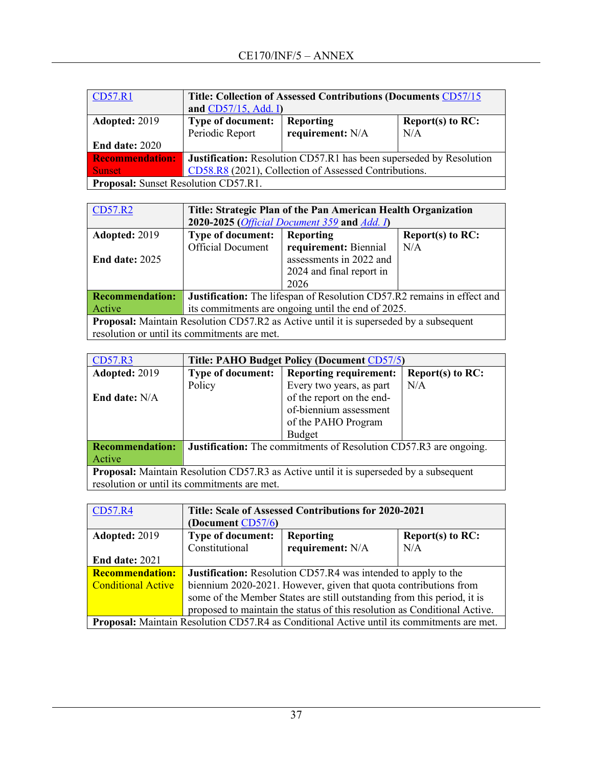| <b>CD57.R1</b>                              | Title: Collection of Assessed Contributions (Documents CD57/15      |                  |                     |
|---------------------------------------------|---------------------------------------------------------------------|------------------|---------------------|
|                                             | and $CD57/15$ , Add. I)                                             |                  |                     |
| <b>Adopted: 2019</b>                        | <b>Type of document:</b>                                            | <b>Reporting</b> | Report(s) to $RC$ : |
|                                             | Periodic Report                                                     | requirement: N/A | N/A                 |
| <b>End date: 2020</b>                       |                                                                     |                  |                     |
| <b>Recommendation:</b>                      | Justification: Resolution CD57.R1 has been superseded by Resolution |                  |                     |
| <b>Sunset</b>                               | CD58.R8 (2021), Collection of Assessed Contributions.               |                  |                     |
| <b>Proposal:</b> Sunset Resolution CD57.R1. |                                                                     |                  |                     |

| <b>CD57.R2</b>                                                                                | Title: Strategic Plan of the Pan American Health Organization<br>2020-2025 ( <i>Official Document 359</i> and <i>Add. I</i> ) |                          |                     |  |
|-----------------------------------------------------------------------------------------------|-------------------------------------------------------------------------------------------------------------------------------|--------------------------|---------------------|--|
|                                                                                               |                                                                                                                               |                          |                     |  |
| Adopted: 2019                                                                                 | Type of document:                                                                                                             | Reporting                | Report(s) to $RC$ : |  |
|                                                                                               | <b>Official Document</b>                                                                                                      | requirement: Biennial    | N/A                 |  |
| End date: $2025$                                                                              |                                                                                                                               | assessments in 2022 and  |                     |  |
|                                                                                               |                                                                                                                               | 2024 and final report in |                     |  |
|                                                                                               |                                                                                                                               | 2026                     |                     |  |
| <b>Recommendation:</b>                                                                        | Justification: The lifespan of Resolution CD57.R2 remains in effect and                                                       |                          |                     |  |
| Active                                                                                        | its commitments are ongoing until the end of 2025.                                                                            |                          |                     |  |
| <b>Proposal:</b> Maintain Resolution CD57.R2 as Active until it is superseded by a subsequent |                                                                                                                               |                          |                     |  |
|                                                                                               | resolution or until its commitments are met.                                                                                  |                          |                     |  |

| CD57.R3                                                                                       | Title: PAHO Budget Policy (Document CD57/5)                              |                               |                     |
|-----------------------------------------------------------------------------------------------|--------------------------------------------------------------------------|-------------------------------|---------------------|
| Adopted: 2019                                                                                 | <b>Type of document:</b>                                                 | <b>Reporting requirement:</b> | Report(s) to $RC$ : |
|                                                                                               | Policy                                                                   | Every two years, as part      | N/A                 |
| End date: $N/A$                                                                               |                                                                          | of the report on the end-     |                     |
|                                                                                               |                                                                          | of-biennium assessment        |                     |
|                                                                                               |                                                                          | of the PAHO Program           |                     |
|                                                                                               |                                                                          | Budget                        |                     |
| <b>Recommendation:</b>                                                                        | <b>Justification:</b> The commitments of Resolution CD57.R3 are ongoing. |                               |                     |
| Active                                                                                        |                                                                          |                               |                     |
| <b>Proposal:</b> Maintain Resolution CD57.R3 as Active until it is superseded by a subsequent |                                                                          |                               |                     |
| resolution or until its commitments are met.                                                  |                                                                          |                               |                     |

| <b>CD57.R4</b>            | Title: Scale of Assessed Contributions for 2020-2021                      |                                                                                                   |                     |
|---------------------------|---------------------------------------------------------------------------|---------------------------------------------------------------------------------------------------|---------------------|
|                           | (Document CD57/6)                                                         |                                                                                                   |                     |
| Adopted: 2019             | <b>Type of document:</b>                                                  | Reporting                                                                                         | Report(s) to $RC$ : |
|                           | Constitutional                                                            | requirement: N/A                                                                                  | N/A                 |
| <b>End date: 2021</b>     |                                                                           |                                                                                                   |                     |
| <b>Recommendation:</b>    | <b>Justification:</b> Resolution CD57.R4 was intended to apply to the     |                                                                                                   |                     |
| <b>Conditional Active</b> | biennium 2020-2021. However, given that quota contributions from          |                                                                                                   |                     |
|                           | some of the Member States are still outstanding from this period, it is   |                                                                                                   |                     |
|                           | proposed to maintain the status of this resolution as Conditional Active. |                                                                                                   |                     |
|                           |                                                                           | <b>Proposal:</b> Maintain Resolution CD57.R4 as Conditional Active until its commitments are met. |                     |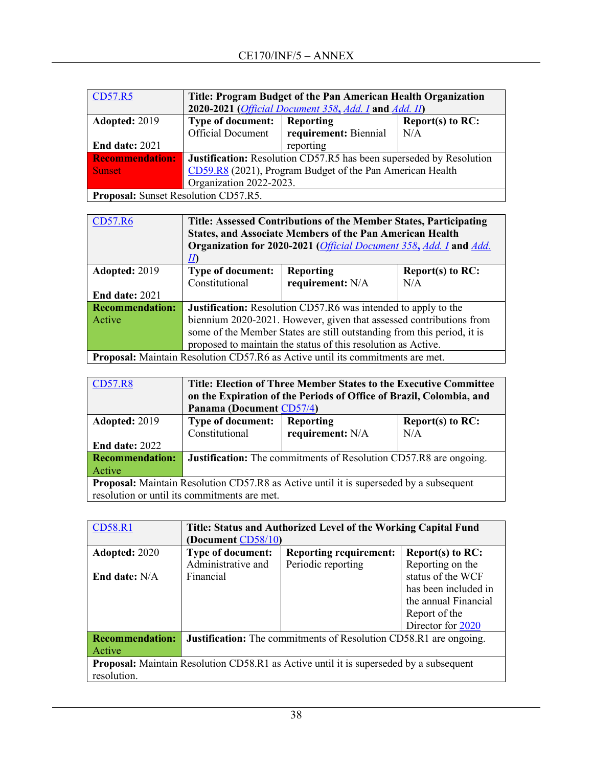| CD57.R5                                     | Title: Program Budget of the Pan American Health Organization              |                                                                       |     |  |  |
|---------------------------------------------|----------------------------------------------------------------------------|-----------------------------------------------------------------------|-----|--|--|
|                                             |                                                                            | 2020-2021 ( <i>Official Document 358, Add. I</i> and <i>Add. II</i> ) |     |  |  |
| Adopted: 2019                               | <b>Type of document:</b><br>Reporting<br>Report(s) to $RC$ :               |                                                                       |     |  |  |
|                                             | <b>Official Document</b>                                                   | requirement: Biennial                                                 | N/A |  |  |
| <b>End date: 2021</b>                       |                                                                            | reporting                                                             |     |  |  |
| <b>Recommendation:</b>                      | <b>Justification:</b> Resolution CD57.R5 has been superseded by Resolution |                                                                       |     |  |  |
| <b>Sunset</b>                               | CD59.R8 (2021), Program Budget of the Pan American Health                  |                                                                       |     |  |  |
|                                             | Organization 2022-2023.                                                    |                                                                       |     |  |  |
| <b>Proposal:</b> Sunset Resolution CD57.R5. |                                                                            |                                                                       |     |  |  |
|                                             |                                                                            |                                                                       |     |  |  |

| <b>CD57.R6</b>         | Title: Assessed Contributions of the Member States, Participating<br><b>States, and Associate Members of the Pan American Health</b><br>Organization for 2020-2021 (Official Document 358, Add. I and Add. |                  |                     |  |
|------------------------|------------------------------------------------------------------------------------------------------------------------------------------------------------------------------------------------------------|------------------|---------------------|--|
|                        | $\varPi$                                                                                                                                                                                                   |                  |                     |  |
| Adopted: 2019          | <b>Type of document:</b>                                                                                                                                                                                   | <b>Reporting</b> | Report $(s)$ to RC: |  |
|                        | Constitutional                                                                                                                                                                                             | requirement: N/A | N/A                 |  |
| <b>End date: 2021</b>  |                                                                                                                                                                                                            |                  |                     |  |
| <b>Recommendation:</b> | <b>Justification:</b> Resolution CD57.R6 was intended to apply to the                                                                                                                                      |                  |                     |  |
| Active                 | biennium 2020-2021. However, given that assessed contributions from                                                                                                                                        |                  |                     |  |
|                        | some of the Member States are still outstanding from this period, it is                                                                                                                                    |                  |                     |  |
|                        | proposed to maintain the status of this resolution as Active.                                                                                                                                              |                  |                     |  |
|                        | <b>Drapsel:</b> Meintein Besolution CD57 B6 es Active until its commitments are mot                                                                                                                        |                  |                     |  |

**Proposal:** Maintain Resolution CD57.R6 as Active until its commitments are met.

| <b>CD57.R8</b>                                                                                | Title: Election of Three Member States to the Executive Committee   |                          |                  |  |  |
|-----------------------------------------------------------------------------------------------|---------------------------------------------------------------------|--------------------------|------------------|--|--|
|                                                                                               | on the Expiration of the Periods of Office of Brazil, Colombia, and |                          |                  |  |  |
|                                                                                               |                                                                     | Panama (Document CD57/4) |                  |  |  |
| Adopted: 2019                                                                                 | <b>Type of document:</b>                                            | Reporting                | Report(s) to RC: |  |  |
|                                                                                               | Constitutional                                                      | requirement: N/A         | N/A              |  |  |
| <b>End date: 2022</b>                                                                         |                                                                     |                          |                  |  |  |
| <b>Recommendation:</b>                                                                        | Justification: The commitments of Resolution CD57.R8 are ongoing.   |                          |                  |  |  |
| Active                                                                                        |                                                                     |                          |                  |  |  |
| <b>Proposal:</b> Maintain Resolution CD57.R8 as Active until it is superseded by a subsequent |                                                                     |                          |                  |  |  |
| resolution or until its commitments are met.                                                  |                                                                     |                          |                  |  |  |

| <b>CD58.R1</b>                                                                                               | Title: Status and Authorized Level of the Working Capital Fund           |                               |                      |
|--------------------------------------------------------------------------------------------------------------|--------------------------------------------------------------------------|-------------------------------|----------------------|
|                                                                                                              | (Document CD58/10)                                                       |                               |                      |
| Adopted: 2020                                                                                                | <b>Type of document:</b>                                                 | <b>Reporting requirement:</b> | Report(s) to RC:     |
|                                                                                                              | Administrative and                                                       | Periodic reporting            | Reporting on the     |
| End date: N/A                                                                                                | Financial                                                                |                               | status of the WCF    |
|                                                                                                              |                                                                          |                               | has been included in |
|                                                                                                              |                                                                          |                               | the annual Financial |
|                                                                                                              |                                                                          |                               | Report of the        |
|                                                                                                              |                                                                          |                               | Director for 2020    |
| <b>Recommendation:</b>                                                                                       | <b>Justification:</b> The commitments of Resolution CD58.R1 are ongoing. |                               |                      |
| Active                                                                                                       |                                                                          |                               |                      |
| <b>Proposal:</b> Maintain Resolution CD58.R1 as Active until it is superseded by a subsequent<br>resolution. |                                                                          |                               |                      |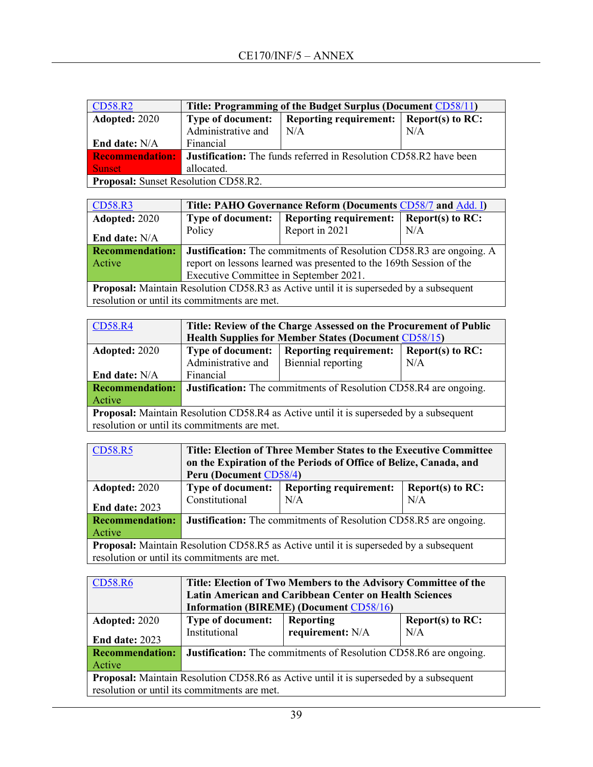| <b>CD58.R2</b>                              | Title: Programming of the Budget Surplus (Document CD58/11)              |                               |                    |  |  |
|---------------------------------------------|--------------------------------------------------------------------------|-------------------------------|--------------------|--|--|
| <b>Adopted: 2020</b>                        | <b>Type of document:</b>                                                 | <b>Reporting requirement:</b> | Report(s) to $RC:$ |  |  |
|                                             | Administrative and                                                       | N/A                           | N/A                |  |  |
| End date: $N/A$                             | Financial                                                                |                               |                    |  |  |
| <b>Recommendation:</b>                      | <b>Justification:</b> The funds referred in Resolution CD58.R2 have been |                               |                    |  |  |
| <b>Sunset</b>                               | allocated.                                                               |                               |                    |  |  |
| <b>Proposal:</b> Sunset Resolution CD58.R2. |                                                                          |                               |                    |  |  |

| CD58.R3                | Title: PAHO Governance Reform (Documents CD58/7 and Add. I)                |                                                                                                |                    |  |
|------------------------|----------------------------------------------------------------------------|------------------------------------------------------------------------------------------------|--------------------|--|
| Adopted: 2020          | <b>Type of document:</b>                                                   | <b>Reporting requirement:</b>                                                                  | Report(s) to $RC:$ |  |
|                        | Policy                                                                     | Report in 2021                                                                                 | N/A                |  |
| End date: N/A          |                                                                            |                                                                                                |                    |  |
| <b>Recommendation:</b> | <b>Justification:</b> The commitments of Resolution CD58.R3 are ongoing. A |                                                                                                |                    |  |
| Active                 | report on lessons learned was presented to the 169th Session of the        |                                                                                                |                    |  |
|                        | Executive Committee in September 2021.                                     |                                                                                                |                    |  |
|                        |                                                                            | <b>Decrease by Maintein Develotion CD50 D2</b> on Astronomia it is announceded by a subsequent |                    |  |

**Proposal:** Maintain Resolution CD58.R3 as Active until it is superseded by a subsequent resolution or until its commitments are met.

| <b>CD58.R4</b>                                                                                | Title: Review of the Charge Assessed on the Procurement of Public                |                    |     |  |
|-----------------------------------------------------------------------------------------------|----------------------------------------------------------------------------------|--------------------|-----|--|
|                                                                                               | <b>Health Supplies for Member States (Document CD58/15)</b>                      |                    |     |  |
| Adopted: 2020                                                                                 | <b>Reporting requirement:</b><br><b>Type of document:</b><br>Report(s) to $RC$ : |                    |     |  |
|                                                                                               | Administrative and                                                               | Biennial reporting | N/A |  |
| End date: N/A                                                                                 | Financial                                                                        |                    |     |  |
| <b>Recommendation:</b>                                                                        | <b>Justification:</b> The commitments of Resolution CD58.R4 are ongoing.         |                    |     |  |
| Active                                                                                        |                                                                                  |                    |     |  |
| <b>Proposal:</b> Maintain Resolution CD58.R4 as Active until it is superseded by a subsequent |                                                                                  |                    |     |  |
| resolution or until its commitments are met.                                                  |                                                                                  |                    |     |  |

| <b>CD58.R5</b>                                                                                | Title: Election of Three Member States to the Executive Committee        |                                            |                     |
|-----------------------------------------------------------------------------------------------|--------------------------------------------------------------------------|--------------------------------------------|---------------------|
|                                                                                               | on the Expiration of the Periods of Office of Belize, Canada, and        |                                            |                     |
|                                                                                               | Peru (Document CD58/4)                                                   |                                            |                     |
| Adopted: 2020                                                                                 |                                                                          | Type of document:   Reporting requirement: | Report(s) to $RC$ : |
|                                                                                               | Constitutional                                                           | N/A                                        | N/A                 |
| <b>End date: 2023</b>                                                                         |                                                                          |                                            |                     |
| <b>Recommendation:</b>                                                                        | <b>Justification:</b> The commitments of Resolution CD58.R5 are ongoing. |                                            |                     |
| Active                                                                                        |                                                                          |                                            |                     |
| <b>Proposal:</b> Maintain Resolution CD58.R5 as Active until it is superseded by a subsequent |                                                                          |                                            |                     |
| resolution or until its commitments are met.                                                  |                                                                          |                                            |                     |

| <b>CD58.R6</b>                                                                                | Title: Election of Two Members to the Advisory Committee of the   |                  |                     |
|-----------------------------------------------------------------------------------------------|-------------------------------------------------------------------|------------------|---------------------|
|                                                                                               | <b>Latin American and Caribbean Center on Health Sciences</b>     |                  |                     |
|                                                                                               | <b>Information (BIREME) (Document CD58/16)</b>                    |                  |                     |
| Adopted: 2020                                                                                 | <b>Type of document:</b>                                          | <b>Reporting</b> | Report $(s)$ to RC: |
|                                                                                               | Institutional                                                     | requirement: N/A | N/A                 |
| End date: 2023                                                                                |                                                                   |                  |                     |
| <b>Recommendation:</b>                                                                        | Justification: The commitments of Resolution CD58.R6 are ongoing. |                  |                     |
| Active                                                                                        |                                                                   |                  |                     |
| <b>Proposal:</b> Maintain Resolution CD58.R6 as Active until it is superseded by a subsequent |                                                                   |                  |                     |
| resolution or until its commitments are met.                                                  |                                                                   |                  |                     |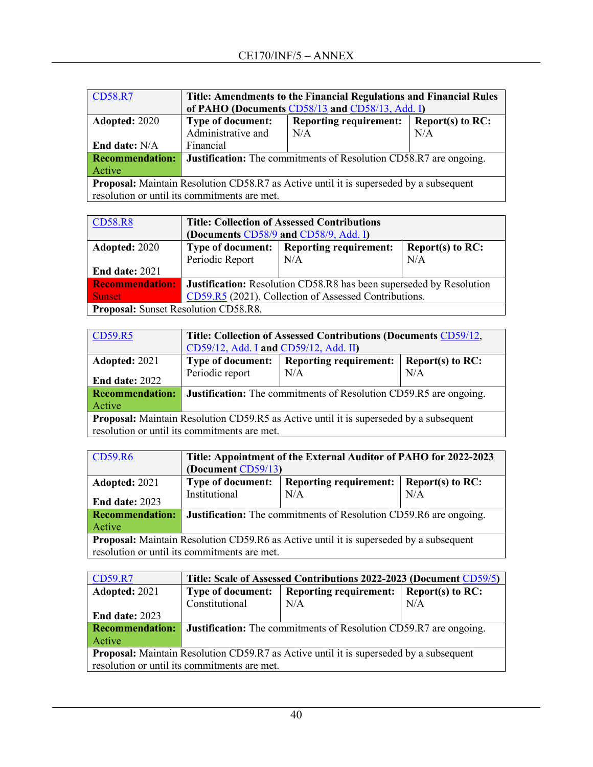| <b>CD58.R7</b>                                                                                | Title: Amendments to the Financial Regulations and Financial Rules<br>of PAHO (Documents CD58/13 and CD58/13, Add. I) |                                                      |     |  |  |
|-----------------------------------------------------------------------------------------------|-----------------------------------------------------------------------------------------------------------------------|------------------------------------------------------|-----|--|--|
| Adopted: 2020                                                                                 | <b>Type of document:</b>                                                                                              | <b>Reporting requirement:</b><br>Report(s) to $RC$ : |     |  |  |
|                                                                                               | Administrative and                                                                                                    | N/A                                                  | N/A |  |  |
| End date: N/A                                                                                 | Financial                                                                                                             |                                                      |     |  |  |
| <b>Recommendation:</b>                                                                        | <b>Justification:</b> The commitments of Resolution CD58.R7 are ongoing.                                              |                                                      |     |  |  |
| Active                                                                                        |                                                                                                                       |                                                      |     |  |  |
| <b>Proposal:</b> Maintain Resolution CD58.R7 as Active until it is superseded by a subsequent |                                                                                                                       |                                                      |     |  |  |
| resolution or until its commitments are met.                                                  |                                                                                                                       |                                                      |     |  |  |

| <b>CD58.R8</b>                              | <b>Title: Collection of Assessed Contributions</b>                               |     |     |  |
|---------------------------------------------|----------------------------------------------------------------------------------|-----|-----|--|
|                                             | (Documents CD58/9 and CD58/9, Add. I)                                            |     |     |  |
| Adopted: 2020                               | <b>Type of document:</b><br><b>Reporting requirement:</b><br>Report(s) to $RC$ : |     |     |  |
|                                             | Periodic Report                                                                  | N/A | N/A |  |
| <b>End date: 2021</b>                       |                                                                                  |     |     |  |
| <b>Recommendation:</b>                      | <b>Justification:</b> Resolution CD58.R8 has been superseded by Resolution       |     |     |  |
| <b>Sunset</b>                               | CD59.R5 (2021), Collection of Assessed Contributions.                            |     |     |  |
| <b>Proposal:</b> Sunset Resolution CD58.R8. |                                                                                  |     |     |  |

| CD59.R5                                                                                       | Title: Collection of Assessed Contributions (Documents CD59/12,   |                                                      |     |  |  |
|-----------------------------------------------------------------------------------------------|-------------------------------------------------------------------|------------------------------------------------------|-----|--|--|
|                                                                                               | CD59/12, Add. I and CD59/12, Add. II)                             |                                                      |     |  |  |
| Adopted: 2021                                                                                 | <b>Type of document:</b>                                          | <b>Reporting requirement:</b><br>Report(s) to $RC$ : |     |  |  |
| <b>End date: 2022</b>                                                                         | Periodic report                                                   | N/A                                                  | N/A |  |  |
| <b>Recommendation:</b>                                                                        | Justification: The commitments of Resolution CD59.R5 are ongoing. |                                                      |     |  |  |
| Active                                                                                        |                                                                   |                                                      |     |  |  |
| <b>Proposal:</b> Maintain Resolution CD59.R5 as Active until it is superseded by a subsequent |                                                                   |                                                      |     |  |  |
| resolution or until its commitments are met.                                                  |                                                                   |                                                      |     |  |  |

| CD59.R6                                                                                       | Title: Appointment of the External Auditor of PAHO for 2022-2023         |                               |                     |
|-----------------------------------------------------------------------------------------------|--------------------------------------------------------------------------|-------------------------------|---------------------|
|                                                                                               | (Document CD59/13)                                                       |                               |                     |
| Adopted: 2021                                                                                 | <b>Type of document:</b>                                                 | <b>Reporting requirement:</b> | Report(s) to $RC$ : |
| <b>End date: 2023</b>                                                                         | Institutional                                                            | N/A                           | N/A                 |
| <b>Recommendation:</b>                                                                        | <b>Justification:</b> The commitments of Resolution CD59.R6 are ongoing. |                               |                     |
| Active                                                                                        |                                                                          |                               |                     |
| <b>Proposal:</b> Maintain Resolution CD59.R6 as Active until it is superseded by a subsequent |                                                                          |                               |                     |
| resolution or until its commitments are met.                                                  |                                                                          |                               |                     |

| <b>CD59.R7</b>                                                                                | Title: Scale of Assessed Contributions 2022-2023 (Document CD59/5)       |                               |                    |
|-----------------------------------------------------------------------------------------------|--------------------------------------------------------------------------|-------------------------------|--------------------|
| Adopted: 2021                                                                                 | <b>Type of document:</b>                                                 | <b>Reporting requirement:</b> | Report(s) to $RC:$ |
|                                                                                               | Constitutional                                                           | N/A                           | N/A                |
| <b>End date: 2023</b>                                                                         |                                                                          |                               |                    |
| <b>Recommendation:</b>                                                                        | <b>Justification:</b> The commitments of Resolution CD59.R7 are ongoing. |                               |                    |
| Active                                                                                        |                                                                          |                               |                    |
| <b>Proposal:</b> Maintain Resolution CD59.R7 as Active until it is superseded by a subsequent |                                                                          |                               |                    |
|                                                                                               | resolution or until its commitments are met.                             |                               |                    |